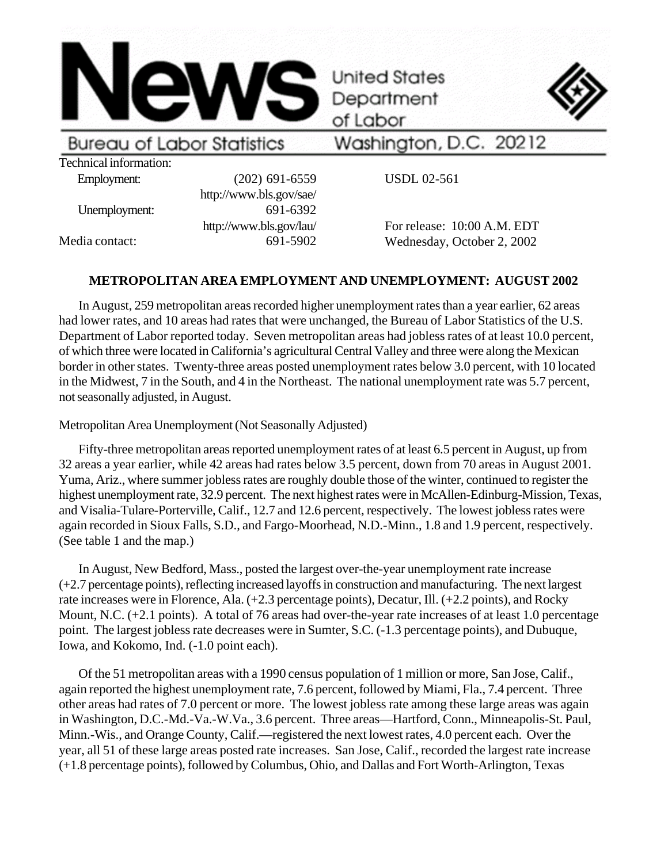

**United States** Department of Labor



## **Bureau of Labor Statistics**

### Washington, D.C. 20212

Technical information:

Unemployment:

Employment: (202) 691-6559 http://www.bls.gov/sae/ 691-6392 http://www.bls.gov/lau/ Media contact: 691-5902 USDL 02-561

For release: 10:00 A.M. EDT Wednesday, October 2, 2002

## **METROPOLITAN AREA EMPLOYMENT AND UNEMPLOYMENT: AUGUST 2002**

In August, 259 metropolitan areas recorded higher unemployment rates than a year earlier, 62 areas had lower rates, and 10 areas had rates that were unchanged, the Bureau of Labor Statistics of the U.S. Department of Labor reported today. Seven metropolitan areas had jobless rates of at least 10.0 percent, of which three were located in California's agricultural Central Valley and three were along the Mexican border in other states. Twenty-three areas posted unemployment rates below 3.0 percent, with 10 located in the Midwest, 7 in the South, and 4 in the Northeast. The national unemployment rate was 5.7 percent, not seasonally adjusted, in August.

Metropolitan Area Unemployment (Not Seasonally Adjusted)

Fifty-three metropolitan areas reported unemployment rates of at least 6.5 percent in August, up from 32 areas a year earlier, while 42 areas had rates below 3.5 percent, down from 70 areas in August 2001. Yuma, Ariz., where summer jobless rates are roughly double those of the winter, continued to register the highest unemployment rate, 32.9 percent. The next highest rates were in McAllen-Edinburg-Mission, Texas, and Visalia-Tulare-Porterville, Calif., 12.7 and 12.6 percent, respectively. The lowest jobless rates were again recorded in Sioux Falls, S.D., and Fargo-Moorhead, N.D.-Minn., 1.8 and 1.9 percent, respectively. (See table 1 and the map.)

In August, New Bedford, Mass., posted the largest over-the-year unemployment rate increase (+2.7 percentage points), reflecting increased layoffs in construction and manufacturing. The next largest rate increases were in Florence, Ala. (+2.3 percentage points), Decatur, Ill. (+2.2 points), and Rocky Mount, N.C. (+2.1 points). A total of 76 areas had over-the-year rate increases of at least 1.0 percentage point. The largest jobless rate decreases were in Sumter, S.C. (-1.3 percentage points), and Dubuque, Iowa, and Kokomo, Ind. (-1.0 point each).

Of the 51 metropolitan areas with a 1990 census population of 1 million or more, San Jose, Calif., again reported the highest unemployment rate, 7.6 percent, followed by Miami, Fla., 7.4 percent. Three other areas had rates of 7.0 percent or more. The lowest jobless rate among these large areas was again in Washington, D.C.-Md.-Va.-W.Va., 3.6 percent. Three areas—Hartford, Conn., Minneapolis-St. Paul, Minn.-Wis., and Orange County, Calif.—registered the next lowest rates, 4.0 percent each. Over the year, all 51 of these large areas posted rate increases. San Jose, Calif., recorded the largest rate increase (+1.8 percentage points), followed by Columbus, Ohio, and Dallas and Fort Worth-Arlington, Texas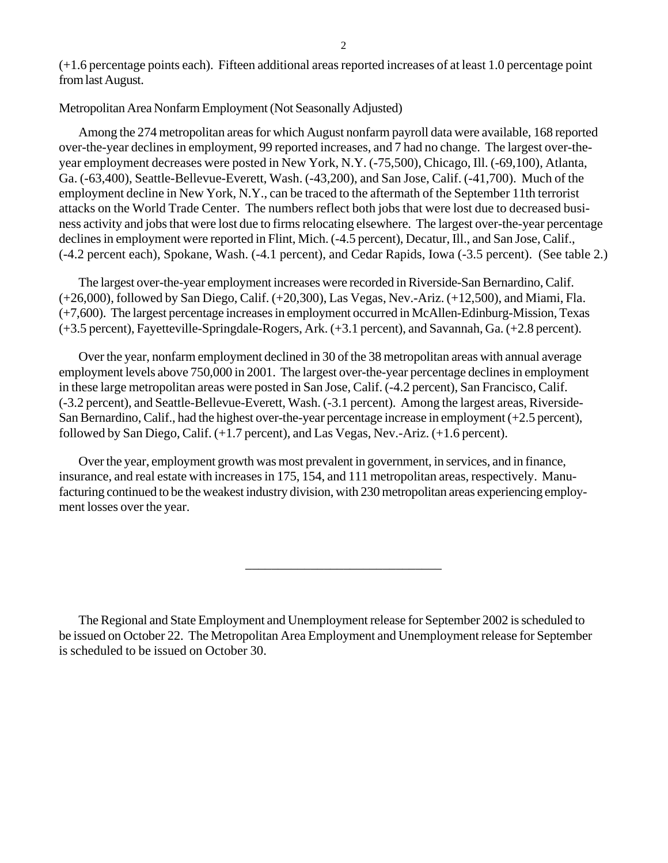(+1.6 percentage points each). Fifteen additional areas reported increases of at least 1.0 percentage point from last August.

Metropolitan Area Nonfarm Employment (Not Seasonally Adjusted)

Among the 274 metropolitan areas for which August nonfarm payroll data were available, 168 reported over-the-year declines in employment, 99 reported increases, and 7 had no change. The largest over-theyear employment decreases were posted in New York, N.Y. (-75,500), Chicago, Ill. (-69,100), Atlanta, Ga. (-63,400), Seattle-Bellevue-Everett, Wash. (-43,200), and San Jose, Calif. (-41,700). Much of the employment decline in New York, N.Y., can be traced to the aftermath of the September 11th terrorist attacks on the World Trade Center. The numbers reflect both jobs that were lost due to decreased business activity and jobs that were lost due to firms relocating elsewhere. The largest over-the-year percentage declines in employment were reported in Flint, Mich. (-4.5 percent), Decatur, Ill., and San Jose, Calif., (-4.2 percent each), Spokane, Wash. (-4.1 percent), and Cedar Rapids, Iowa (-3.5 percent). (See table 2.)

The largest over-the-year employment increases were recorded in Riverside-San Bernardino, Calif. (+26,000), followed by San Diego, Calif. (+20,300), Las Vegas, Nev.-Ariz. (+12,500), and Miami, Fla. (+7,600). The largest percentage increases in employment occurred in McAllen-Edinburg-Mission, Texas (+3.5 percent), Fayetteville-Springdale-Rogers, Ark. (+3.1 percent), and Savannah, Ga. (+2.8 percent).

Over the year, nonfarm employment declined in 30 of the 38 metropolitan areas with annual average employment levels above 750,000 in 2001. The largest over-the-year percentage declines in employment in these large metropolitan areas were posted in San Jose, Calif. (-4.2 percent), San Francisco, Calif. (-3.2 percent), and Seattle-Bellevue-Everett, Wash. (-3.1 percent). Among the largest areas, Riverside-San Bernardino, Calif., had the highest over-the-year percentage increase in employment (+2.5 percent), followed by San Diego, Calif. (+1.7 percent), and Las Vegas, Nev.-Ariz. (+1.6 percent).

Over the year, employment growth was most prevalent in government, in services, and in finance, insurance, and real estate with increases in 175, 154, and 111 metropolitan areas, respectively. Manufacturing continued to be the weakest industry division, with 230 metropolitan areas experiencing employment losses over the year.

The Regional and State Employment and Unemployment release for September 2002 is scheduled to be issued on October 22. The Metropolitan Area Employment and Unemployment release for September is scheduled to be issued on October 30.

\_\_\_\_\_\_\_\_\_\_\_\_\_\_\_\_\_\_\_\_\_\_\_\_\_\_\_\_\_\_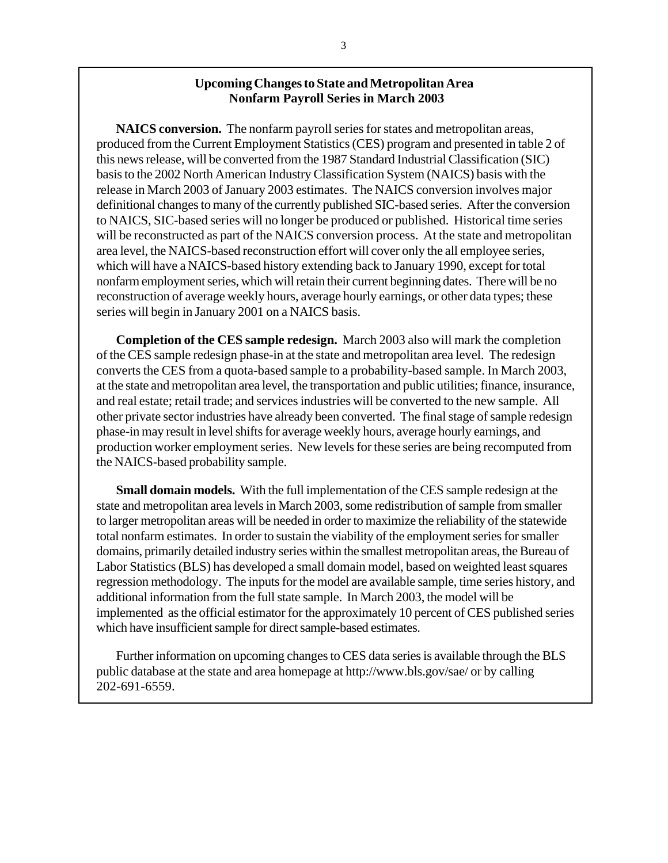### **Upcoming Changes to State and Metropolitan Area Nonfarm Payroll Series in March 2003**

**NAICS conversion.** The nonfarm payroll series for states and metropolitan areas, produced from the Current Employment Statistics (CES) program and presented in table 2 of this news release, will be converted from the 1987 Standard Industrial Classification (SIC) basis to the 2002 North American Industry Classification System (NAICS) basis with the release in March 2003 of January 2003 estimates. The NAICS conversion involves major definitional changes to many of the currently published SIC-based series. After the conversion to NAICS, SIC-based series will no longer be produced or published. Historical time series will be reconstructed as part of the NAICS conversion process. At the state and metropolitan area level, the NAICS-based reconstruction effort will cover only the all employee series, which will have a NAICS-based history extending back to January 1990, except for total nonfarm employment series, which will retain their current beginning dates. There will be no reconstruction of average weekly hours, average hourly earnings, or other data types; these series will begin in January 2001 on a NAICS basis.

**Completion of the CES sample redesign.**March 2003 also will mark the completion of the CES sample redesign phase-in at the state and metropolitan area level. The redesign converts the CES from a quota-based sample to a probability-based sample. In March 2003, at the state and metropolitan area level, the transportation and public utilities; finance, insurance, and real estate; retail trade; and services industries will be converted to the new sample. All other private sector industries have already been converted. The final stage of sample redesign phase-in may result in level shifts for average weekly hours, average hourly earnings, and production worker employment series. New levels for these series are being recomputed from the NAICS-based probability sample.

**Small domain models.** With the full implementation of the CES sample redesign at the state and metropolitan area levels in March 2003, some redistribution of sample from smaller to larger metropolitan areas will be needed in order to maximize the reliability of the statewide total nonfarm estimates. In order to sustain the viability of the employment series for smaller domains, primarily detailed industry series within the smallest metropolitan areas, the Bureau of Labor Statistics (BLS) has developed a small domain model, based on weighted least squares regression methodology. The inputs for the model are available sample, time series history, and additional information from the full state sample. In March 2003, the model will be implemented as the official estimator for the approximately 10 percent of CES published series which have insufficient sample for direct sample-based estimates.

Further information on upcoming changes to CES data series is available through the BLS public database at the state and area homepage at http://www.bls.gov/sae/ or by calling 202-691-6559.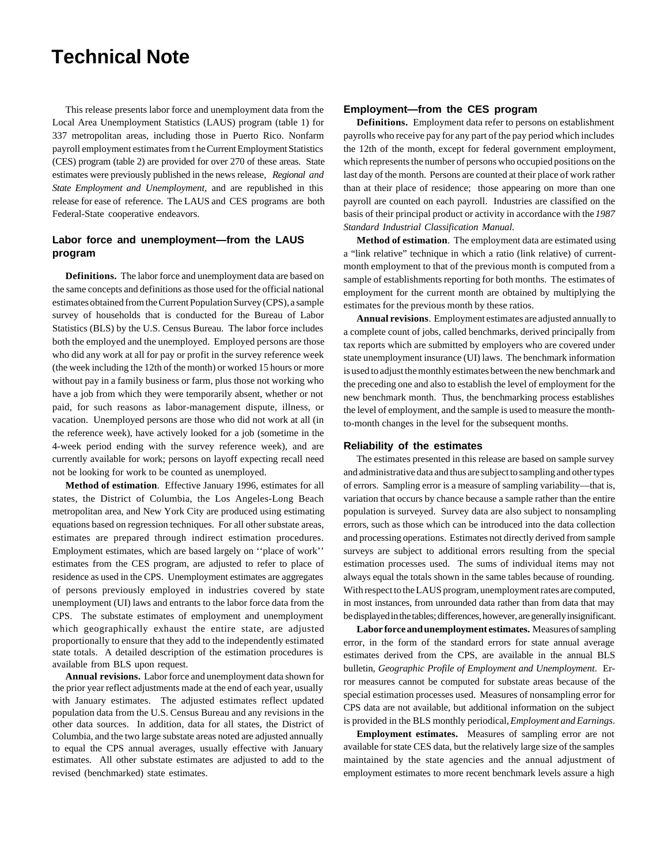## **Technical Note**

This release presents labor force and unemployment data from the Local Area Unemployment Statistics (LAUS) program (table 1) for 337 metropolitan areas, including those in Puerto Rico. Nonfarm payroll employment estimates from t he Current Employment Statistics (CES) program (table 2) are provided for over 270 of these areas. State estimates were previously published in the news release, *Regional and State Employment and Unemployment,* and are republished in this release for ease of reference. The LAUS and CES programs are both Federal-State cooperative endeavors.

### **Labor force and unemployment—from the LAUS program**

**Definitions.** The labor force and unemployment data are based on the same concepts and definitions as those used for the official national estimates obtained from the Current Population Survey (CPS), a sample survey of households that is conducted for the Bureau of Labor Statistics (BLS) by the U.S. Census Bureau. The labor force includes both the employed and the unemployed. Employed persons are those who did any work at all for pay or profit in the survey reference week (the week including the 12th of the month) or worked 15 hours or more without pay in a family business or farm, plus those not working who have a job from which they were temporarily absent, whether or not paid, for such reasons as labor-management dispute, illness, or vacation. Unemployed persons are those who did not work at all (in the reference week), have actively looked for a job (sometime in the 4-week period ending with the survey reference week), and are currently available for work; persons on layoff expecting recall need not be looking for work to be counted as unemployed.

**Method of estimation**. Effective January 1996, estimates for all states, the District of Columbia, the Los Angeles-Long Beach metropolitan area, and New York City are produced using estimating equations based on regression techniques. For all other substate areas, estimates are prepared through indirect estimation procedures. Employment estimates, which are based largely on ''place of work'' estimates from the CES program, are adjusted to refer to place of residence as used in the CPS. Unemployment estimates are aggregates of persons previously employed in industries covered by state unemployment (UI) laws and entrants to the labor force data from the CPS. The substate estimates of employment and unemployment which geographically exhaust the entire state, are adjusted proportionally to ensure that they add to the independently estimated state totals. A detailed description of the estimation procedures is available from BLS upon request.

**Annual revisions.** Labor force and unemployment data shown for the prior year reflect adjustments made at the end of each year, usually with January estimates. The adjusted estimates reflect updated population data from the U.S. Census Bureau and any revisions in the other data sources. In addition, data for all states, the District of Columbia, and the two large substate areas noted are adjusted annually to equal the CPS annual averages, usually effective with January estimates. All other substate estimates are adjusted to add to the revised (benchmarked) state estimates.

### **Employment—from the CES program**

**Definitions.** Employment data refer to persons on establishment payrolls who receive pay for any part of the pay period which includes the 12th of the month, except for federal government employment, which represents the number of persons who occupied positions on the last day of the month. Persons are counted at their place of work rather than at their place of residence; those appearing on more than one payroll are counted on each payroll. Industries are classified on the basis of their principal product or activity in accordance with the *1987 Standard Industrial Classification Manual.*

**Method of estimation**. The employment data are estimated using a "link relative" technique in which a ratio (link relative) of currentmonth employment to that of the previous month is computed from a sample of establishments reporting for both months. The estimates of employment for the current month are obtained by multiplying the estimates for the previous month by these ratios.

**Annual revisions**. Employment estimates are adjusted annually to a complete count of jobs, called benchmarks, derived principally from tax reports which are submitted by employers who are covered under state unemployment insurance (UI) laws. The benchmark information is used to adjust the monthly estimates between the new benchmark and the preceding one and also to establish the level of employment for the new benchmark month. Thus, the benchmarking process establishes the level of employment, and the sample is used to measure the monthto-month changes in the level for the subsequent months.

### **Reliability of the estimates**

The estimates presented in this release are based on sample survey and administrative data and thus are subject to sampling and other types of errors. Sampling error is a measure of sampling variability—that is, variation that occurs by chance because a sample rather than the entire population is surveyed. Survey data are also subject to nonsampling errors, such as those which can be introduced into the data collection and processing operations. Estimates not directly derived from sample surveys are subject to additional errors resulting from the special estimation processes used. The sums of individual items may not always equal the totals shown in the same tables because of rounding. With respect to the LAUS program, unemployment rates are computed, in most instances, from unrounded data rather than from data that may be displayed in the tables; differences, however, are generally insignificant.

**Labor force and unemployment estimates.** Measures of sampling error, in the form of the standard errors for state annual average estimates derived from the CPS, are available in the annual BLS bulletin*, Geographic Profile of Employment and Unemployment*. Error measures cannot be computed for substate areas because of the special estimation processes used. Measures of nonsampling error for CPS data are not available, but additional information on the subject is provided in the BLS monthly periodical, *Employment and Earnings*.

**Employment estimates.** Measures of sampling error are not available for state CES data, but the relatively large size of the samples maintained by the state agencies and the annual adjustment of employment estimates to more recent benchmark levels assure a high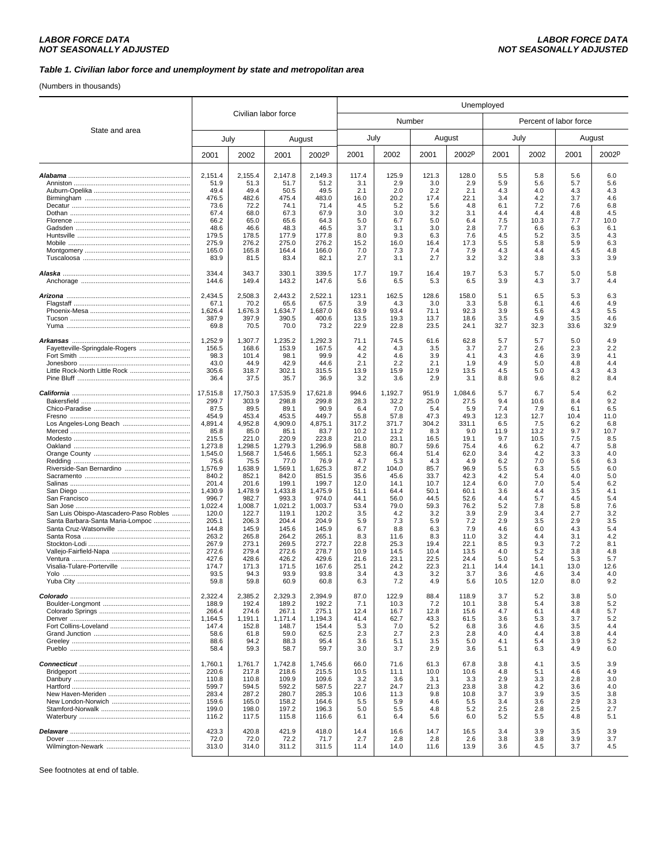(Numbers in thousands)

|                                        |                                                   | Unemployed                                         |                                                   |                                                   |                                          |                                   |                                          |                                   |                                        |                                        |                                        |                                        |
|----------------------------------------|---------------------------------------------------|----------------------------------------------------|---------------------------------------------------|---------------------------------------------------|------------------------------------------|-----------------------------------|------------------------------------------|-----------------------------------|----------------------------------------|----------------------------------------|----------------------------------------|----------------------------------------|
|                                        |                                                   |                                                    | Civilian labor force                              |                                                   |                                          | Number                            |                                          |                                   |                                        |                                        | Percent of labor force                 |                                        |
| State and area                         |                                                   | July                                               |                                                   | August                                            |                                          | July                              |                                          | August                            |                                        | July                                   |                                        | August                                 |
|                                        | 2001                                              | 2002                                               | 2001                                              | 2002P                                             | 2001                                     | 2002                              | 2001                                     | 2002P                             | 2001                                   | 2002                                   | 2001                                   | 2002P                                  |
|                                        | 2,151.4                                           | 2,155.4                                            | 2,147.8                                           | 2,149.3                                           | 117.4                                    | 125.9                             | 121.3                                    | 128.0                             | 5.5                                    | 5.8                                    | 5.6                                    | 6.0                                    |
|                                        | 51.9                                              | 51.3                                               | 51.7                                              | 51.2                                              | 3.1                                      | 2.9                               | 3.0                                      | 2.9                               | 5.9                                    | 5.6                                    | 5.7                                    | 5.6                                    |
|                                        | 49.4                                              | 49.4                                               | 50.5                                              | 49.5                                              | 2.1                                      | 2.0                               | 2.2                                      | 2.1                               | 4.3                                    | 4.0                                    | 4.3                                    | 4.3                                    |
|                                        | 476.5                                             | 482.6                                              | 475.4                                             | 483.0                                             | 16.0                                     | 20.2                              | 17.4                                     | 22.1                              | 3.4                                    | 4.2                                    | 3.7                                    | 4.6                                    |
|                                        | 73.6                                              | 72.2                                               | 74.1                                              | 71.4                                              | 4.5                                      | 5.2                               | 5.6                                      | 4.8                               | 6.1                                    | 7.2                                    | 7.6                                    | 6.8                                    |
|                                        | 67.4                                              | 68.0                                               | 67.3                                              | 67.9                                              | 3.0                                      | 3.0                               | 3.2                                      | 3.1                               | 4.4                                    | 4.4                                    | 4.8                                    | 4.5                                    |
|                                        | 66.2                                              | 65.0                                               | 65.6                                              | 64.3                                              | 5.0                                      | 6.7                               | 5.0                                      | 6.4                               | 7.5                                    | 10.3                                   | 7.7                                    | 10.0                                   |
|                                        | 48.6                                              | 46.6                                               | 48.3                                              | 46.5                                              | 3.7                                      | 3.1                               | 3.0                                      | 2.8                               | 7.7                                    | 6.6                                    | 6.3                                    | 6.1                                    |
|                                        | 179.5                                             | 178.5                                              | 177.9                                             | 177.8                                             | 8.0                                      | 9.3                               | 6.3                                      | 7.6                               | 4.5                                    | 5.2                                    | 3.5                                    | 4.3                                    |
|                                        | 275.9                                             | 276.2                                              | 275.0                                             | 276.2                                             | 15.2                                     | 16.0                              | 16.4                                     | 17.3                              | 5.5                                    | 5.8                                    | 5.9                                    | 6.3                                    |
|                                        | 165.0                                             | 165.8                                              | 164.4                                             | 166.0                                             | 7.0                                      | 7.3                               | 7.4                                      | 7.9                               | 4.3                                    | 4.4                                    | 4.5                                    | 4.8                                    |
|                                        | 83.9                                              | 81.5                                               | 83.4                                              | 82.1                                              | 2.7                                      | 3.1                               | 2.7                                      | 3.2                               | 3.2                                    | 3.8                                    | 3.3                                    | 3.9                                    |
|                                        | 334.4                                             | 343.7                                              | 330.1                                             | 339.5                                             | 17.7                                     | 19.7                              | 16.4                                     | 19.7                              | 5.3                                    | 5.7                                    | 5.0                                    | 5.8                                    |
|                                        | 144.6                                             | 149.4                                              | 143.2                                             | 147.6                                             | 5.6                                      | 6.5                               | 5.3                                      | 6.5                               | 3.9                                    | 4.3                                    | 3.7                                    | 4.4                                    |
|                                        | 2,434.5                                           | 2,508.3                                            | 2,443.2                                           | 2,522.1                                           | 123.1                                    | 162.5                             | 128.6                                    | 158.0                             | 5.1                                    | 6.5                                    | 5.3                                    | 6.3                                    |
|                                        | 67.1                                              | 70.2                                               | 65.6                                              | 67.5                                              | 3.9                                      | 4.3                               | 3.0                                      | 3.3                               | 5.8                                    | 6.1                                    | 4.6                                    | 4.9                                    |
|                                        | 1,626.4                                           | 1,676.3                                            | 1,634.7                                           | 1,687.0                                           | 63.9                                     | 93.4                              | 71.1                                     | 92.3                              | 3.9                                    | 5.6                                    | 4.3                                    | 5.5                                    |
|                                        | 387.9                                             | 397.9                                              | 390.5                                             | 400.6                                             | 13.5                                     | 19.3                              | 13.7                                     | 18.6                              | 3.5                                    | 4.9                                    | 3.5                                    | 4.6                                    |
|                                        | 69.8                                              | 70.5                                               | 70.0                                              | 73.2                                              | 22.9                                     | 22.8                              | 23.5                                     | 24.1                              | 32.7                                   | 32.3                                   | 33.6                                   | 32.9                                   |
| Little Rock-North Little Rock          | 1,252.9<br>156.5<br>98.3<br>43.0<br>305.6<br>36.4 | 1,307.7<br>168.6<br>101.4<br>44.9<br>318.7<br>37.5 | 1,235.2<br>153.9<br>98.1<br>42.9<br>302.1<br>35.7 | 1,292.3<br>167.5<br>99.9<br>44.6<br>315.5<br>36.9 | 71.1<br>4.2<br>4.2<br>2.1<br>13.9<br>3.2 | 74.5<br>4.3<br>4.6<br>2.2<br>15.9 | 61.6<br>3.5<br>3.9<br>2.1<br>12.9<br>2.9 | 62.8<br>3.7<br>4.1<br>1.9<br>13.5 | 5.7<br>2.7<br>4.3<br>4.9<br>4.5<br>8.8 | 5.7<br>2.6<br>4.6<br>5.0<br>5.0<br>9.6 | 5.0<br>2.3<br>3.9<br>4.8<br>4.3<br>8.2 | 4.9<br>2.2<br>4.1<br>4.4<br>4.3<br>8.4 |
|                                        | 17,515.8<br>299.7                                 | 17,750.3<br>303.9                                  | 17,535.9<br>298.8                                 | 17,621.8<br>299.8                                 | 994.6<br>28.3                            | 3.6<br>1,192.7<br>32.2            | 951.9<br>25.0                            | 3.1<br>1,084.6<br>27.5            | 5.7<br>9.4                             | 6.7<br>10.6                            | 5.4<br>8.4                             | 6.2<br>9.2                             |
|                                        | 87.5                                              | 89.5                                               | 89.1                                              | 90.9                                              | 6.4                                      | 7.0                               | 5.4                                      | 5.9                               | 7.4                                    | 7.9                                    | 6.1                                    | 6.5                                    |
|                                        | 454.9                                             | 453.4                                              | 453.5                                             | 449.7                                             | 55.8                                     | 57.8                              | 47.3                                     | 49.3                              | 12.3                                   | 12.7                                   | 10.4                                   | 11.0                                   |
|                                        | 4,891.4                                           | 4,952.8                                            | 4,909.0                                           | 4,875.1                                           | 317.2                                    | 371.7                             | 304.2                                    | 331.1                             | 6.5                                    | 7.5                                    | 6.2                                    | 6.8                                    |
|                                        | 85.8                                              | 85.0                                               | 85.1                                              | 83.7                                              | 10.2                                     | 11.2                              | 8.3                                      | 9.0                               | 11.9                                   | 13.2                                   | 9.7                                    | 10.7                                   |
|                                        | 215.5                                             | 221.0                                              | 220.9                                             | 223.8                                             | 21.0                                     | 23.1                              | 16.5                                     | 19.1                              | 9.7                                    | 10.5                                   | 7.5                                    | 8.5                                    |
|                                        | 1,273.8                                           | 1,298.5                                            | 1,279.3                                           | 1,296.9                                           | 58.8                                     | 80.7                              | 59.6                                     | 75.4                              | 4.6                                    | 6.2                                    | 4.7                                    | 5.8                                    |
|                                        | 1,545.0                                           | 1,568.7                                            | 1,546.6                                           | 1,565.1                                           | 52.3                                     | 66.4                              | 51.4                                     | 62.0                              | 3.4                                    | 4.2                                    | 3.3                                    | 4.0                                    |
|                                        | 75.6                                              | 75.5                                               | 77.0                                              | 76.9                                              | 4.7                                      | 5.3                               | 4.3                                      | 4.9                               | 6.2                                    | 7.0                                    | 5.6                                    | 6.3                                    |
|                                        | 1,576.9                                           | 1,638.9                                            | 1,569.1                                           | 1,625.3                                           | 87.2                                     | 104.0                             | 85.7                                     | 96.9                              | 5.5                                    | 6.3                                    | 5.5                                    | 6.0                                    |
|                                        | 840.2                                             | 852.1                                              | 842.0                                             | 851.5                                             | 35.6                                     | 45.6                              | 33.7                                     | 42.3                              | 4.2                                    | 5.4                                    | 4.0                                    | 5.0                                    |
|                                        | 201.4                                             | 201.6                                              | 199.1                                             | 199.7                                             | 12.0                                     | 14.1                              | 10.7                                     | 12.4                              | 6.0                                    | 7.0                                    | 5.4                                    | 6.2                                    |
|                                        | 1,430.9                                           | 1,478.9                                            | 1,433.8                                           | 1,475.9                                           | 51.1                                     | 64.4                              | 50.1                                     | 60.1                              | 3.6                                    | 4.4                                    | 3.5                                    | 4.1                                    |
|                                        | 996.7                                             | 982.7                                              | 993.3                                             | 974.0                                             | 44.1                                     | 56.0                              | 44.5                                     | 52.6                              | 4.4                                    | 5.7                                    | 4.5                                    | 5.4                                    |
|                                        | 1,022.4                                           | 1,008.7                                            | 1,021.2                                           | 1,003.7                                           | 53.4                                     | 79.0                              | 59.3                                     | 76.2                              | 5.2                                    | 7.8                                    | 5.8                                    | 7.6                                    |
| San Luis Obispo-Atascadero-Paso Robles | 120.0                                             | 122.7                                              | 119.1                                             | 120.2                                             | 3.5                                      | 4.2                               | 3.2                                      | 3.9                               | 2.9                                    | 3.4                                    | 2.7                                    | 3.2                                    |
| Santa Barbara-Santa Maria-Lompoc       | 205.1                                             | 206.3                                              | 204.4                                             | 204.9                                             | 5.9                                      | 7.3                               | 5.9                                      | 7.2                               | 2.9                                    | 3.5                                    | 2.9                                    | 3.5                                    |
|                                        | 144.8                                             | 145.9                                              | 145.6                                             | 145.9                                             | 6.7                                      | 8.8                               | 6.3                                      | 7.9                               | 4.6                                    | 6.0                                    | 4.3                                    | 5.4                                    |
|                                        | 263.2                                             | 265.8                                              | 264.2                                             | 265.1                                             | 8.3                                      | 11.6                              | 8.3                                      | 11.0                              | 3.2                                    | 4.4                                    | 3.1                                    | 4.2                                    |
|                                        | 267.9                                             | 273.1                                              | 269.5                                             | 272.7                                             | 22.8                                     | 25.3                              | 19.4                                     | 22.1                              | 8.5                                    | 9.3                                    | 7.2                                    | 8.1                                    |
|                                        | 272.6                                             | 279.4                                              | 272.6                                             | 278.7                                             | 10.9                                     | 14.5                              | 10.4                                     | 13.5                              | 4.0                                    | 5.2                                    | 3.8                                    | 4.8                                    |
|                                        | 427.6                                             | 428.6                                              | 426.2                                             | 429.6                                             | 21.6                                     | 23.1                              | 22.5                                     | 24.4                              | 5.0                                    | 5.4                                    | 5.3                                    | 5.7                                    |
|                                        | 174.7                                             | 171.3                                              | 171.5                                             | 167.6                                             | 25.1                                     | 24.2                              | 22.3                                     | 21.1                              | 14.4                                   | 14.1                                   | 13.0                                   | 12.6                                   |
|                                        | 93.5                                              | 94.3                                               | 93.9                                              | 93.8                                              | 3.4                                      | 4.3                               | 3.2                                      | 3.7                               | 3.6                                    | 4.6                                    | 3.4                                    | 4.0                                    |
|                                        | 59.8                                              | 59.8                                               | 60.9                                              | 60.8                                              | 6.3                                      | 7.2                               | 4.9                                      | 5.6                               | 10.5                                   | 12.0                                   | 8.0                                    | 9.2                                    |
|                                        | 2,322.4                                           | 2,385.2                                            | 2,329.3                                           | 2,394.9                                           | 87.0                                     | 122.9                             | 88.4                                     | 118.9                             | 3.7                                    | 5.2                                    | 3.8                                    | 5.0                                    |
|                                        | 188.9                                             | 192.4                                              | 189.2                                             | 192.2                                             | 7.1                                      | 10.3                              | 7.2                                      | 10.1                              | 3.8                                    | 5.4                                    | 3.8                                    | 5.2                                    |
|                                        | 266.4                                             | 274.6                                              | 267.1                                             | 275.1                                             | 12.4                                     | 16.7                              | 12.8                                     | 15.6                              | 4.7                                    | 6.1                                    | 4.8                                    | 5.7                                    |
|                                        | 1,164.5                                           | 1,191.1                                            | 1,171.4                                           | 1,194.3                                           | 41.4                                     | 62.7                              | 43.3                                     | 61.5                              | 3.6                                    | 5.3                                    | 3.7                                    | 5.2                                    |
|                                        | 147.4                                             | 152.8                                              | 148.7                                             | 154.4                                             | 5.3                                      | 7.0                               | 5.2                                      | 6.8                               | 3.6                                    | 4.6                                    | 3.5                                    | 4.4                                    |
|                                        | 58.6                                              | 61.8                                               | 59.0                                              | 62.5                                              | 2.3                                      | 2.7                               | 2.3                                      | 2.8                               | 4.0                                    | 4.4                                    | 3.8                                    | 4.4                                    |
|                                        | 88.6                                              | 94.2                                               | 88.3                                              | 95.4                                              | 3.6                                      | 5.1                               | 3.5                                      | 5.0                               | 4.1                                    | 5.4                                    | 3.9                                    | 5.2                                    |
|                                        | 58.4                                              | 59.3                                               | 58.7                                              | 59.7                                              | 3.0                                      | 3.7                               | 2.9                                      | 3.6                               | 5.1                                    | 6.3                                    | 4.9                                    | 6.0                                    |
|                                        | 1,760.1                                           | 1,761.7                                            | 1,742.8                                           | 1,745.6                                           | 66.0                                     | 71.6                              | 61.3                                     | 67.8                              | 3.8                                    | 4.1                                    | 3.5                                    | 3.9                                    |
|                                        | 220.6                                             | 217.8                                              | 218.6                                             | 215.5                                             | 10.5                                     | 11.1                              | 10.0                                     | 10.6                              | 4.8                                    | 5.1                                    | 4.6                                    | 4.9                                    |
|                                        | 110.8                                             | 110.8                                              | 109.9                                             | 109.6                                             | 3.2                                      | 3.6                               | 3.1                                      | 3.3                               | 2.9                                    | 3.3                                    | 2.8                                    | 3.0                                    |
|                                        | 599.7                                             | 594.5                                              | 592.2                                             | 587.5                                             | 22.7                                     | 24.7                              | 21.3                                     | 23.8                              | 3.8                                    | 4.2                                    | 3.6                                    | 4.0                                    |
|                                        | 283.4                                             | 287.2                                              | 280.7                                             | 285.3                                             | 10.6                                     | 11.3                              | 9.8                                      | 10.8                              | 3.7                                    | 3.9                                    | 3.5                                    | 3.8                                    |
|                                        | 159.6                                             | 165.0                                              | 158.2                                             | 164.6                                             | 5.5                                      | 5.9                               | 4.6                                      | 5.5                               | 3.4                                    | 3.6                                    | 2.9                                    | 3.3                                    |
|                                        | 199.0                                             | 198.0                                              | 197.2                                             | 196.3                                             | 5.0                                      | 5.5                               | 4.8                                      | 5.2                               | 2.5                                    | 2.8                                    | 2.5                                    | 2.7                                    |
|                                        | 116.2                                             | 117.5                                              | 115.8                                             | 116.6                                             | 6.1                                      | 6.4                               | 5.6                                      | 6.0                               | 5.2                                    | 5.5                                    | 4.8                                    | 5.1                                    |
|                                        | 423.3                                             | 420.8                                              | 421.9                                             | 418.0                                             | 14.4                                     | 16.6                              | 14.7                                     | 16.5                              | 3.4                                    | 3.9                                    | 3.5                                    | 3.9                                    |
|                                        | 72.0                                              | 72.0                                               | 72.2                                              | 71.7                                              | 2.7                                      | 2.8                               | 2.8                                      | 2.6                               | 3.8                                    | 3.8                                    | 3.9                                    | 3.7                                    |
|                                        | 313.0                                             | 314.0                                              | 311.2                                             | 311.5                                             | 11.4                                     | 14.0                              | 11.6                                     | 13.9                              | 3.6                                    | 4.5                                    | 3.7                                    | 4.5                                    |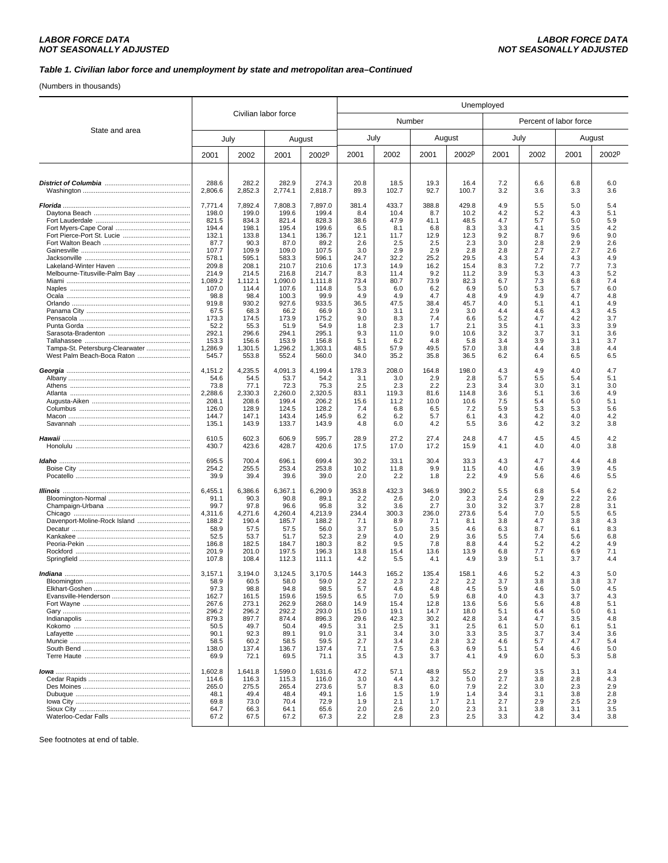(Numbers in thousands)

|                                         |         |                      |         | Unemployed |       |        |       |        |      |                        |      |        |
|-----------------------------------------|---------|----------------------|---------|------------|-------|--------|-------|--------|------|------------------------|------|--------|
| State and area                          |         | Civilian labor force |         |            |       | Number |       |        |      | Percent of labor force |      |        |
|                                         | July    |                      |         | August     |       | July   |       | August |      | July                   |      | August |
|                                         | 2001    | 2002                 | 2001    | 2002P      | 2001  | 2002   | 2001  | 2002P  | 2001 | 2002                   | 2001 | 2002P  |
|                                         | 288.6   | 282.2                | 282.9   | 274.3      | 20.8  | 18.5   | 19.3  | 16.4   | 7.2  | 6.6                    | 6.8  | 6.0    |
|                                         | 2,806.6 | 2,852.3              | 2,774.1 | 2,818.7    | 89.3  | 102.7  | 92.7  | 100.7  | 3.2  | 3.6                    | 3.3  | 3.6    |
|                                         | 7,771.4 | 7,892.4              | 7,808.3 | 7,897.0    | 381.4 | 433.7  | 388.8 | 429.8  | 4.9  | 5.5                    | 5.0  | 5.4    |
|                                         | 198.0   | 199.0                | 199.6   | 199.4      | 8.4   | 10.4   | 8.7   | 10.2   | 4.2  | 5.2                    | 4.3  | 5.1    |
|                                         | 821.5   | 834.3                | 821.4   | 828.3      | 38.6  | 47.9   | 41.1  | 48.5   | 4.7  | 5.7                    | 5.0  | 5.9    |
|                                         | 194.4   | 198.1                | 195.4   | 199.6      | 6.5   | 8.1    | 6.8   | 8.3    | 3.3  | 4.1                    | 3.5  | 4.2    |
|                                         | 132.1   | 133.8                | 134.1   | 136.7      | 12.1  | 11.7   | 12.9  | 12.3   | 9.2  | 8.7                    | 9.6  | 9.0    |
|                                         | 87.7    | 90.3                 | 87.0    | 89.2       | 2.6   | 2.5    | 2.5   | 2.3    | 3.0  | 2.8                    | 2.9  | 2.6    |
|                                         | 107.7   | 109.9                | 109.0   | 107.5      | 3.0   | 2.9    | 2.9   | 2.8    | 2.8  | 2.7                    | 2.7  | 2.6    |
|                                         | 578.1   | 595.1                | 583.3   | 596.1      | 24.7  | 32.2   | 25.2  | 29.5   | 4.3  | 5.4                    | 4.3  | 4.9    |
|                                         | 209.8   | 208.1                | 210.7   | 210.6      | 17.3  | 14.9   | 16.2  | 15.4   | 8.3  | 7.2                    | 7.7  | 7.3    |
| Melbourne-Titusville-Palm Bay           | 214.9   | 214.5                | 216.8   | 214.7      | 8.3   | 11.4   | 9.2   | 11.2   | 3.9  | 5.3                    | 4.3  | 5.2    |
|                                         | 1,089.2 | 1,112.1              | 1,090.0 | 1,111.8    | 73.4  | 80.7   | 73.9  | 82.3   | 6.7  | 7.3                    | 6.8  | 7.4    |
|                                         | 107.0   | 114.4                | 107.6   | 114.8      | 5.3   | 6.0    | 6.2   | 6.9    | 5.0  | 5.3                    | 5.7  | 6.0    |
|                                         | 98.8    | 98.4                 | 100.3   | 99.9       | 4.9   | 4.9    | 4.7   | 4.8    | 4.9  | 4.9                    | 4.7  | 4.8    |
|                                         | 919.8   | 930.2                | 927.6   | 933.5      | 36.5  | 47.5   | 38.4  | 45.7   | 4.0  | 5.1                    | 4.1  | 4.9    |
|                                         | 67.5    | 68.3                 | 66.2    | 66.9       | 3.0   | 3.1    | 2.9   | 3.0    | 4.4  | 4.6                    | 4.3  | 4.5    |
|                                         | 173.3   | 174.5                | 173.9   | 175.2      | 9.0   | 8.3    | 7.4   | 6.6    | 5.2  | 4.7                    | 4.2  | 3.7    |
|                                         | 52.2    | 55.3                 | 51.9    | 54.9       | 1.8   | 2.3    | 1.7   | 2.1    | 3.5  | 4.1                    | 3.3  | 3.9    |
|                                         | 292.1   | 296.6                | 294.1   | 295.1      | 9.3   | 11.0   | 9.0   | 10.6   | 3.2  | 3.7                    | 3.1  | 3.6    |
|                                         | 153.3   | 156.6                | 153.9   | 156.8      | 5.1   | 6.2    | 4.8   | 5.8    | 3.4  | 3.9                    | 3.1  | 3.7    |
| Tampa-St. Petersburg-Clearwater         | 1,286.9 | 1,301.5              | 1,296.2 | 1,303.1    | 48.5  | 57.9   | 49.5  | 57.0   | 3.8  | 4.4                    | 3.8  | 4.4    |
| West Palm Beach-Boca Raton              | 545.7   | 553.8                | 552.4   | 560.0      | 34.0  | 35.2   | 35.8  | 36.5   | 6.2  | 6.4                    | 6.5  | 6.5    |
|                                         | 4,151.2 | 4,235.5              | 4,091.3 | 4,199.4    | 178.3 | 208.0  | 164.8 | 198.0  | 4.3  | 4.9                    | 4.0  | 4.7    |
|                                         | 54.6    | 54.5                 | 53.7    | 54.2       | 3.1   | 3.0    | 2.9   | 2.8    | 5.7  | 5.5                    | 5.4  | 5.1    |
|                                         | 73.8    | 77.1                 | 72.3    | 75.3       | 2.5   | 2.3    | 2.2   | 2.3    | 3.4  | 3.0                    | 3.1  | 3.0    |
|                                         | 2,288.6 | 2,330.3              | 2,260.0 | 2,320.5    | 83.1  | 119.3  | 81.6  | 114.8  | 3.6  | 5.1                    | 3.6  | 4.9    |
|                                         | 208.1   | 208.6                | 199.4   | 206.2      | 15.6  | 11.2   | 10.0  | 10.6   | 7.5  | 5.4                    | 5.0  | 5.1    |
|                                         | 126.0   | 128.9                | 124.5   | 128.2      | 7.4   | 6.8    | 6.5   | 7.2    | 5.9  | 5.3                    | 5.3  | 5.6    |
|                                         | 144.7   | 147.1                | 143.4   | 145.9      | 6.2   | 6.2    | 5.7   | 6.1    | 4.3  | 4.2                    | 4.0  | 4.2    |
|                                         | 135.1   | 143.9                | 133.7   | 143.9      | 4.8   | 6.0    | 4.2   | 5.5    | 3.6  | 4.2                    | 3.2  | 3.8    |
|                                         | 610.5   | 602.3                | 606.9   | 595.7      | 28.9  | 27.2   | 27.4  | 24.8   | 4.7  | 4.5                    | 4.5  | 4.2    |
|                                         | 430.7   | 423.6                | 428.7   | 420.6      | 17.5  | 17.0   | 17.2  | 15.9   | 4.1  | 4.0                    | 4.0  | 3.8    |
|                                         | 695.5   | 700.4                | 696.1   | 699.4      | 30.2  | 33.1   | 30.4  | 33.3   | 4.3  | 4.7                    | 4.4  | 4.8    |
|                                         | 254.2   | 255.5                | 253.4   | 253.8      | 10.2  | 11.8   | 9.9   | 11.5   | 4.0  | 4.6                    | 3.9  | 4.5    |
|                                         | 39.9    | 39.4                 | 39.6    | 39.0       | 2.0   | 2.2    | 1.8   | 2.2    | 4.9  | 5.6                    | 4.6  | 5.5    |
| <u>Illinois ……………………………………………………………</u> | 6,455.1 | 6,386.6              | 6,367.1 | 6,290.9    | 353.8 | 432.3  | 346.9 | 390.2  | 5.5  | 6.8                    | 5.4  | 6.2    |
|                                         | 91.1    | 90.3                 | 90.8    | 89.1       | 2.2   | 2.6    | 2.0   | 2.3    | 2.4  | 2.9                    | 2.2  | 2.6    |
|                                         | 99.7    | 97.8                 | 96.6    | 95.8       | 3.2   | 3.6    | 2.7   | 3.0    | 3.2  | 3.7                    | 2.8  | 3.1    |
|                                         | 4,311.6 | 4,271.6              | 4,260.4 | 4,213.9    | 234.4 | 300.3  | 236.0 | 273.6  | 5.4  | 7.0                    | 5.5  | 6.5    |
| Davenport-Moline-Rock Island            | 188.2   | 190.4                | 185.7   | 188.2      | 7.1   | 8.9    | 7.1   | 8.1    | 3.8  | 4.7                    | 3.8  | 4.3    |
|                                         | 58.9    | 57.5                 | 57.5    | 56.0       | 3.7   | 5.0    | 3.5   | 4.6    | 6.3  | 8.7                    | 6.1  | 8.3    |
|                                         | 52.5    | 53.7                 | 51.7    | 52.3       | 2.9   | 4.0    | 2.9   | 3.6    | 5.5  | 7.4                    | 5.6  | 6.8    |
|                                         | 186.8   | 182.5                | 184.7   | 180.3      | 8.2   | 9.5    | 7.8   | 8.8    | 4.4  | 5.2                    | 4.2  | 4.9    |
|                                         | 201.9   | 201.0                | 197.5   | 196.3      | 13.8  | 15.4   | 13.6  | 13.9   | 6.8  | 7.7                    | 6.9  | 7.1    |
|                                         | 107.8   | 108.4                | 112.3   | 111.1      | 4.2   | 5.5    | 4.1   | 4.9    | 3.9  | 5.1                    | 3.7  | 4.4    |
|                                         | 3,157.1 | 3.194.0              | 3,124.5 | 3.170.5    | 144.3 | 165.2  | 135.4 | 158.1  | 4.6  | 5.2                    | 4.3  | 5.0    |
|                                         | 58.9    | 60.5                 | 58.0    | 59.0       | 2.2   | 2.3    | 2.2   | 2.2    | 3.7  | 3.8                    | 3.8  | 3.7    |
|                                         | 97.3    | 98.8                 | 94.8    | 98.5       | 5.7   | 4.6    | 4.8   | 4.5    | 5.9  | 4.6                    | 5.0  | 4.5    |
|                                         | 162.7   | 161.5                | 159.6   | 159.5      | 6.5   | 7.0    | 5.9   | 6.8    | 4.0  | 4.3                    | 3.7  | 4.3    |
|                                         | 267.6   | 273.1                | 262.9   | 268.0      | 14.9  | 15.4   | 12.8  | 13.6   | 5.6  | 5.6                    | 4.8  | 5.1    |
|                                         | 296.2   | 296.2                | 292.2   | 293.0      | 15.0  | 19.1   | 14.7  | 18.0   | 5.1  | 6.4                    | 5.0  | 6.1    |
|                                         | 879.3   | 897.7                | 874.4   | 896.3      | 29.6  | 42.3   | 30.2  | 42.8   | 3.4  | 4.7                    | 3.5  | 4.8    |
|                                         | 50.5    | 49.7                 | 50.4    | 49.5       | 3.1   | 2.5    | 3.1   | 2.5    | 6.1  | 5.0                    | 6.1  | 5.1    |
|                                         | 90.1    | 92.3                 | 89.1    | 91.0       | 3.1   | 3.4    | 3.0   | 3.3    | 3.5  | 3.7                    | 3.4  | 3.6    |
|                                         | 58.5    | 60.2                 | 58.5    | 59.5       | 2.7   | 3.4    | 2.8   | 3.2    | 4.6  | 5.7                    | 4.7  | 5.4    |
|                                         | 138.0   | 137.4                | 136.7   | 137.4      | 7.1   | 7.5    | 6.3   | 6.9    | 5.1  | 5.4                    | 4.6  | 5.0    |
|                                         | 69.9    | 72.1                 | 69.5    | 71.1       | 3.5   | 4.3    | 3.7   | 4.1    | 4.9  | 6.0                    | 5.3  | 5.8    |
|                                         | 1,602.8 | 1,641.8              | 1,599.0 | 1,631.6    | 47.2  | 57.1   | 48.9  | 55.2   | 2.9  | 3.5                    | 3.1  | 3.4    |
|                                         | 114.6   | 116.3                | 115.3   | 116.0      | 3.0   | 4.4    | 3.2   | 5.0    | 2.7  | 3.8                    | 2.8  | 4.3    |
|                                         | 265.0   | 275.5                | 265.4   | 273.6      | 5.7   | 8.3    | 6.0   | 7.9    | 2.2  | 3.0                    | 2.3  | 2.9    |
|                                         | 48.1    | 49.4                 | 48.4    | 49.1       | 1.6   | 1.5    | 1.9   | 1.4    | 3.4  | 3.1                    | 3.8  | 2.8    |
|                                         | 69.8    | 73.0                 | 70.4    | 72.9       | 1.9   | 2.1    | 1.7   | 2.1    | 2.7  | 2.9                    | 2.5  | 2.9    |
|                                         | 64.7    | 66.3                 | 64.1    | 65.6       | 2.0   | 2.6    | 2.0   | 2.3    | 3.1  | 3.8                    | 3.1  | 3.5    |
|                                         | 67.2    | 67.5                 | 67.2    | 67.3       | 2.2   | 2.8    | 2.3   | 2.5    | 3.3  | 4.2                    | 3.4  | 3.8    |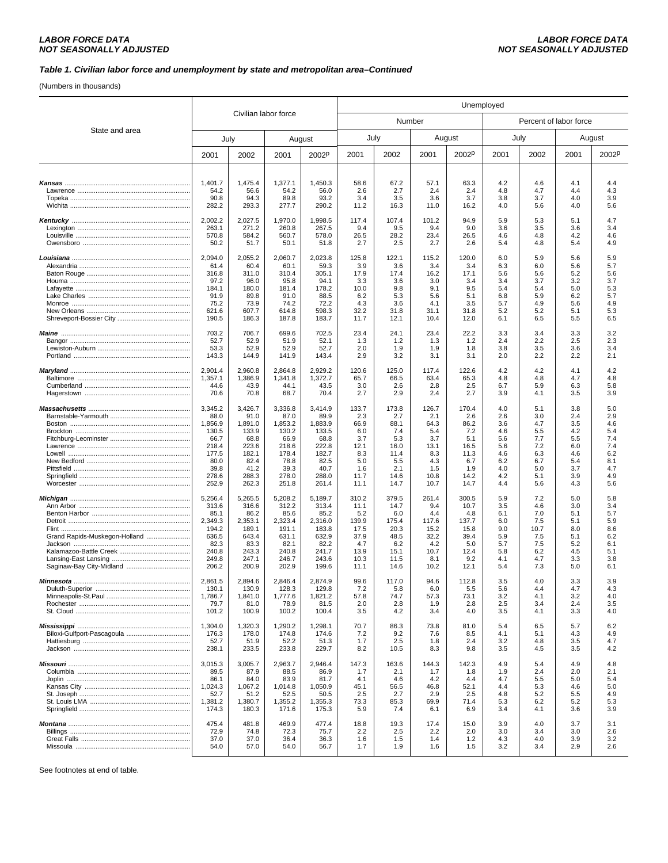(Numbers in thousands)

|                               | Civilian labor force  |                       |                       |                       | Unemployed         |                    |                    |                    |                   |                   |                        |                   |
|-------------------------------|-----------------------|-----------------------|-----------------------|-----------------------|--------------------|--------------------|--------------------|--------------------|-------------------|-------------------|------------------------|-------------------|
|                               |                       |                       |                       |                       |                    | Number             |                    |                    |                   |                   | Percent of labor force |                   |
| State and area                | July                  |                       | August                |                       |                    | July               |                    | August             |                   | July              |                        | August            |
|                               | 2001                  | 2002                  | 2001                  | 2002P                 | 2001               | 2002               | 2001               | 2002P              | 2001              | 2002              | 2001                   | 2002P             |
|                               |                       |                       |                       |                       |                    |                    |                    |                    |                   |                   |                        |                   |
|                               | 1,401.7               | 1,475.4               | 1,377.1               | 1,450.3               | 58.6               | 67.2               | 57.1               | 63.3               | 4.2               | 4.6               | 4.1                    | 4.4               |
|                               | 54.2<br>90.8<br>282.2 | 56.6<br>94.3<br>293.3 | 54.2<br>89.8<br>277.7 | 56.0<br>93.2<br>290.2 | 2.6<br>3.4<br>11.2 | 2.7<br>3.5<br>16.3 | 2.4<br>3.6<br>11.0 | 2.4<br>3.7<br>16.2 | 4.8<br>3.8<br>4.0 | 4.7<br>3.7<br>5.6 | 4.4<br>4.0<br>4.0      | 4.3<br>3.9<br>5.6 |
|                               | 2,002.2               | 2,027.5               | 1,970.0               | 1,998.5               | 117.4              | 107.4              | 101.2              | 94.9               | 5.9               | 5.3               | 5.1                    | 4.7               |
|                               | 263.1<br>570.8        | 271.2<br>584.2        | 260.8<br>560.7        | 267.5<br>578.0        | 9.4<br>26.5        | 9.5<br>28.2        | 9.4<br>23.4        | 9.0<br>26.5        | 3.6<br>4.6        | 3.5<br>4.8        | 3.6<br>4.2             | 3.4<br>4.6        |
|                               | 50.2                  | 51.7                  | 50.1                  | 51.8                  | 2.7                | 2.5                | 2.7                | 2.6                | 5.4               | 4.8               | 5.4                    | 4.9               |
|                               | 2,094.0<br>61.4       | 2,055.2<br>60.4       | 2,060.7<br>60.1       | 2,023.8<br>59.3       | 125.8<br>3.9       | 122.1<br>3.6       | 115.2<br>3.4       | 120.0<br>3.4       | 6.0<br>6.3        | 5.9<br>6.0        | 5.6<br>5.6             | 5.9<br>5.7        |
|                               | 316.8                 | 311.0                 | 310.4                 | 305.1                 | 17.9               | 17.4               | 16.2               | 17.1               | 5.6               | 5.6               | 5.2                    | 5.6               |
|                               | 97.2                  | 96.0                  | 95.8                  | 94.1                  | 3.3                | 3.6                | 3.0                | 3.4                | 3.4               | 3.7               | 3.2                    | 3.7               |
|                               | 184.1<br>91.9         | 180.0<br>89.8         | 181.4<br>91.0         | 178.2<br>88.5         | 10.0<br>6.2        | 9.8<br>5.3         | 9.1<br>5.6         | 9.5<br>5.1         | 5.4<br>6.8        | 5.4<br>5.9        | 5.0<br>6.2             | 5.3<br>5.7        |
|                               | 75.2                  | 73.9                  | 74.2                  | 72.2                  | 4.3                | 3.6                | 4.1                | 3.5                | 5.7               | 4.9               | 5.6                    | 4.9               |
|                               | 621.6                 | 607.7                 | 614.8                 | 598.3                 | 32.2               | 31.8               | 31.1               | 31.8               | 5.2               | 5.2               | 5.1                    | 5.3               |
|                               | 190.5                 | 186.3                 | 187.8                 | 183.7                 | 11.7               | 12.1               | 10.4               | 12.0               | 6.1               | 6.5               | 5.5                    | 6.5               |
|                               | 703.2<br>52.7         | 706.7<br>52.9         | 699.6<br>51.9         | 702.5<br>52.1         | 23.4<br>1.3        | 24.1<br>1.2        | 23.4<br>1.3        | 22.2<br>1.2        | 3.3<br>2.4        | 3.4<br>2.2        | 3.3<br>2.5             | 3.2<br>2.3        |
|                               | 53.3                  | 52.9                  | 52.9                  | 52.7                  | 2.0                | 1.9                | 1.9                | 1.8                | 3.8               | 3.5               | 3.6                    | 3.4               |
|                               | 143.3                 | 144.9                 | 141.9                 | 143.4                 | 2.9                | 3.2                | 3.1                | 3.1                | 2.0               | 2.2               | 2.2                    | 2.1               |
|                               | 2,901.4<br>1,357.1    | 2.960.8<br>1,386.9    | 2,864.8<br>1,341.8    | 2.929.2<br>1,372.7    | 120.6<br>65.7      | 125.0<br>66.5      | 117.4<br>63.4      | 122.6<br>65.3      | 4.2<br>4.8        | 4.2<br>4.8        | 4.1<br>4.7             | 4.2<br>4.8        |
|                               | 44.6                  | 43.9                  | 44.1                  | 43.5                  | 3.0                | 2.6                | 2.8                | 2.5                | 6.7               | 5.9               | 6.3                    | 5.8               |
|                               | 70.6                  | 70.8                  | 68.7                  | 70.4                  | 2.7                | 2.9                | 2.4                | 2.7                | 3.9               | 4.1               | 3.5                    | 3.9               |
|                               | 3,345.2               | 3.426.7               | 3,336.8               | 3,414.9               | 133.7              | 173.8              | 126.7              | 170.4              | 4.0               | 5.1               | 3.8                    | 5.0               |
|                               | 88.0<br>1,856.9       | 91.0<br>1,891.0       | 87.0<br>1,853.2       | 89.9<br>1,883.9       | 2.3<br>66.9        | 2.7<br>88.1        | 2.1<br>64.3        | 2.6<br>86.2        | 2.6<br>3.6        | 3.0<br>4.7        | 2.4<br>3.5             | 2.9<br>4.6        |
|                               | 130.5                 | 133.9                 | 130.2                 | 133.5                 | 6.0                | 7.4                | 5.4                | 7.2                | 4.6               | 5.5               | 4.2                    | 5.4               |
|                               | 66.7                  | 68.8                  | 66.9                  | 68.8                  | 3.7                | 5.3                | 3.7                | 5.1                | 5.6               | 7.7               | 5.5                    | 7.4               |
|                               | 218.4                 | 223.6                 | 218.6                 | 222.8                 | 12.1               | 16.0               | 13.1               | 16.5               | 5.6               | 7.2               | 6.0                    | 7.4               |
|                               | 177.5<br>80.0         | 182.1<br>82.4         | 178.4<br>78.8         | 182.7<br>82.5         | 8.3<br>5.0         | 11.4<br>5.5        | 8.3<br>4.3         | 11.3<br>6.7        | 4.6<br>6.2        | 6.3<br>6.7        | 4.6<br>5.4             | 6.2<br>8.1        |
|                               | 39.8                  | 41.2                  | 39.3                  | 40.7                  | 1.6                | 2.1                | 1.5                | 1.9                | 4.0               | 5.0               | 3.7                    | 4.7               |
|                               | 278.6<br>252.9        | 288.3<br>262.3        | 278.0<br>251.8        | 288.0<br>261.4        | 11.7<br>11.1       | 14.6<br>14.7       | 10.8<br>10.7       | 14.2<br>14.7       | 4.2<br>4.4        | 5.1<br>5.6        | 3.9<br>4.3             | 4.9<br>5.6        |
|                               |                       |                       |                       |                       |                    |                    |                    |                    |                   |                   |                        |                   |
|                               | 5,256.4<br>313.6      | 5,265.5<br>316.6      | 5,208.2<br>312.2      | 5,189.7<br>313.4      | 310.2<br>11.1      | 379.5<br>14.7      | 261.4<br>9.4       | 300.5<br>10.7      | 5.9<br>3.5        | 7.2<br>4.6        | 5.0<br>3.0             | 5.8<br>3.4        |
|                               | 85.1                  | 86.2                  | 85.6                  | 85.2                  | 5.2                | 6.0                | 4.4                | 4.8                | 6.1               | 7.0               | 5.1                    | 5.7               |
|                               | 2,349.3<br>194.2      | 2,353.1<br>189.1      | 2.323.4<br>191.1      | 2,316.0<br>183.8      | 139.9<br>17.5      | 175.4<br>20.3      | 117.6<br>15.2      | 137.7<br>15.8      | 6.0<br>9.0        | 7.5<br>10.7       | 5.1<br>8.0             | 5.9<br>8.6        |
| Grand Rapids-Muskegon-Holland | 636.5                 | 643.4                 | 631.1                 | 632.9                 | 37.9               | 48.5               | 32.2               | 39.4               | 5.9               | 7.5               | 5.1                    | 6.2               |
|                               | 82.3                  | 83.3                  | 82.1                  | 82.2                  | 4.7                | 6.2                | 4.2                | 5.0                | 5.7               | 7.5               | 5.2                    | 6.1               |
|                               | 240.8<br>249.8        | 243.3<br>247.1        | 240.8<br>246.7        | 241.7<br>243.6        | 13.9<br>10.3       | 15.1<br>11.5       | 10.7<br>8.1        | 12.4<br>9.2        | 5.8<br>4.1        | 6.2<br>4.7        | 4.5<br>3.3             | 5.1<br>3.8        |
| Saginaw-Bay City-Midland      | 206.2                 | 200.9                 | 202.9                 | 199.6                 | 11.1               | 14.6               | 10.2               | 12.1               | 5.4               | 7.3               | 5.0                    | 6.1               |
|                               | 2,861.5               | 2,894.6               | 2,846.4               | 2,874.9               | 99.6               | 117.0              | 94.6               | 112.8              | 3.5               | 4.0               | 3.3                    | 3.9               |
|                               | 130.1                 | 130.9                 | 128.3                 | 129.8                 | 7.2                | 5.8                | 6.0                | 5.5                | 5.6               | 4.4               | 4.7                    | 4.3               |
|                               | 1,786.7<br>79.7       | 1,841.0<br>81.0       | 1,777.6<br>78.9       | 1,821.2<br>81.5       | 57.8<br>2.0        | 74.7<br>2.8        | 57.3<br>1.9        | 73.1<br>2.8        | 3.2<br>2.5        | 4.1<br>3.4        | 3.2<br>2.4             | 4.0<br>3.5        |
|                               | 101.2                 | 100.9                 | 100.2                 | 100.4                 | 3.5                | 4.2                | 3.4                | 4.0                | 3.5               | 4.1               | 3.3                    | 4.0               |
|                               | 1,304.0               | 1,320.3               | 1,290.2               | 1,298.1               | 70.7               | 86.3               | 73.8               | 81.0               | 5.4               | 6.5               | 5.7                    | 6.2               |
|                               | 176.3<br>52.7         | 178.0<br>51.9         | 174.8<br>52.2         | 174.6<br>51.3         | 7.2<br>1.7         | 9.2<br>2.5         | 7.6<br>1.8         | 8.5<br>2.4         | 4.1<br>3.2        | 5.1<br>4.8        | 4.3<br>3.5             | 4.9<br>4.7        |
|                               | 238.1                 | 233.5                 | 233.8                 | 229.7                 | 8.2                | 10.5               | 8.3                | 9.8                | 3.5               | 4.5               | 3.5                    | 4.2               |
|                               | 3,015.3               | 3,005.7               | 2,963.7               | 2,946.4               | 147.3              | 163.6              | 144.3              | 142.3              | 4.9               | 5.4               | 4.9                    | 4.8               |
|                               | 89.5                  | 87.9                  | 88.5                  | 86.9                  | 1.7                | 2.1                | 1.7                | 1.8                | 1.9               | 2.4               | 2.0                    | 2.1               |
|                               | 86.1<br>1,024.3       | 84.0<br>1,067.2       | 83.9<br>1,014.8       | 81.7<br>1,050.9       | 4.1<br>45.1        | 4.6<br>56.5        | 4.2<br>46.8        | 4.4<br>52.1        | 4.7<br>4.4        | 5.5<br>5.3        | 5.0<br>4.6             | 5.4<br>5.0        |
|                               | 52.7                  | 51.2                  | 52.5                  | 50.5                  | 2.5                | 2.7                | 2.9                | 2.5                | 4.8               | 5.2               | 5.5                    | 4.9               |
|                               | 1.381.2               | 1,380.7               | 1,355.2               | 1,355.3               | 73.3               | 85.3               | 69.9               | 71.4               | 5.3               | 6.2               | 5.2                    | 5.3               |
|                               | 174.3                 | 180.3                 | 171.6                 | 175.3                 | 5.9                | 7.4                | 6.1                | 6.9                | 3.4               | 4.1               | 3.6                    | 3.9               |
|                               | 475.4                 | 481.8                 | 469.9                 | 477.4                 | 18.8               | 19.3               | 17.4               | 15.0               | 3.9               | 4.0               | 3.7                    | 3.1               |
|                               | 72.9<br>37.0          | 74.8<br>37.0          | 72.3<br>36.4          | 75.7<br>36.3          | 2.2<br>1.6         | 2.5<br>1.5         | 2.2<br>1.4         | 2.0<br>1.2         | 3.0<br>4.3        | 3.4<br>4.0        | 3.0<br>3.9             | 2.6<br>3.2        |
|                               | 54.0                  | 57.0                  | 54.0                  | 56.7                  | 1.7                | 1.9                | 1.6                | 1.5                | 3.2               | 3.4               | 2.9                    | 2.6               |
|                               |                       |                       |                       |                       |                    |                    |                    |                    |                   |                   |                        |                   |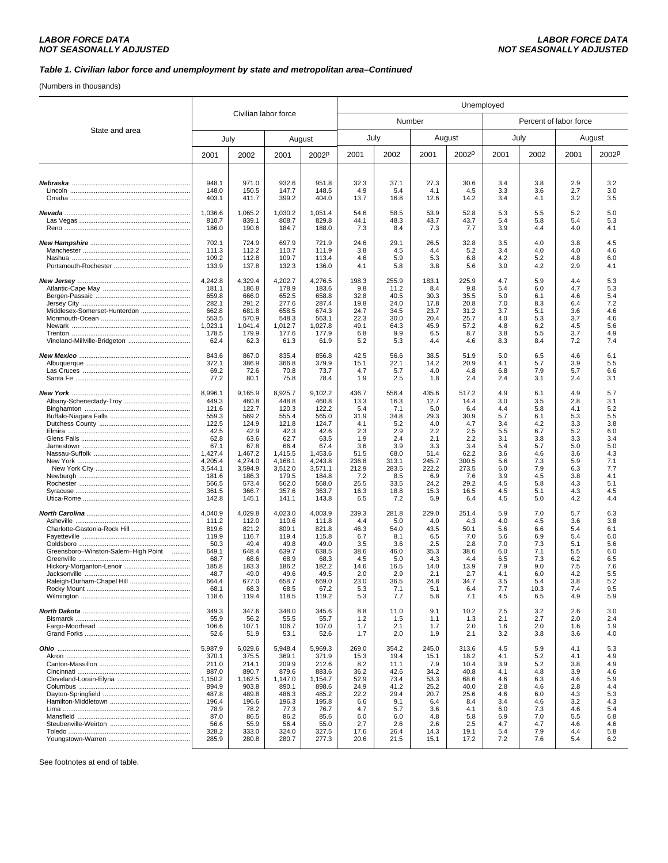(Numbers in thousands)

|                                     | Civilian labor force |         |         | Unemployed |       |        |        |       |      |                        |      |        |
|-------------------------------------|----------------------|---------|---------|------------|-------|--------|--------|-------|------|------------------------|------|--------|
|                                     |                      |         |         |            |       | Number |        |       |      | Percent of labor force |      |        |
| State and area                      | July                 |         |         | August     | July  |        | August |       |      | July                   |      | August |
|                                     | 2001                 | 2002    | 2001    | 2002P      | 2001  | 2002   | 2001   | 2002P | 2001 | 2002                   | 2001 | 2002P  |
|                                     | 948.1                | 971.0   | 932.6   | 951.8      | 32.3  | 37.1   | 27.3   | 30.6  | 3.4  | 3.8                    | 2.9  | 3.2    |
|                                     | 148.0                | 150.5   | 147.7   | 148.5      | 4.9   | 5.4    | 4.1    | 4.5   | 3.3  | 3.6                    | 2.7  | 3.0    |
|                                     | 403.1                | 411.7   | 399.2   | 404.0      | 13.7  | 16.8   | 12.6   | 14.2  | 3.4  | 4.1                    | 3.2  | 3.5    |
|                                     | 1,036.6              | 1,065.2 | 1,030.2 | 1,051.4    | 54.6  | 58.5   | 53.9   | 52.8  | 5.3  | 5.5                    | 5.2  | 5.0    |
|                                     | 810.7                | 839.1   | 808.7   | 829.8      | 44.1  | 48.3   | 43.7   | 43.7  | 5.4  | 5.8                    | 5.4  | 5.3    |
|                                     | 186.0                | 190.6   | 184.7   | 188.0      | 7.3   | 8.4    | 7.3    | 7.7   | 3.9  | 4.4                    | 4.0  | 4.1    |
|                                     | 702.1                | 724.9   | 697.9   | 721.9      | 24.6  | 29.1   | 26.5   | 32.8  | 3.5  | 4.0                    | 3.8  | 4.5    |
|                                     | 111.3                | 112.2   | 110.7   | 111.9      | 3.8   | 4.5    | 4.4    | 5.2   | 3.4  | 4.0                    | 4.0  | 4.6    |
|                                     | 109.2                | 112.8   | 109.7   | 113.4      | 4.6   | 5.9    | 5.3    | 6.8   | 4.2  | 5.2                    | 4.8  | 6.0    |
|                                     | 133.9                | 137.8   | 132.3   | 136.0      | 4.1   | 5.8    | 3.8    | 5.6   | 3.0  | 4.2                    | 2.9  | 4.1    |
|                                     | 4,242.8              | 4,329.4 | 4,202.7 | 4,276.5    | 198.3 | 255.9  | 183.1  | 225.9 | 4.7  | 5.9                    | 4.4  | 5.3    |
|                                     | 181.1                | 186.8   | 178.9   | 183.6      | 9.8   | 11.2   | 8.4    | 9.8   | 5.4  | 6.0                    | 4.7  | 5.3    |
|                                     | 659.8                | 666.0   | 652.5   | 658.8      | 32.8  | 40.5   | 30.3   | 35.5  | 5.0  | 6.1                    | 4.6  | 5.4    |
|                                     | 282.1                | 291.2   | 277.6   | 287.4      | 19.8  | 24.0   | 17.8   | 20.8  | 7.0  | 8.3                    | 6.4  | 7.2    |
| Middlesex-Somerset-Hunterdon        | 662.8                | 681.8   | 658.5   | 674.3      | 24.7  | 34.5   | 23.7   | 31.2  | 3.7  | 5.1                    | 3.6  | 4.6    |
|                                     | 553.5                | 570.9   | 548.3   | 563.1      | 22.3  | 30.0   | 20.4   | 25.7  | 4.0  | 5.3                    | 3.7  | 4.6    |
|                                     | 1,023.1              | 1,041.4 | 1,012.7 | 1,027.8    | 49.1  | 64.3   | 45.9   | 57.2  | 4.8  | 6.2                    | 4.5  | 5.6    |
|                                     | 178.5                | 179.9   | 177.6   | 177.9      | 6.8   | 9.9    | 6.5    | 8.7   | 3.8  | 5.5                    | 3.7  | 4.9    |
|                                     | 62.4                 | 62.3    | 61.3    | 61.9       | 5.2   | 5.3    | 4.4    | 4.6   | 8.3  | 8.4                    | 7.2  | 7.4    |
|                                     | 843.6                | 867.0   | 835.4   | 856.8      | 42.5  | 56.6   | 38.5   | 51.9  | 5.0  | 6.5                    | 4.6  | 6.1    |
|                                     | 372.1                | 386.9   | 366.8   | 379.9      | 15.1  | 22.1   | 14.2   | 20.9  | 4.1  | 5.7                    | 3.9  | 5.5    |
|                                     | 69.2                 | 72.6    | 70.8    | 73.7       | 4.7   | 5.7    | 4.0    | 4.8   | 6.8  | 7.9                    | 5.7  | 6.6    |
|                                     | 77.2                 | 80.1    | 75.8    | 78.4       | 1.9   | 2.5    | 1.8    | 2.4   | 2.4  | 3.1                    | 2.4  | 3.1    |
|                                     | 8,996.1              | 9,165.9 | 8,925.7 | 9,102.2    | 436.7 | 556.4  | 435.6  | 517.2 | 4.9  | 6.1                    | 4.9  | 5.7    |
|                                     | 449.3                | 460.8   | 448.8   | 460.8      | 13.3  | 16.3   | 12.7   | 14.4  | 3.0  | 3.5                    | 2.8  | 3.1    |
|                                     | 121.6                | 122.7   | 120.3   | 122.2      | 5.4   | 7.1    | 5.0    | 6.4   | 4.4  | 5.8                    | 4.1  | 5.2    |
|                                     | 559.3                | 569.2   | 555.4   | 565.0      | 31.9  | 34.8   | 29.3   | 30.9  | 5.7  | 6.1                    | 5.3  | 5.5    |
|                                     | 122.5                | 124.9   | 121.8   | 124.7      | 4.1   | 5.2    | 4.0    | 4.7   | 3.4  | 4.2                    | 3.3  | 3.8    |
|                                     | 42.5                 | 42.9    | 42.3    | 42.6       | 2.3   | 2.9    | 2.2    | 2.5   | 5.5  | 6.7                    | 5.2  | 6.0    |
|                                     | 62.8                 | 63.6    | 62.7    | 63.5       | 1.9   | 2.4    | 2.1    | 2.2   | 3.1  | 3.8                    | 3.3  | 3.4    |
|                                     | 67.1                 | 67.8    | 66.4    | 67.4       | 3.6   | 3.9    | 3.3    | 3.4   | 5.4  | 5.7                    | 5.0  | 5.0    |
|                                     | 1,427.4              | 1,467.2 | 1,415.5 | 1,453.6    | 51.5  | 68.0   | 51.4   | 62.2  | 3.6  | 4.6                    | 3.6  | 4.3    |
|                                     | 4,205.4              | 4,274.0 | 4,168.1 | 4,243.8    | 236.8 | 313.1  | 245.7  | 300.5 | 5.6  | 7.3                    | 5.9  | 7.1    |
|                                     | 3,544.1              | 3,594.9 | 3,512.0 | 3,571.1    | 212.9 | 283.5  | 222.2  | 273.5 | 6.0  | 7.9                    | 6.3  | 7.7    |
|                                     | 181.6                | 186.3   | 179.5   | 184.8      | 7.2   | 8.5    | 6.9    | 7.6   | 3.9  | 4.5                    | 3.8  | 4.1    |
|                                     | 566.5                | 573.4   | 562.0   | 568.0      | 25.5  | 33.5   | 24.2   | 29.2  | 4.5  | 5.8                    | 4.3  | 5.1    |
|                                     | 361.5                | 366.7   | 357.6   | 363.7      | 16.3  | 18.8   | 15.3   | 16.5  | 4.5  | 5.1                    | 4.3  | 4.5    |
|                                     | 142.8                | 145.1   | 141.1   | 143.8      | 6.5   | 7.2    | 5.9    | 6.4   | 4.5  | 5.0                    | 4.2  | 4.4    |
|                                     | 4,040.9              | 4,029.8 | 4,023.0 | 4,003.9    | 239.3 | 281.8  | 229.0  | 251.4 | 5.9  | 7.0                    | 5.7  | 6.3    |
|                                     | 111.2                | 112.0   | 110.6   | 111.8      | 4.4   | 5.0    | 4.0    | 4.3   | 4.0  | 4.5                    | 3.6  | 3.8    |
| Charlotte-Gastonia-Rock Hill        | 819.6                | 821.2   | 809.1   | 821.8      | 46.3  | 54.0   | 43.5   | 50.1  | 5.6  | 6.6                    | 5.4  | 6.1    |
|                                     | 119.9                | 116.7   | 119.4   | 115.8      | 6.7   | 8.1    | 6.5    | 7.0   | 5.6  | 6.9                    | 5.4  | 6.0    |
|                                     | 50.3                 | 49.4    | 49.8    | 49.0       | 3.5   | 3.6    | 2.5    | 2.8   | 7.0  | 7.3                    | 5.1  | 5.6    |
| Greensboro-Winston-Salem-High Point | 649.1                | 648.4   | 639.7   | 638.5      | 38.6  | 46.0   | 35.3   | 38.6  | 6.0  | 7.1                    | 5.5  | 6.0    |
|                                     | 68.7                 | 68.6    | 68.9    | 68.3       | 4.5   | 5.0    | 4.3    | 4.4   | 6.5  | 7.3                    | 6.2  | 6.5    |
|                                     | 185.8                | 183.3   | 186.2   | 182.2      | 14.6  | 16.5   | 14.0   | 13.9  | 7.9  | 9.0                    | 7.5  | 7.6    |
|                                     | 48.7                 | 49.0    | 49.6    | 49.5       | 2.0   | 2.9    | 2.1    | 2.7   | 4.1  | 6.0                    | 4.2  | 5.5    |
|                                     | 664.4                | 677.0   | 658.7   | 669.0      | 23.0  | 36.5   | 24.8   | 34.7  | 3.5  | 5.4                    | 3.8  | 5.2    |
|                                     | 68.1                 | 68.3    | 68.5    | 67.2       | 5.3   | 7.1    | 5.1    | 6.4   | 7.7  | 10.3                   | 7.4  | 9.5    |
|                                     | 118.6                | 119.4   | 118.5   | 119.2      | 5.3   | 7.7    | 5.8    | 7.1   | 4.5  | 6.5                    | 4.9  | 5.9    |
|                                     | 349.3                | 347.6   | 348.0   | 345.6      | 8.8   | 11.0   | 9.1    | 10.2  | 2.5  | 3.2                    | 2.6  | 3.0    |
|                                     | 55.9                 | 56.2    | 55.5    | 55.7       | 1.2   | 1.5    | 1.1    | 1.3   | 2.1  | 2.7                    | 2.0  | 2.4    |
|                                     | 106.6                | 107.1   | 106.7   | 107.0      | 1.7   | 2.1    | 1.7    | 2.0   | 1.6  | 2.0                    | 1.6  | 1.9    |
|                                     | 52.6                 | 51.9    | 53.1    | 52.6       | 1.7   | 2.0    | 1.9    | 2.1   | 3.2  | 3.8                    | 3.6  | 4.0    |
|                                     | 5,987.9              | 6.029.6 | 5,948.4 | 5,969.3    | 269.0 | 354.2  | 245.0  | 313.6 | 4.5  | 5.9                    | 4.1  | 5.3    |
|                                     | 370.1                | 375.5   | 369.1   | 371.9      | 15.3  | 19.4   | 15.1   | 18.2  | 4.1  | 5.2                    | 4.1  | 4.9    |
|                                     | 211.0                | 214.1   | 209.9   | 212.6      | 8.2   | 11.1   | 7.9    | 10.4  | 3.9  | 5.2                    | 3.8  | 4.9    |
|                                     | 887.0                | 890.7   | 879.6   | 883.6      | 36.2  | 42.6   | 34.2   | 40.8  | 4.1  | 4.8                    | 3.9  | 4.6    |
|                                     | 1,150.2              | 1,162.5 | 1,147.0 | 1,154.7    | 52.9  | 73.4   | 53.3   | 68.6  | 4.6  | 6.3                    | 4.6  | 5.9    |
|                                     | 894.9                | 903.8   | 890.1   | 898.6      | 24.9  | 41.2   | 25.2   | 40.0  | 2.8  | 4.6                    | 2.8  | 4.4    |
|                                     | 487.8                | 489.8   | 486.3   | 485.2      | 22.2  | 29.4   | 20.7   | 25.6  | 4.6  | 6.0                    | 4.3  | 5.3    |
|                                     | 196.4                | 196.6   | 196.3   | 195.8      | 6.6   | 9.1    | 6.4    | 8.4   | 3.4  | 4.6                    | 3.2  | 4.3    |
|                                     | 78.9                 | 78.2    | 77.3    | 76.7       | 4.7   | 5.7    | 3.6    | 4.1   | 6.0  | 7.3                    | 4.6  | 5.4    |
|                                     | 87.0                 | 86.5    | 86.2    | 85.6       | 6.0   | 6.0    | 4.8    | 5.8   | 6.9  | 7.0                    | 5.5  | 6.8    |
|                                     | 56.6                 | 55.9    | 56.4    | 55.0       | 2.7   | 2.6    | 2.6    | 2.5   | 4.7  | 4.7                    | 4.6  | 4.6    |
|                                     | 328.2                | 333.0   | 324.0   | 327.5      | 17.6  | 26.4   | 14.3   | 19.1  | 5.4  | 7.9                    | 4.4  | 5.8    |
|                                     | 285.9                | 280.8   | 280.7   | 277.3      | 20.6  | 21.5   | 15.1   | 17.2  | 7.2  | 7.6                    | 5.4  | 6.2    |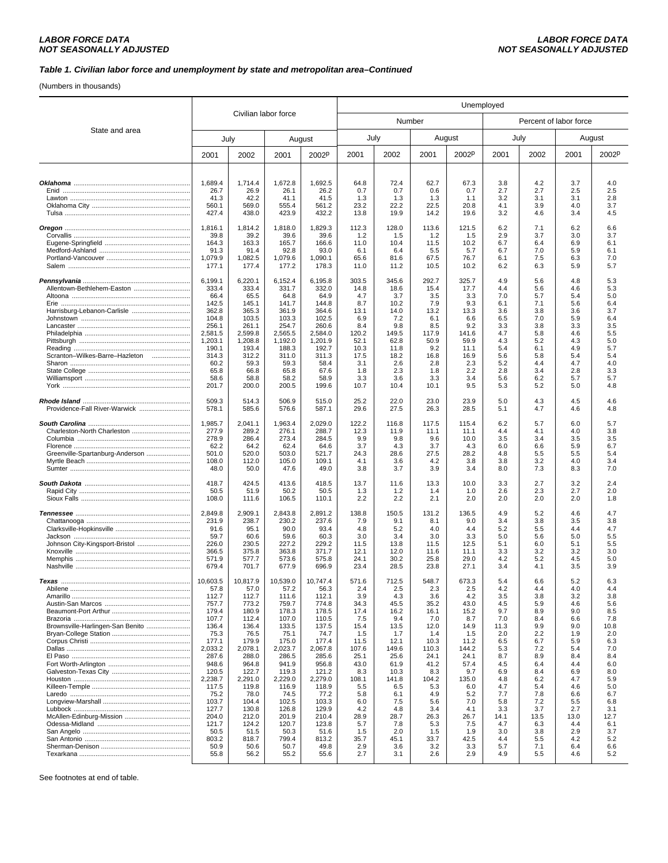(Numbers in thousands)

|                                  |                  |                  |                      |                   |               | Unemployed    |               |               |             |             |                        |             |
|----------------------------------|------------------|------------------|----------------------|-------------------|---------------|---------------|---------------|---------------|-------------|-------------|------------------------|-------------|
|                                  |                  |                  | Civilian labor force |                   |               | Number        |               |               |             |             | Percent of labor force |             |
| State and area                   |                  | July             |                      | August            |               | July          |               | August        |             | July        |                        | August      |
|                                  | 2001             | 2002             | 2001                 | 2002 <sup>p</sup> | 2001          | 2002          | 2001          | 2002P         | 2001        | 2002        | 2001                   | 2002P       |
|                                  |                  |                  |                      |                   |               |               |               |               |             |             |                        |             |
|                                  | 1,689.4          | 1,714.4          | 1,672.8              | 1,692.5           | 64.8          | 72.4          | 62.7          | 67.3          | 3.8         | 4.2         | 3.7                    | 4.0         |
|                                  | 26.7<br>41.3     | 26.9<br>42.2     | 26.1<br>41.1         | 26.2<br>41.5      | 0.7<br>1.3    | 0.7<br>1.3    | 0.6<br>1.3    | 0.7<br>1.1    | 2.7<br>3.2  | 2.7<br>3.1  | 2.5<br>3.1             | 2.5<br>2.8  |
|                                  | 560.1            | 569.0            | 555.4                | 561.2             | 23.2          | 22.2          | 22.5          | 20.8          | 4.1         | 3.9         | 4.0                    | 3.7         |
|                                  | 427.4            | 438.0            | 423.9                | 432.2             | 13.8          | 19.9          | 14.2          | 19.6          | 3.2         | 4.6         | 3.4                    | 4.5         |
|                                  | 1,816.1          | 1,814.2          | 1,818.0              | 1,829.3           | 112.3         | 128.0         | 113.6         | 121.5         | 6.2         | 7.1         | 6.2                    | 6.6         |
|                                  | 39.8<br>164.3    | 39.2<br>163.3    | 39.6<br>165.7        | 39.6<br>166.6     | 1.2<br>11.0   | 1.5<br>10.4   | 1.2<br>11.5   | 1.5<br>10.2   | 2.9<br>6.7  | 3.7<br>6.4  | 3.0<br>6.9             | 3.7<br>6.1  |
|                                  | 91.3             | 91.4             | 92.8                 | 93.0              | 6.1           | 6.4           | 5.5           | 5.7           | 6.7         | 7.0         | 5.9                    | 6.1         |
|                                  | 1,079.9<br>177.1 | 1,082.5<br>177.4 | 1,079.6<br>177.2     | 1,090.1<br>178.3  | 65.6<br>11.0  | 81.6<br>11.2  | 67.5<br>10.5  | 76.7<br>10.2  | 6.1<br>6.2  | 7.5<br>6.3  | 6.3<br>5.9             | 7.0<br>5.7  |
|                                  |                  |                  |                      |                   |               |               |               |               |             |             |                        |             |
| Allentown-Bethlehem-Easton       | 6,199.1<br>333.4 | 6,220.1<br>333.4 | 6,152.4<br>331.7     | 6,195.8<br>332.0  | 303.5<br>14.8 | 345.6<br>18.6 | 292.7<br>15.4 | 325.7<br>17.7 | 4.9<br>4.4  | 5.6<br>5.6  | 4.8<br>4.6             | 5.3<br>5.3  |
|                                  | 66.4             | 65.5             | 64.8                 | 64.9              | 4.7           | 3.7           | 3.5           | 3.3           | 7.0         | 5.7         | 5.4                    | 5.0         |
|                                  | 142.5<br>362.8   | 145.1<br>365.3   | 141.7<br>361.9       | 144.8<br>364.6    | 8.7<br>13.1   | 10.2<br>14.0  | 7.9<br>13.2   | 9.3<br>13.3   | 6.1<br>3.6  | 7.1<br>3.8  | 5.6<br>3.6             | 6.4<br>3.7  |
|                                  | 104.8            | 103.5            | 103.3                | 102.5             | 6.9           | 7.2           | 6.1           | 6.6           | 6.5         | 7.0         | 5.9                    | 6.4         |
|                                  | 256.1<br>2,581.5 | 261.1<br>2,599.8 | 254.7<br>2,565.5     | 260.6<br>2,584.0  | 8.4<br>120.2  | 9.8<br>149.5  | 8.5<br>117.9  | 9.2<br>141.6  | 3.3<br>4.7  | 3.8<br>5.8  | 3.3<br>4.6             | 3.5<br>5.5  |
|                                  | 1,203.1          | 1,208.8          | 1,192.0              | 1,201.9           | 52.1          | 62.8          | 50.9          | 59.9          | 4.3         | 5.2         | 4.3                    | 5.0         |
| Scranton-Wilkes-Barre-Hazleton   | 190.1<br>314.3   | 193.4<br>312.2   | 188.3<br>311.0       | 192.7<br>311.3    | 10.3<br>17.5  | 11.8<br>18.2  | 9.2<br>16.8   | 11.1<br>16.9  | 5.4<br>5.6  | 6.1<br>5.8  | 4.9<br>5.4             | 5.7<br>5.4  |
|                                  | 60.2             | 59.3             | 59.3                 | 58.4              | 3.1           | 2.6           | 2.8           | 2.3           | 5.2         | 4.4         | 4.7                    | 4.0         |
|                                  | 65.8<br>58.6     | 66.8<br>58.8     | 65.8<br>58.2         | 67.6<br>58.9      | 1.8<br>3.3    | 2.3<br>3.6    | 1.8<br>3.3    | 2.2<br>3.4    | 2.8<br>5.6  | 3.4<br>6.2  | 2.8<br>5.7             | 3.3<br>5.7  |
|                                  | 201.7            | 200.0            | 200.5                | 199.6             | 10.7          | 10.4          | 10.1          | 9.5           | 5.3         | 5.2         | 5.0                    | 4.8         |
| Providence-Fall River-Warwick    | 509.3<br>578.1   | 514.3<br>585.6   | 506.9<br>576.6       | 515.0<br>587.1    | 25.2<br>29.6  | 22.0<br>27.5  | 23.0<br>26.3  | 23.9<br>28.5  | 5.0<br>5.1  | 4.3<br>4.7  | 4.5<br>4.6             | 4.6<br>4.8  |
|                                  | 1,985.7          | 2,041.1          | 1,963.4              | 2,029.0           | 122.2         | 116.8         | 117.5         | 115.4         | 6.2         | 5.7         | 6.0                    | 5.7         |
| Charleston-North Charleston      | 277.9            | 289.2            | 276.1                | 288.7             | 12.3          | 11.9          | 11.1          | 11.1          | 4.4         | 4.1         | 4.0                    | 3.8         |
|                                  | 278.9            | 286.4            | 273.4                | 284.5             | 9.9           | 9.8           | 9.6           | 10.0          | 3.5         | 3.4         | 3.5                    | 3.5         |
| Greenville-Spartanburg-Anderson  | 62.2<br>501.0    | 64.2<br>520.0    | 62.4<br>503.0        | 64.6<br>521.7     | 3.7<br>24.3   | 4.3<br>28.6   | 3.7<br>27.5   | 4.3<br>28.2   | 6.0<br>4.8  | 6.6<br>5.5  | 5.9<br>5.5             | 6.7<br>5.4  |
|                                  | 108.0            | 112.0            | 105.0                | 109.1             | 4.1           | 3.6           | 4.2           | 3.8           | 3.8         | 3.2         | 4.0                    | 3.4         |
|                                  | 48.0             | 50.0             | 47.6                 | 49.0              | 3.8           | 3.7           | 3.9           | 3.4           | 8.0         | 7.3         | 8.3                    | 7.0         |
|                                  | 418.7<br>50.5    | 424.5<br>51.9    | 413.6<br>50.2        | 418.5<br>50.5     | 13.7<br>1.3   | 11.6<br>1.2   | 13.3<br>1.4   | 10.0<br>1.0   | 3.3<br>2.6  | 2.7<br>2.3  | 3.2<br>2.7             | 2.4<br>2.0  |
|                                  | 108.0            | 111.6            | 106.5                | 110.1             | 2.2           | 2.2           | 2.1           | 2.0           | 2.0         | 2.0         | 2.0                    | 1.8         |
|                                  | 2,849.8          | 2,909.1          | 2,843.8              | 2,891.2           | 138.8         | 150.5         | 131.2         | 136.5         | 4.9         | 5.2         | 4.6                    | 4.7         |
|                                  | 231.9<br>91.6    | 238.7<br>95.1    | 230.2<br>90.0        | 237.6<br>93.4     | 7.9<br>4.8    | 9.1<br>5.2    | 8.1<br>4.0    | 9.0<br>4.4    | 3.4<br>5.2  | 3.8<br>5.5  | 3.5<br>4.4             | 3.8<br>4.7  |
|                                  | 59.7             | 60.6             | 59.6                 | 60.3              | 3.0           | 3.4           | 3.0           | 3.3           | 5.0         | 5.6         | 5.0                    | 5.5         |
|                                  | 226.0            | 230.5            | 227.2                | 229.2             | 11.5          | 13.8          | 11.5          | 12.5          | 5.1         | 6.0         | 5.1                    | 5.5         |
|                                  | 366.5<br>571.9   | 375.8<br>577.7   | 363.8<br>573.6       | 371.7<br>575.8    | 12.1<br>24.1  | 12.0<br>30.2  | 11.6<br>25.8  | 11.1<br>29.0  | 3.3<br>4.2  | 3.2<br>5.2  | 3.2<br>4.5             | 3.0<br>5.0  |
|                                  | 679.4            | 701.7            | 677.9                | 696.9             | 23.4          | 28.5          | 23.8          | 27.1          | 3.4         | 4.1         | 3.5                    | 3.9         |
|                                  | 10,603.5         | 10,817.9         | 10,539.0             | 10,747.4          | 571.6         | 712.5         | 548.7         | 673.3         | 5.4         | 6.6         | 5.2                    | 6.3         |
|                                  | 57.8<br>112.7    | 57.0<br>112.7    | 57.2<br>111.6        | 56.3<br>112.1     | 2.4<br>3.9    | 2.5<br>4.3    | 2.3<br>3.6    | 2.5<br>4.2    | 4.2<br>3.5  | 4.4<br>3.8  | 4.0<br>3.2             | 4.4<br>3.8  |
|                                  | 757.7            | 773.2            | 759.7                | 774.8             | 34.3          | 45.5          | 35.2          | 43.0          | 4.5         | 5.9         | 4.6                    | 5.6         |
|                                  | 179.4<br>107.7   | 180.9<br>112.4   | 178.3<br>107.0       | 178.5<br>110.5    | 17.4<br>7.5   | 16.2<br>9.4   | 16.1<br>7.0   | 15.2<br>8.7   | 9.7<br>7.0  | 8.9<br>8.4  | 9.0<br>6.6             | 8.5<br>7.8  |
| Brownsville-Harlingen-San Benito | 136.4            | 136.4            | 133.5                | 137.5             | 15.4          | 13.5          | 12.0          | 14.9          | 11.3        | 9.9         | 9.0                    | 10.8        |
|                                  | 75.3<br>177.1    | 76.5<br>179.9    | 75.1<br>175.0        | 74.7<br>177.4     | 1.5<br>11.5   | 1.7<br>12.1   | 1.4<br>10.3   | 1.5<br>11.2   | 2.0<br>6.5  | 2.2<br>6.7  | 1.9<br>5.9             | 2.0<br>6.3  |
|                                  | 2,033.2          | 2,078.1          | 2,023.7              | 2,067.8           | 107.6         | 149.6         | 110.3         | 144.2         | 5.3         | 7.2         | 5.4                    | 7.0         |
|                                  | 287.6            | 288.0            | 286.5                | 285.6             | 25.1          | 25.6          | 24.1          | 24.1          | 8.7         | 8.9         | 8.4                    | 8.4         |
|                                  | 948.6<br>120.5   | 964.8<br>122.7   | 941.9<br>119.3       | 956.8<br>121.2    | 43.0<br>8.3   | 61.9<br>10.3  | 41.2<br>8.3   | 57.4<br>9.7   | 4.5<br>6.9  | 6.4<br>8.4  | 4.4<br>6.9             | 6.0<br>8.0  |
|                                  | 2,238.7          | 2,291.0          | 2,229.0              | 2,279.0           | 108.1         | 141.8         | 104.2         | 135.0         | 4.8         | 6.2         | 4.7                    | 5.9         |
|                                  | 117.5<br>75.2    | 119.8<br>78.0    | 116.9<br>74.5        | 118.9<br>77.2     | 5.5<br>5.8    | 6.5<br>6.1    | 5.3<br>4.9    | 6.0<br>5.2    | 4.7<br>7.7  | 5.4<br>7.8  | 4.6<br>6.6             | 5.0<br>6.7  |
|                                  | 103.7            | 104.4            | 102.5                | 103.3             | 6.0           | 7.5           | 5.6           | 7.0           | 5.8         | 7.2         | 5.5                    | 6.8         |
|                                  | 127.7<br>204.0   | 130.8<br>212.0   | 126.8<br>201.9       | 129.9<br>210.4    | 4.2<br>28.9   | 4.8<br>28.7   | 3.4<br>26.3   | 4.1<br>26.7   | 3.3<br>14.1 | 3.7<br>13.5 | 2.7<br>13.0            | 3.1<br>12.7 |
|                                  | 121.7            | 124.2            | 120.7                | 123.8             | 5.7           | 7.8           | 5.3           | 7.5           | 4.7         | 6.3         | 4.4                    | 6.1         |
|                                  | 50.5<br>803.2    | 51.5<br>818.7    | 50.3<br>799.4        | 51.6<br>813.2     | 1.5<br>35.7   | 2.0<br>45.1   | 1.5<br>33.7   | 1.9<br>42.5   | 3.0<br>4.4  | 3.8<br>5.5  | 2.9<br>4.2             | 3.7<br>5.2  |
|                                  | 50.9             | 50.6             | 50.7                 | 49.8              | 2.9           | 3.6           | 3.2           | 3.3           | 5.7         | 7.1         | 6.4                    | 6.6         |
|                                  | 55.8             | 56.2             | 55.2                 | 55.6              | 2.7           | 3.1           | 2.6           | 2.9           | 4.9         | 5.5         | 4.6                    | 5.2         |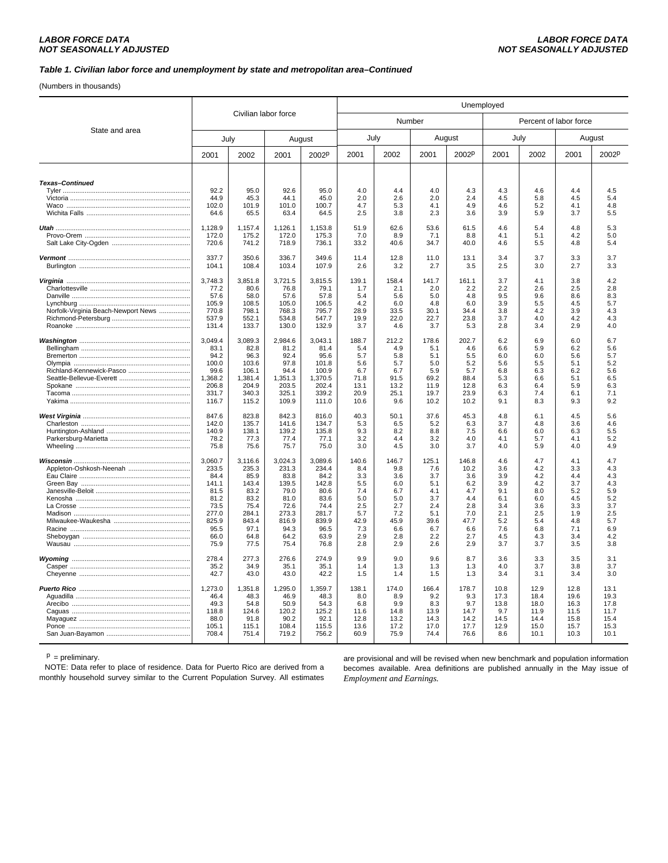(Numbers in thousands)

| Civilian labor force<br>Number<br>Percent of labor force<br>State and area<br>July<br>August<br>July<br>August<br>July<br>August<br>2001<br>2002P<br>2002<br>2002P<br>2001<br>2002<br>2001<br>2001<br>2001<br>2002<br>2001<br>2002P<br><b>Texas-Continued</b><br>92.2<br>95.0<br>4.5<br>95.0<br>92.6<br>4.0<br>4.4<br>4.0<br>4.3<br>4.3<br>4.6<br>4.4<br>45.0<br>2.0<br>44.9<br>45.3<br>44.1<br>2.0<br>2.6<br>2.4<br>4.5<br>5.8<br>4.5<br>5.4<br>4.9<br>102.0<br>101.9<br>101.0<br>100.7<br>4.7<br>5.3<br>4.6<br>5.2<br>4.8<br>4.1<br>4.1<br>64.6<br>64.5<br>2.5<br>2.3<br>3.6<br>3.9<br>5.9<br>65.5<br>63.4<br>3.8<br>3.7<br>5.5<br>61.5<br>5.3<br>1,128.9<br>1,157.4<br>1,126.1<br>1,153.8<br>51.9<br>62.6<br>53.6<br>4.6<br>5.4<br>4.8<br>172.0<br>175.2<br>172.0<br>175.3<br>7.0<br>8.9<br>8.8<br>4.1<br>5.1<br>4.2<br>5.0<br>7.1<br>720.6<br>741.2<br>718.9<br>736.1<br>33.2<br>40.6<br>34.7<br>40.0<br>4.6<br>5.5<br>4.8<br>5.4<br>337.7<br>350.6<br>336.7<br>349.6<br>12.8<br>3.7<br>11.4<br>11.0<br>13.1<br>3.4<br>3.7<br>3.3<br>108.4<br>103.4<br>2.5<br>104.1<br>107.9<br>2.6<br>3.2<br>2.7<br>3.5<br>3.0<br>2.7<br>3.3<br>3,748.3<br>3,851.8<br>3,721.5<br>139.1<br>4.2<br>3,815.5<br>158.4<br>141.7<br>161.1<br>3.7<br>4.1<br>3.8<br>80.6<br>2.1<br>2.2<br>2.2<br>2.6<br>2.8<br>77.2<br>76.8<br>79.1<br>1.7<br>2.0<br>2.5<br>57.6<br>58.0<br>57.6<br>57.8<br>5.4<br>5.6<br>5.0<br>4.8<br>9.5<br>9.6<br>8.6<br>8.3<br>105.9<br>108.5<br>105.0<br>106.5<br>4.2<br>6.0<br>4.8<br>6.0<br>3.9<br>5.5<br>4.5<br>5.7<br>28.9<br>Norfolk-Virginia Beach-Newport News<br>770.8<br>798.1<br>768.3<br>795.7<br>33.5<br>30.1<br>34.4<br>3.8<br>4.2<br>3.9<br>4.3<br>537.9<br>534.8<br>547.7<br>22.0<br>22.7<br>23.8<br>4.0<br>552.1<br>19.9<br>3.7<br>4.2<br>4.3<br>130.0<br>131.4<br>133.7<br>132.9<br>3.7<br>4.6<br>3.7<br>5.3<br>2.8<br>3.4<br>2.9<br>4.0<br>3,049.4<br>3,089.3<br>2,984.6<br>3,043.1<br>188.7<br>212.2<br>178.6<br>202.7<br>6.2<br>6.9<br>6.0<br>6.7<br>83.1<br>82.8<br>81.2<br>81.4<br>5.4<br>4.9<br>6.6<br>5.6<br>5.1<br>4.6<br>5.9<br>6.2<br>94.2<br>92.4<br>95.6<br>5.8<br>5.5<br>6.0<br>6.0<br>5.7<br>96.3<br>5.7<br>5.1<br>5.6<br>100.0<br>97.8<br>101.8<br>5.7<br>5.2<br>5.2<br>103.6<br>5.6<br>5.0<br>5.6<br>5.5<br>5.1<br>99.6<br>100.9<br>5.7<br>5.6<br>106.1<br>94.4<br>6.7<br>6.7<br>5.9<br>6.8<br>6.3<br>6.2<br>1,368.2<br>1,351.3<br>1,370.5<br>69.2<br>6.5<br>1,381.4<br>71.8<br>91.5<br>88.4<br>5.3<br>6.6<br>5.1<br>6.3<br>206.8<br>204.9<br>203.5<br>202.4<br>13.1<br>13.2<br>11.9<br>12.8<br>6.4<br>5.9<br>6.3<br>331.7<br>340.3<br>325.1<br>339.2<br>20.9<br>25.1<br>19.7<br>23.9<br>6.3<br>7.4<br>7.1<br>6.1<br>115.2<br>109.9<br>9.6<br>8.3<br>9.2<br>116.7<br>111.0<br>10.6<br>10.2<br>10.2<br>9.1<br>9.3<br>847.6<br>823.8<br>842.3<br>816.0<br>40.3<br>50.1<br>37.6<br>45.3<br>4.8<br>6.1<br>4.5<br>5.6<br>142.0<br>135.7<br>141.6<br>134.7<br>5.3<br>6.5<br>5.2<br>6.3<br>3.7<br>4.8<br>3.6<br>4.6<br>140.9<br>138.1<br>139.2<br>135.8<br>9.3<br>8.2<br>8.8<br>7.5<br>6.6<br>6.0<br>5.5<br>6.3<br>78.2<br>3.2<br>3.2<br>4.0<br>4.1<br>5.2<br>77.3<br>77.4<br>77.1<br>4.4<br>5.7<br>4.1<br>75.8<br>75.0<br>3.0<br>4.5<br>3.0<br>3.7<br>4.0<br>5.9<br>4.9<br>75.6<br>75.7<br>4.0<br>3,060.7<br>3,024.3<br>3.089.6<br>140.6<br>125.1<br>146.8<br>4.7<br>3,116.6<br>146.7<br>4.6<br>4.7<br>4.1<br>233.5<br>235.3<br>231.3<br>234.4<br>10.2<br>3.6<br>4.2<br>8.4<br>9.8<br>7.6<br>3.3<br>4.3<br>84.4<br>85.9<br>84.2<br>3.9<br>4.2<br>4.3<br>83.8<br>3.3<br>3.6<br>3.7<br>3.6<br>4.4<br>143.4<br>139.5<br>142.8<br>6.2<br>3.9<br>3.7<br>141.1<br>5.5<br>6.0<br>5.1<br>4.2<br>4.3<br>81.5<br>83.2<br>79.0<br>80.6<br>7.4<br>6.7<br>4.1<br>4.7<br>9.1<br>8.0<br>5.2<br>5.9<br>81.2<br>83.2<br>81.0<br>83.6<br>5.0<br>5.0<br>3.7<br>4.4<br>6.1<br>6.0<br>4.5<br>5.2<br>73.5<br>75.4<br>72.6<br>74.4<br>2.5<br>2.7<br>2.4<br>2.8<br>3.4<br>3.6<br>3.3<br>3.7<br>277.0<br>284.1<br>273.3<br>281.7<br>5.7<br>7.2<br>5.1<br>7.0<br>2.1<br>2.5<br>1.9<br>2.5<br>825.9<br>843.4<br>816.9<br>839.9<br>42.9<br>45.9<br>39.6<br>47.7<br>5.2<br>4.8<br>5.7<br>5.4<br>7.3<br>95.5<br>97.1<br>94.3<br>96.5<br>6.6<br>6.6<br>7.6<br>7.1<br>6.9<br>6.7<br>6.8<br>66.0<br>64.2<br>2.9<br>2.7<br>4.2<br>64.8<br>63.9<br>2.8<br>2.2<br>4.5<br>4.3<br>3.4<br>2.9<br>76.8<br>2.8<br>2.9<br>3.7<br>3.7<br>3.8<br>75.9<br>77.5<br>75.4<br>2.6<br>3.5<br>278.4<br>277.3<br>276.6<br>274.9<br>9.9<br>9.0<br>9.6<br>8.7<br>3.6<br>3.3<br>3.5<br>3.1<br>35.2<br>34.9<br>35.1<br>35.1<br>1.4<br>1.3<br>1.3<br>1.3<br>4.0<br>3.7<br>3.8<br>3.7<br>42.7<br>43.0<br>43.0<br>42.2<br>1.5<br>1.4<br>1.5<br>1.3<br>3.4<br>3.1<br>3.4<br>3.0<br>1,273.0<br>1,351.8<br>1,295.0<br>1,359.7<br>138.1<br>174.0<br>178.7<br>12.9<br>12.8<br>166.4<br>10.8<br>13.1<br>46.4<br>48.3<br>46.9<br>48.3<br>8.0<br>8.9<br>9.2<br>9.3<br>19.6<br>17.3<br>18.4<br>19.3<br>9.7<br>49.3<br>54.8<br>50.9<br>54.3<br>9.9<br>13.8<br>18.0<br>16.3<br>6.8<br>8.3<br>17.8<br>118.8<br>124.6<br>120.2<br>125.2<br>11.6<br>14.8<br>13.9<br>14.7<br>9.7<br>11.9<br>11.5<br>11.7<br>14.2<br>88.0<br>91.8<br>90.2<br>92.1<br>12.8<br>13.2<br>14.3<br>14.5<br>14.4<br>15.8<br>15.4<br>105.1<br>115.1<br>108.4<br>115.5<br>13.6<br>17.2<br>17.0<br>17.7<br>12.9<br>15.0<br>15.7<br>15.3<br>708.4<br>751.4<br>719.2<br>756.2<br>60.9<br>75.9<br>74.4<br>76.6<br>8.6<br>10.1<br>10.3<br>10.1 |  |  | Unemployed |  |  |  |  |  |  |
|---------------------------------------------------------------------------------------------------------------------------------------------------------------------------------------------------------------------------------------------------------------------------------------------------------------------------------------------------------------------------------------------------------------------------------------------------------------------------------------------------------------------------------------------------------------------------------------------------------------------------------------------------------------------------------------------------------------------------------------------------------------------------------------------------------------------------------------------------------------------------------------------------------------------------------------------------------------------------------------------------------------------------------------------------------------------------------------------------------------------------------------------------------------------------------------------------------------------------------------------------------------------------------------------------------------------------------------------------------------------------------------------------------------------------------------------------------------------------------------------------------------------------------------------------------------------------------------------------------------------------------------------------------------------------------------------------------------------------------------------------------------------------------------------------------------------------------------------------------------------------------------------------------------------------------------------------------------------------------------------------------------------------------------------------------------------------------------------------------------------------------------------------------------------------------------------------------------------------------------------------------------------------------------------------------------------------------------------------------------------------------------------------------------------------------------------------------------------------------------------------------------------------------------------------------------------------------------------------------------------------------------------------------------------------------------------------------------------------------------------------------------------------------------------------------------------------------------------------------------------------------------------------------------------------------------------------------------------------------------------------------------------------------------------------------------------------------------------------------------------------------------------------------------------------------------------------------------------------------------------------------------------------------------------------------------------------------------------------------------------------------------------------------------------------------------------------------------------------------------------------------------------------------------------------------------------------------------------------------------------------------------------------------------------------------------------------------------------------------------------------------------------------------------------------------------------------------------------------------------------------------------------------------------------------------------------------------------------------------------------------------------------------------------------------------------------------------------------------------------------------------------------------------------------------------------------------------------------------------------------------------------------------------------------------------------------------------------------------------------------------------------------------------------------------------------------------------------------------------------------------------------------------------------------------------------------------------------------------------------------------------------------------------------------------------------------------------------------------------------------------------------------------------------------------------------------------------------------------------------------------------------------------------------------------------------------------------------------------------------------------------------------------------------------------------------------------------------------------------------------------------------------------------------------------------------------------------------------------------------------------------------------------------------------------------------------------------------------------------------------|--|--|------------|--|--|--|--|--|--|
|                                                                                                                                                                                                                                                                                                                                                                                                                                                                                                                                                                                                                                                                                                                                                                                                                                                                                                                                                                                                                                                                                                                                                                                                                                                                                                                                                                                                                                                                                                                                                                                                                                                                                                                                                                                                                                                                                                                                                                                                                                                                                                                                                                                                                                                                                                                                                                                                                                                                                                                                                                                                                                                                                                                                                                                                                                                                                                                                                                                                                                                                                                                                                                                                                                                                                                                                                                                                                                                                                                                                                                                                                                                                                                                                                                                                                                                                                                                                                                                                                                                                                                                                                                                                                                                                                                                                                                                                                                                                                                                                                                                                                                                                                                                                                                                                                                                                                                                                                                                                                                                                                                                                                                                                                                                                                                                                                                     |  |  |            |  |  |  |  |  |  |
|                                                                                                                                                                                                                                                                                                                                                                                                                                                                                                                                                                                                                                                                                                                                                                                                                                                                                                                                                                                                                                                                                                                                                                                                                                                                                                                                                                                                                                                                                                                                                                                                                                                                                                                                                                                                                                                                                                                                                                                                                                                                                                                                                                                                                                                                                                                                                                                                                                                                                                                                                                                                                                                                                                                                                                                                                                                                                                                                                                                                                                                                                                                                                                                                                                                                                                                                                                                                                                                                                                                                                                                                                                                                                                                                                                                                                                                                                                                                                                                                                                                                                                                                                                                                                                                                                                                                                                                                                                                                                                                                                                                                                                                                                                                                                                                                                                                                                                                                                                                                                                                                                                                                                                                                                                                                                                                                                                     |  |  |            |  |  |  |  |  |  |
|                                                                                                                                                                                                                                                                                                                                                                                                                                                                                                                                                                                                                                                                                                                                                                                                                                                                                                                                                                                                                                                                                                                                                                                                                                                                                                                                                                                                                                                                                                                                                                                                                                                                                                                                                                                                                                                                                                                                                                                                                                                                                                                                                                                                                                                                                                                                                                                                                                                                                                                                                                                                                                                                                                                                                                                                                                                                                                                                                                                                                                                                                                                                                                                                                                                                                                                                                                                                                                                                                                                                                                                                                                                                                                                                                                                                                                                                                                                                                                                                                                                                                                                                                                                                                                                                                                                                                                                                                                                                                                                                                                                                                                                                                                                                                                                                                                                                                                                                                                                                                                                                                                                                                                                                                                                                                                                                                                     |  |  |            |  |  |  |  |  |  |
|                                                                                                                                                                                                                                                                                                                                                                                                                                                                                                                                                                                                                                                                                                                                                                                                                                                                                                                                                                                                                                                                                                                                                                                                                                                                                                                                                                                                                                                                                                                                                                                                                                                                                                                                                                                                                                                                                                                                                                                                                                                                                                                                                                                                                                                                                                                                                                                                                                                                                                                                                                                                                                                                                                                                                                                                                                                                                                                                                                                                                                                                                                                                                                                                                                                                                                                                                                                                                                                                                                                                                                                                                                                                                                                                                                                                                                                                                                                                                                                                                                                                                                                                                                                                                                                                                                                                                                                                                                                                                                                                                                                                                                                                                                                                                                                                                                                                                                                                                                                                                                                                                                                                                                                                                                                                                                                                                                     |  |  |            |  |  |  |  |  |  |
|                                                                                                                                                                                                                                                                                                                                                                                                                                                                                                                                                                                                                                                                                                                                                                                                                                                                                                                                                                                                                                                                                                                                                                                                                                                                                                                                                                                                                                                                                                                                                                                                                                                                                                                                                                                                                                                                                                                                                                                                                                                                                                                                                                                                                                                                                                                                                                                                                                                                                                                                                                                                                                                                                                                                                                                                                                                                                                                                                                                                                                                                                                                                                                                                                                                                                                                                                                                                                                                                                                                                                                                                                                                                                                                                                                                                                                                                                                                                                                                                                                                                                                                                                                                                                                                                                                                                                                                                                                                                                                                                                                                                                                                                                                                                                                                                                                                                                                                                                                                                                                                                                                                                                                                                                                                                                                                                                                     |  |  |            |  |  |  |  |  |  |
|                                                                                                                                                                                                                                                                                                                                                                                                                                                                                                                                                                                                                                                                                                                                                                                                                                                                                                                                                                                                                                                                                                                                                                                                                                                                                                                                                                                                                                                                                                                                                                                                                                                                                                                                                                                                                                                                                                                                                                                                                                                                                                                                                                                                                                                                                                                                                                                                                                                                                                                                                                                                                                                                                                                                                                                                                                                                                                                                                                                                                                                                                                                                                                                                                                                                                                                                                                                                                                                                                                                                                                                                                                                                                                                                                                                                                                                                                                                                                                                                                                                                                                                                                                                                                                                                                                                                                                                                                                                                                                                                                                                                                                                                                                                                                                                                                                                                                                                                                                                                                                                                                                                                                                                                                                                                                                                                                                     |  |  |            |  |  |  |  |  |  |
|                                                                                                                                                                                                                                                                                                                                                                                                                                                                                                                                                                                                                                                                                                                                                                                                                                                                                                                                                                                                                                                                                                                                                                                                                                                                                                                                                                                                                                                                                                                                                                                                                                                                                                                                                                                                                                                                                                                                                                                                                                                                                                                                                                                                                                                                                                                                                                                                                                                                                                                                                                                                                                                                                                                                                                                                                                                                                                                                                                                                                                                                                                                                                                                                                                                                                                                                                                                                                                                                                                                                                                                                                                                                                                                                                                                                                                                                                                                                                                                                                                                                                                                                                                                                                                                                                                                                                                                                                                                                                                                                                                                                                                                                                                                                                                                                                                                                                                                                                                                                                                                                                                                                                                                                                                                                                                                                                                     |  |  |            |  |  |  |  |  |  |
|                                                                                                                                                                                                                                                                                                                                                                                                                                                                                                                                                                                                                                                                                                                                                                                                                                                                                                                                                                                                                                                                                                                                                                                                                                                                                                                                                                                                                                                                                                                                                                                                                                                                                                                                                                                                                                                                                                                                                                                                                                                                                                                                                                                                                                                                                                                                                                                                                                                                                                                                                                                                                                                                                                                                                                                                                                                                                                                                                                                                                                                                                                                                                                                                                                                                                                                                                                                                                                                                                                                                                                                                                                                                                                                                                                                                                                                                                                                                                                                                                                                                                                                                                                                                                                                                                                                                                                                                                                                                                                                                                                                                                                                                                                                                                                                                                                                                                                                                                                                                                                                                                                                                                                                                                                                                                                                                                                     |  |  |            |  |  |  |  |  |  |
|                                                                                                                                                                                                                                                                                                                                                                                                                                                                                                                                                                                                                                                                                                                                                                                                                                                                                                                                                                                                                                                                                                                                                                                                                                                                                                                                                                                                                                                                                                                                                                                                                                                                                                                                                                                                                                                                                                                                                                                                                                                                                                                                                                                                                                                                                                                                                                                                                                                                                                                                                                                                                                                                                                                                                                                                                                                                                                                                                                                                                                                                                                                                                                                                                                                                                                                                                                                                                                                                                                                                                                                                                                                                                                                                                                                                                                                                                                                                                                                                                                                                                                                                                                                                                                                                                                                                                                                                                                                                                                                                                                                                                                                                                                                                                                                                                                                                                                                                                                                                                                                                                                                                                                                                                                                                                                                                                                     |  |  |            |  |  |  |  |  |  |
|                                                                                                                                                                                                                                                                                                                                                                                                                                                                                                                                                                                                                                                                                                                                                                                                                                                                                                                                                                                                                                                                                                                                                                                                                                                                                                                                                                                                                                                                                                                                                                                                                                                                                                                                                                                                                                                                                                                                                                                                                                                                                                                                                                                                                                                                                                                                                                                                                                                                                                                                                                                                                                                                                                                                                                                                                                                                                                                                                                                                                                                                                                                                                                                                                                                                                                                                                                                                                                                                                                                                                                                                                                                                                                                                                                                                                                                                                                                                                                                                                                                                                                                                                                                                                                                                                                                                                                                                                                                                                                                                                                                                                                                                                                                                                                                                                                                                                                                                                                                                                                                                                                                                                                                                                                                                                                                                                                     |  |  |            |  |  |  |  |  |  |
|                                                                                                                                                                                                                                                                                                                                                                                                                                                                                                                                                                                                                                                                                                                                                                                                                                                                                                                                                                                                                                                                                                                                                                                                                                                                                                                                                                                                                                                                                                                                                                                                                                                                                                                                                                                                                                                                                                                                                                                                                                                                                                                                                                                                                                                                                                                                                                                                                                                                                                                                                                                                                                                                                                                                                                                                                                                                                                                                                                                                                                                                                                                                                                                                                                                                                                                                                                                                                                                                                                                                                                                                                                                                                                                                                                                                                                                                                                                                                                                                                                                                                                                                                                                                                                                                                                                                                                                                                                                                                                                                                                                                                                                                                                                                                                                                                                                                                                                                                                                                                                                                                                                                                                                                                                                                                                                                                                     |  |  |            |  |  |  |  |  |  |
|                                                                                                                                                                                                                                                                                                                                                                                                                                                                                                                                                                                                                                                                                                                                                                                                                                                                                                                                                                                                                                                                                                                                                                                                                                                                                                                                                                                                                                                                                                                                                                                                                                                                                                                                                                                                                                                                                                                                                                                                                                                                                                                                                                                                                                                                                                                                                                                                                                                                                                                                                                                                                                                                                                                                                                                                                                                                                                                                                                                                                                                                                                                                                                                                                                                                                                                                                                                                                                                                                                                                                                                                                                                                                                                                                                                                                                                                                                                                                                                                                                                                                                                                                                                                                                                                                                                                                                                                                                                                                                                                                                                                                                                                                                                                                                                                                                                                                                                                                                                                                                                                                                                                                                                                                                                                                                                                                                     |  |  |            |  |  |  |  |  |  |
|                                                                                                                                                                                                                                                                                                                                                                                                                                                                                                                                                                                                                                                                                                                                                                                                                                                                                                                                                                                                                                                                                                                                                                                                                                                                                                                                                                                                                                                                                                                                                                                                                                                                                                                                                                                                                                                                                                                                                                                                                                                                                                                                                                                                                                                                                                                                                                                                                                                                                                                                                                                                                                                                                                                                                                                                                                                                                                                                                                                                                                                                                                                                                                                                                                                                                                                                                                                                                                                                                                                                                                                                                                                                                                                                                                                                                                                                                                                                                                                                                                                                                                                                                                                                                                                                                                                                                                                                                                                                                                                                                                                                                                                                                                                                                                                                                                                                                                                                                                                                                                                                                                                                                                                                                                                                                                                                                                     |  |  |            |  |  |  |  |  |  |
|                                                                                                                                                                                                                                                                                                                                                                                                                                                                                                                                                                                                                                                                                                                                                                                                                                                                                                                                                                                                                                                                                                                                                                                                                                                                                                                                                                                                                                                                                                                                                                                                                                                                                                                                                                                                                                                                                                                                                                                                                                                                                                                                                                                                                                                                                                                                                                                                                                                                                                                                                                                                                                                                                                                                                                                                                                                                                                                                                                                                                                                                                                                                                                                                                                                                                                                                                                                                                                                                                                                                                                                                                                                                                                                                                                                                                                                                                                                                                                                                                                                                                                                                                                                                                                                                                                                                                                                                                                                                                                                                                                                                                                                                                                                                                                                                                                                                                                                                                                                                                                                                                                                                                                                                                                                                                                                                                                     |  |  |            |  |  |  |  |  |  |
|                                                                                                                                                                                                                                                                                                                                                                                                                                                                                                                                                                                                                                                                                                                                                                                                                                                                                                                                                                                                                                                                                                                                                                                                                                                                                                                                                                                                                                                                                                                                                                                                                                                                                                                                                                                                                                                                                                                                                                                                                                                                                                                                                                                                                                                                                                                                                                                                                                                                                                                                                                                                                                                                                                                                                                                                                                                                                                                                                                                                                                                                                                                                                                                                                                                                                                                                                                                                                                                                                                                                                                                                                                                                                                                                                                                                                                                                                                                                                                                                                                                                                                                                                                                                                                                                                                                                                                                                                                                                                                                                                                                                                                                                                                                                                                                                                                                                                                                                                                                                                                                                                                                                                                                                                                                                                                                                                                     |  |  |            |  |  |  |  |  |  |
|                                                                                                                                                                                                                                                                                                                                                                                                                                                                                                                                                                                                                                                                                                                                                                                                                                                                                                                                                                                                                                                                                                                                                                                                                                                                                                                                                                                                                                                                                                                                                                                                                                                                                                                                                                                                                                                                                                                                                                                                                                                                                                                                                                                                                                                                                                                                                                                                                                                                                                                                                                                                                                                                                                                                                                                                                                                                                                                                                                                                                                                                                                                                                                                                                                                                                                                                                                                                                                                                                                                                                                                                                                                                                                                                                                                                                                                                                                                                                                                                                                                                                                                                                                                                                                                                                                                                                                                                                                                                                                                                                                                                                                                                                                                                                                                                                                                                                                                                                                                                                                                                                                                                                                                                                                                                                                                                                                     |  |  |            |  |  |  |  |  |  |
|                                                                                                                                                                                                                                                                                                                                                                                                                                                                                                                                                                                                                                                                                                                                                                                                                                                                                                                                                                                                                                                                                                                                                                                                                                                                                                                                                                                                                                                                                                                                                                                                                                                                                                                                                                                                                                                                                                                                                                                                                                                                                                                                                                                                                                                                                                                                                                                                                                                                                                                                                                                                                                                                                                                                                                                                                                                                                                                                                                                                                                                                                                                                                                                                                                                                                                                                                                                                                                                                                                                                                                                                                                                                                                                                                                                                                                                                                                                                                                                                                                                                                                                                                                                                                                                                                                                                                                                                                                                                                                                                                                                                                                                                                                                                                                                                                                                                                                                                                                                                                                                                                                                                                                                                                                                                                                                                                                     |  |  |            |  |  |  |  |  |  |
|                                                                                                                                                                                                                                                                                                                                                                                                                                                                                                                                                                                                                                                                                                                                                                                                                                                                                                                                                                                                                                                                                                                                                                                                                                                                                                                                                                                                                                                                                                                                                                                                                                                                                                                                                                                                                                                                                                                                                                                                                                                                                                                                                                                                                                                                                                                                                                                                                                                                                                                                                                                                                                                                                                                                                                                                                                                                                                                                                                                                                                                                                                                                                                                                                                                                                                                                                                                                                                                                                                                                                                                                                                                                                                                                                                                                                                                                                                                                                                                                                                                                                                                                                                                                                                                                                                                                                                                                                                                                                                                                                                                                                                                                                                                                                                                                                                                                                                                                                                                                                                                                                                                                                                                                                                                                                                                                                                     |  |  |            |  |  |  |  |  |  |
|                                                                                                                                                                                                                                                                                                                                                                                                                                                                                                                                                                                                                                                                                                                                                                                                                                                                                                                                                                                                                                                                                                                                                                                                                                                                                                                                                                                                                                                                                                                                                                                                                                                                                                                                                                                                                                                                                                                                                                                                                                                                                                                                                                                                                                                                                                                                                                                                                                                                                                                                                                                                                                                                                                                                                                                                                                                                                                                                                                                                                                                                                                                                                                                                                                                                                                                                                                                                                                                                                                                                                                                                                                                                                                                                                                                                                                                                                                                                                                                                                                                                                                                                                                                                                                                                                                                                                                                                                                                                                                                                                                                                                                                                                                                                                                                                                                                                                                                                                                                                                                                                                                                                                                                                                                                                                                                                                                     |  |  |            |  |  |  |  |  |  |
|                                                                                                                                                                                                                                                                                                                                                                                                                                                                                                                                                                                                                                                                                                                                                                                                                                                                                                                                                                                                                                                                                                                                                                                                                                                                                                                                                                                                                                                                                                                                                                                                                                                                                                                                                                                                                                                                                                                                                                                                                                                                                                                                                                                                                                                                                                                                                                                                                                                                                                                                                                                                                                                                                                                                                                                                                                                                                                                                                                                                                                                                                                                                                                                                                                                                                                                                                                                                                                                                                                                                                                                                                                                                                                                                                                                                                                                                                                                                                                                                                                                                                                                                                                                                                                                                                                                                                                                                                                                                                                                                                                                                                                                                                                                                                                                                                                                                                                                                                                                                                                                                                                                                                                                                                                                                                                                                                                     |  |  |            |  |  |  |  |  |  |
|                                                                                                                                                                                                                                                                                                                                                                                                                                                                                                                                                                                                                                                                                                                                                                                                                                                                                                                                                                                                                                                                                                                                                                                                                                                                                                                                                                                                                                                                                                                                                                                                                                                                                                                                                                                                                                                                                                                                                                                                                                                                                                                                                                                                                                                                                                                                                                                                                                                                                                                                                                                                                                                                                                                                                                                                                                                                                                                                                                                                                                                                                                                                                                                                                                                                                                                                                                                                                                                                                                                                                                                                                                                                                                                                                                                                                                                                                                                                                                                                                                                                                                                                                                                                                                                                                                                                                                                                                                                                                                                                                                                                                                                                                                                                                                                                                                                                                                                                                                                                                                                                                                                                                                                                                                                                                                                                                                     |  |  |            |  |  |  |  |  |  |
|                                                                                                                                                                                                                                                                                                                                                                                                                                                                                                                                                                                                                                                                                                                                                                                                                                                                                                                                                                                                                                                                                                                                                                                                                                                                                                                                                                                                                                                                                                                                                                                                                                                                                                                                                                                                                                                                                                                                                                                                                                                                                                                                                                                                                                                                                                                                                                                                                                                                                                                                                                                                                                                                                                                                                                                                                                                                                                                                                                                                                                                                                                                                                                                                                                                                                                                                                                                                                                                                                                                                                                                                                                                                                                                                                                                                                                                                                                                                                                                                                                                                                                                                                                                                                                                                                                                                                                                                                                                                                                                                                                                                                                                                                                                                                                                                                                                                                                                                                                                                                                                                                                                                                                                                                                                                                                                                                                     |  |  |            |  |  |  |  |  |  |
|                                                                                                                                                                                                                                                                                                                                                                                                                                                                                                                                                                                                                                                                                                                                                                                                                                                                                                                                                                                                                                                                                                                                                                                                                                                                                                                                                                                                                                                                                                                                                                                                                                                                                                                                                                                                                                                                                                                                                                                                                                                                                                                                                                                                                                                                                                                                                                                                                                                                                                                                                                                                                                                                                                                                                                                                                                                                                                                                                                                                                                                                                                                                                                                                                                                                                                                                                                                                                                                                                                                                                                                                                                                                                                                                                                                                                                                                                                                                                                                                                                                                                                                                                                                                                                                                                                                                                                                                                                                                                                                                                                                                                                                                                                                                                                                                                                                                                                                                                                                                                                                                                                                                                                                                                                                                                                                                                                     |  |  |            |  |  |  |  |  |  |
|                                                                                                                                                                                                                                                                                                                                                                                                                                                                                                                                                                                                                                                                                                                                                                                                                                                                                                                                                                                                                                                                                                                                                                                                                                                                                                                                                                                                                                                                                                                                                                                                                                                                                                                                                                                                                                                                                                                                                                                                                                                                                                                                                                                                                                                                                                                                                                                                                                                                                                                                                                                                                                                                                                                                                                                                                                                                                                                                                                                                                                                                                                                                                                                                                                                                                                                                                                                                                                                                                                                                                                                                                                                                                                                                                                                                                                                                                                                                                                                                                                                                                                                                                                                                                                                                                                                                                                                                                                                                                                                                                                                                                                                                                                                                                                                                                                                                                                                                                                                                                                                                                                                                                                                                                                                                                                                                                                     |  |  |            |  |  |  |  |  |  |
|                                                                                                                                                                                                                                                                                                                                                                                                                                                                                                                                                                                                                                                                                                                                                                                                                                                                                                                                                                                                                                                                                                                                                                                                                                                                                                                                                                                                                                                                                                                                                                                                                                                                                                                                                                                                                                                                                                                                                                                                                                                                                                                                                                                                                                                                                                                                                                                                                                                                                                                                                                                                                                                                                                                                                                                                                                                                                                                                                                                                                                                                                                                                                                                                                                                                                                                                                                                                                                                                                                                                                                                                                                                                                                                                                                                                                                                                                                                                                                                                                                                                                                                                                                                                                                                                                                                                                                                                                                                                                                                                                                                                                                                                                                                                                                                                                                                                                                                                                                                                                                                                                                                                                                                                                                                                                                                                                                     |  |  |            |  |  |  |  |  |  |
|                                                                                                                                                                                                                                                                                                                                                                                                                                                                                                                                                                                                                                                                                                                                                                                                                                                                                                                                                                                                                                                                                                                                                                                                                                                                                                                                                                                                                                                                                                                                                                                                                                                                                                                                                                                                                                                                                                                                                                                                                                                                                                                                                                                                                                                                                                                                                                                                                                                                                                                                                                                                                                                                                                                                                                                                                                                                                                                                                                                                                                                                                                                                                                                                                                                                                                                                                                                                                                                                                                                                                                                                                                                                                                                                                                                                                                                                                                                                                                                                                                                                                                                                                                                                                                                                                                                                                                                                                                                                                                                                                                                                                                                                                                                                                                                                                                                                                                                                                                                                                                                                                                                                                                                                                                                                                                                                                                     |  |  |            |  |  |  |  |  |  |
|                                                                                                                                                                                                                                                                                                                                                                                                                                                                                                                                                                                                                                                                                                                                                                                                                                                                                                                                                                                                                                                                                                                                                                                                                                                                                                                                                                                                                                                                                                                                                                                                                                                                                                                                                                                                                                                                                                                                                                                                                                                                                                                                                                                                                                                                                                                                                                                                                                                                                                                                                                                                                                                                                                                                                                                                                                                                                                                                                                                                                                                                                                                                                                                                                                                                                                                                                                                                                                                                                                                                                                                                                                                                                                                                                                                                                                                                                                                                                                                                                                                                                                                                                                                                                                                                                                                                                                                                                                                                                                                                                                                                                                                                                                                                                                                                                                                                                                                                                                                                                                                                                                                                                                                                                                                                                                                                                                     |  |  |            |  |  |  |  |  |  |
|                                                                                                                                                                                                                                                                                                                                                                                                                                                                                                                                                                                                                                                                                                                                                                                                                                                                                                                                                                                                                                                                                                                                                                                                                                                                                                                                                                                                                                                                                                                                                                                                                                                                                                                                                                                                                                                                                                                                                                                                                                                                                                                                                                                                                                                                                                                                                                                                                                                                                                                                                                                                                                                                                                                                                                                                                                                                                                                                                                                                                                                                                                                                                                                                                                                                                                                                                                                                                                                                                                                                                                                                                                                                                                                                                                                                                                                                                                                                                                                                                                                                                                                                                                                                                                                                                                                                                                                                                                                                                                                                                                                                                                                                                                                                                                                                                                                                                                                                                                                                                                                                                                                                                                                                                                                                                                                                                                     |  |  |            |  |  |  |  |  |  |
|                                                                                                                                                                                                                                                                                                                                                                                                                                                                                                                                                                                                                                                                                                                                                                                                                                                                                                                                                                                                                                                                                                                                                                                                                                                                                                                                                                                                                                                                                                                                                                                                                                                                                                                                                                                                                                                                                                                                                                                                                                                                                                                                                                                                                                                                                                                                                                                                                                                                                                                                                                                                                                                                                                                                                                                                                                                                                                                                                                                                                                                                                                                                                                                                                                                                                                                                                                                                                                                                                                                                                                                                                                                                                                                                                                                                                                                                                                                                                                                                                                                                                                                                                                                                                                                                                                                                                                                                                                                                                                                                                                                                                                                                                                                                                                                                                                                                                                                                                                                                                                                                                                                                                                                                                                                                                                                                                                     |  |  |            |  |  |  |  |  |  |
|                                                                                                                                                                                                                                                                                                                                                                                                                                                                                                                                                                                                                                                                                                                                                                                                                                                                                                                                                                                                                                                                                                                                                                                                                                                                                                                                                                                                                                                                                                                                                                                                                                                                                                                                                                                                                                                                                                                                                                                                                                                                                                                                                                                                                                                                                                                                                                                                                                                                                                                                                                                                                                                                                                                                                                                                                                                                                                                                                                                                                                                                                                                                                                                                                                                                                                                                                                                                                                                                                                                                                                                                                                                                                                                                                                                                                                                                                                                                                                                                                                                                                                                                                                                                                                                                                                                                                                                                                                                                                                                                                                                                                                                                                                                                                                                                                                                                                                                                                                                                                                                                                                                                                                                                                                                                                                                                                                     |  |  |            |  |  |  |  |  |  |
|                                                                                                                                                                                                                                                                                                                                                                                                                                                                                                                                                                                                                                                                                                                                                                                                                                                                                                                                                                                                                                                                                                                                                                                                                                                                                                                                                                                                                                                                                                                                                                                                                                                                                                                                                                                                                                                                                                                                                                                                                                                                                                                                                                                                                                                                                                                                                                                                                                                                                                                                                                                                                                                                                                                                                                                                                                                                                                                                                                                                                                                                                                                                                                                                                                                                                                                                                                                                                                                                                                                                                                                                                                                                                                                                                                                                                                                                                                                                                                                                                                                                                                                                                                                                                                                                                                                                                                                                                                                                                                                                                                                                                                                                                                                                                                                                                                                                                                                                                                                                                                                                                                                                                                                                                                                                                                                                                                     |  |  |            |  |  |  |  |  |  |
|                                                                                                                                                                                                                                                                                                                                                                                                                                                                                                                                                                                                                                                                                                                                                                                                                                                                                                                                                                                                                                                                                                                                                                                                                                                                                                                                                                                                                                                                                                                                                                                                                                                                                                                                                                                                                                                                                                                                                                                                                                                                                                                                                                                                                                                                                                                                                                                                                                                                                                                                                                                                                                                                                                                                                                                                                                                                                                                                                                                                                                                                                                                                                                                                                                                                                                                                                                                                                                                                                                                                                                                                                                                                                                                                                                                                                                                                                                                                                                                                                                                                                                                                                                                                                                                                                                                                                                                                                                                                                                                                                                                                                                                                                                                                                                                                                                                                                                                                                                                                                                                                                                                                                                                                                                                                                                                                                                     |  |  |            |  |  |  |  |  |  |
|                                                                                                                                                                                                                                                                                                                                                                                                                                                                                                                                                                                                                                                                                                                                                                                                                                                                                                                                                                                                                                                                                                                                                                                                                                                                                                                                                                                                                                                                                                                                                                                                                                                                                                                                                                                                                                                                                                                                                                                                                                                                                                                                                                                                                                                                                                                                                                                                                                                                                                                                                                                                                                                                                                                                                                                                                                                                                                                                                                                                                                                                                                                                                                                                                                                                                                                                                                                                                                                                                                                                                                                                                                                                                                                                                                                                                                                                                                                                                                                                                                                                                                                                                                                                                                                                                                                                                                                                                                                                                                                                                                                                                                                                                                                                                                                                                                                                                                                                                                                                                                                                                                                                                                                                                                                                                                                                                                     |  |  |            |  |  |  |  |  |  |
|                                                                                                                                                                                                                                                                                                                                                                                                                                                                                                                                                                                                                                                                                                                                                                                                                                                                                                                                                                                                                                                                                                                                                                                                                                                                                                                                                                                                                                                                                                                                                                                                                                                                                                                                                                                                                                                                                                                                                                                                                                                                                                                                                                                                                                                                                                                                                                                                                                                                                                                                                                                                                                                                                                                                                                                                                                                                                                                                                                                                                                                                                                                                                                                                                                                                                                                                                                                                                                                                                                                                                                                                                                                                                                                                                                                                                                                                                                                                                                                                                                                                                                                                                                                                                                                                                                                                                                                                                                                                                                                                                                                                                                                                                                                                                                                                                                                                                                                                                                                                                                                                                                                                                                                                                                                                                                                                                                     |  |  |            |  |  |  |  |  |  |
|                                                                                                                                                                                                                                                                                                                                                                                                                                                                                                                                                                                                                                                                                                                                                                                                                                                                                                                                                                                                                                                                                                                                                                                                                                                                                                                                                                                                                                                                                                                                                                                                                                                                                                                                                                                                                                                                                                                                                                                                                                                                                                                                                                                                                                                                                                                                                                                                                                                                                                                                                                                                                                                                                                                                                                                                                                                                                                                                                                                                                                                                                                                                                                                                                                                                                                                                                                                                                                                                                                                                                                                                                                                                                                                                                                                                                                                                                                                                                                                                                                                                                                                                                                                                                                                                                                                                                                                                                                                                                                                                                                                                                                                                                                                                                                                                                                                                                                                                                                                                                                                                                                                                                                                                                                                                                                                                                                     |  |  |            |  |  |  |  |  |  |
|                                                                                                                                                                                                                                                                                                                                                                                                                                                                                                                                                                                                                                                                                                                                                                                                                                                                                                                                                                                                                                                                                                                                                                                                                                                                                                                                                                                                                                                                                                                                                                                                                                                                                                                                                                                                                                                                                                                                                                                                                                                                                                                                                                                                                                                                                                                                                                                                                                                                                                                                                                                                                                                                                                                                                                                                                                                                                                                                                                                                                                                                                                                                                                                                                                                                                                                                                                                                                                                                                                                                                                                                                                                                                                                                                                                                                                                                                                                                                                                                                                                                                                                                                                                                                                                                                                                                                                                                                                                                                                                                                                                                                                                                                                                                                                                                                                                                                                                                                                                                                                                                                                                                                                                                                                                                                                                                                                     |  |  |            |  |  |  |  |  |  |
|                                                                                                                                                                                                                                                                                                                                                                                                                                                                                                                                                                                                                                                                                                                                                                                                                                                                                                                                                                                                                                                                                                                                                                                                                                                                                                                                                                                                                                                                                                                                                                                                                                                                                                                                                                                                                                                                                                                                                                                                                                                                                                                                                                                                                                                                                                                                                                                                                                                                                                                                                                                                                                                                                                                                                                                                                                                                                                                                                                                                                                                                                                                                                                                                                                                                                                                                                                                                                                                                                                                                                                                                                                                                                                                                                                                                                                                                                                                                                                                                                                                                                                                                                                                                                                                                                                                                                                                                                                                                                                                                                                                                                                                                                                                                                                                                                                                                                                                                                                                                                                                                                                                                                                                                                                                                                                                                                                     |  |  |            |  |  |  |  |  |  |
|                                                                                                                                                                                                                                                                                                                                                                                                                                                                                                                                                                                                                                                                                                                                                                                                                                                                                                                                                                                                                                                                                                                                                                                                                                                                                                                                                                                                                                                                                                                                                                                                                                                                                                                                                                                                                                                                                                                                                                                                                                                                                                                                                                                                                                                                                                                                                                                                                                                                                                                                                                                                                                                                                                                                                                                                                                                                                                                                                                                                                                                                                                                                                                                                                                                                                                                                                                                                                                                                                                                                                                                                                                                                                                                                                                                                                                                                                                                                                                                                                                                                                                                                                                                                                                                                                                                                                                                                                                                                                                                                                                                                                                                                                                                                                                                                                                                                                                                                                                                                                                                                                                                                                                                                                                                                                                                                                                     |  |  |            |  |  |  |  |  |  |
|                                                                                                                                                                                                                                                                                                                                                                                                                                                                                                                                                                                                                                                                                                                                                                                                                                                                                                                                                                                                                                                                                                                                                                                                                                                                                                                                                                                                                                                                                                                                                                                                                                                                                                                                                                                                                                                                                                                                                                                                                                                                                                                                                                                                                                                                                                                                                                                                                                                                                                                                                                                                                                                                                                                                                                                                                                                                                                                                                                                                                                                                                                                                                                                                                                                                                                                                                                                                                                                                                                                                                                                                                                                                                                                                                                                                                                                                                                                                                                                                                                                                                                                                                                                                                                                                                                                                                                                                                                                                                                                                                                                                                                                                                                                                                                                                                                                                                                                                                                                                                                                                                                                                                                                                                                                                                                                                                                     |  |  |            |  |  |  |  |  |  |
|                                                                                                                                                                                                                                                                                                                                                                                                                                                                                                                                                                                                                                                                                                                                                                                                                                                                                                                                                                                                                                                                                                                                                                                                                                                                                                                                                                                                                                                                                                                                                                                                                                                                                                                                                                                                                                                                                                                                                                                                                                                                                                                                                                                                                                                                                                                                                                                                                                                                                                                                                                                                                                                                                                                                                                                                                                                                                                                                                                                                                                                                                                                                                                                                                                                                                                                                                                                                                                                                                                                                                                                                                                                                                                                                                                                                                                                                                                                                                                                                                                                                                                                                                                                                                                                                                                                                                                                                                                                                                                                                                                                                                                                                                                                                                                                                                                                                                                                                                                                                                                                                                                                                                                                                                                                                                                                                                                     |  |  |            |  |  |  |  |  |  |
|                                                                                                                                                                                                                                                                                                                                                                                                                                                                                                                                                                                                                                                                                                                                                                                                                                                                                                                                                                                                                                                                                                                                                                                                                                                                                                                                                                                                                                                                                                                                                                                                                                                                                                                                                                                                                                                                                                                                                                                                                                                                                                                                                                                                                                                                                                                                                                                                                                                                                                                                                                                                                                                                                                                                                                                                                                                                                                                                                                                                                                                                                                                                                                                                                                                                                                                                                                                                                                                                                                                                                                                                                                                                                                                                                                                                                                                                                                                                                                                                                                                                                                                                                                                                                                                                                                                                                                                                                                                                                                                                                                                                                                                                                                                                                                                                                                                                                                                                                                                                                                                                                                                                                                                                                                                                                                                                                                     |  |  |            |  |  |  |  |  |  |
|                                                                                                                                                                                                                                                                                                                                                                                                                                                                                                                                                                                                                                                                                                                                                                                                                                                                                                                                                                                                                                                                                                                                                                                                                                                                                                                                                                                                                                                                                                                                                                                                                                                                                                                                                                                                                                                                                                                                                                                                                                                                                                                                                                                                                                                                                                                                                                                                                                                                                                                                                                                                                                                                                                                                                                                                                                                                                                                                                                                                                                                                                                                                                                                                                                                                                                                                                                                                                                                                                                                                                                                                                                                                                                                                                                                                                                                                                                                                                                                                                                                                                                                                                                                                                                                                                                                                                                                                                                                                                                                                                                                                                                                                                                                                                                                                                                                                                                                                                                                                                                                                                                                                                                                                                                                                                                                                                                     |  |  |            |  |  |  |  |  |  |
|                                                                                                                                                                                                                                                                                                                                                                                                                                                                                                                                                                                                                                                                                                                                                                                                                                                                                                                                                                                                                                                                                                                                                                                                                                                                                                                                                                                                                                                                                                                                                                                                                                                                                                                                                                                                                                                                                                                                                                                                                                                                                                                                                                                                                                                                                                                                                                                                                                                                                                                                                                                                                                                                                                                                                                                                                                                                                                                                                                                                                                                                                                                                                                                                                                                                                                                                                                                                                                                                                                                                                                                                                                                                                                                                                                                                                                                                                                                                                                                                                                                                                                                                                                                                                                                                                                                                                                                                                                                                                                                                                                                                                                                                                                                                                                                                                                                                                                                                                                                                                                                                                                                                                                                                                                                                                                                                                                     |  |  |            |  |  |  |  |  |  |
|                                                                                                                                                                                                                                                                                                                                                                                                                                                                                                                                                                                                                                                                                                                                                                                                                                                                                                                                                                                                                                                                                                                                                                                                                                                                                                                                                                                                                                                                                                                                                                                                                                                                                                                                                                                                                                                                                                                                                                                                                                                                                                                                                                                                                                                                                                                                                                                                                                                                                                                                                                                                                                                                                                                                                                                                                                                                                                                                                                                                                                                                                                                                                                                                                                                                                                                                                                                                                                                                                                                                                                                                                                                                                                                                                                                                                                                                                                                                                                                                                                                                                                                                                                                                                                                                                                                                                                                                                                                                                                                                                                                                                                                                                                                                                                                                                                                                                                                                                                                                                                                                                                                                                                                                                                                                                                                                                                     |  |  |            |  |  |  |  |  |  |
|                                                                                                                                                                                                                                                                                                                                                                                                                                                                                                                                                                                                                                                                                                                                                                                                                                                                                                                                                                                                                                                                                                                                                                                                                                                                                                                                                                                                                                                                                                                                                                                                                                                                                                                                                                                                                                                                                                                                                                                                                                                                                                                                                                                                                                                                                                                                                                                                                                                                                                                                                                                                                                                                                                                                                                                                                                                                                                                                                                                                                                                                                                                                                                                                                                                                                                                                                                                                                                                                                                                                                                                                                                                                                                                                                                                                                                                                                                                                                                                                                                                                                                                                                                                                                                                                                                                                                                                                                                                                                                                                                                                                                                                                                                                                                                                                                                                                                                                                                                                                                                                                                                                                                                                                                                                                                                                                                                     |  |  |            |  |  |  |  |  |  |
|                                                                                                                                                                                                                                                                                                                                                                                                                                                                                                                                                                                                                                                                                                                                                                                                                                                                                                                                                                                                                                                                                                                                                                                                                                                                                                                                                                                                                                                                                                                                                                                                                                                                                                                                                                                                                                                                                                                                                                                                                                                                                                                                                                                                                                                                                                                                                                                                                                                                                                                                                                                                                                                                                                                                                                                                                                                                                                                                                                                                                                                                                                                                                                                                                                                                                                                                                                                                                                                                                                                                                                                                                                                                                                                                                                                                                                                                                                                                                                                                                                                                                                                                                                                                                                                                                                                                                                                                                                                                                                                                                                                                                                                                                                                                                                                                                                                                                                                                                                                                                                                                                                                                                                                                                                                                                                                                                                     |  |  |            |  |  |  |  |  |  |
|                                                                                                                                                                                                                                                                                                                                                                                                                                                                                                                                                                                                                                                                                                                                                                                                                                                                                                                                                                                                                                                                                                                                                                                                                                                                                                                                                                                                                                                                                                                                                                                                                                                                                                                                                                                                                                                                                                                                                                                                                                                                                                                                                                                                                                                                                                                                                                                                                                                                                                                                                                                                                                                                                                                                                                                                                                                                                                                                                                                                                                                                                                                                                                                                                                                                                                                                                                                                                                                                                                                                                                                                                                                                                                                                                                                                                                                                                                                                                                                                                                                                                                                                                                                                                                                                                                                                                                                                                                                                                                                                                                                                                                                                                                                                                                                                                                                                                                                                                                                                                                                                                                                                                                                                                                                                                                                                                                     |  |  |            |  |  |  |  |  |  |
|                                                                                                                                                                                                                                                                                                                                                                                                                                                                                                                                                                                                                                                                                                                                                                                                                                                                                                                                                                                                                                                                                                                                                                                                                                                                                                                                                                                                                                                                                                                                                                                                                                                                                                                                                                                                                                                                                                                                                                                                                                                                                                                                                                                                                                                                                                                                                                                                                                                                                                                                                                                                                                                                                                                                                                                                                                                                                                                                                                                                                                                                                                                                                                                                                                                                                                                                                                                                                                                                                                                                                                                                                                                                                                                                                                                                                                                                                                                                                                                                                                                                                                                                                                                                                                                                                                                                                                                                                                                                                                                                                                                                                                                                                                                                                                                                                                                                                                                                                                                                                                                                                                                                                                                                                                                                                                                                                                     |  |  |            |  |  |  |  |  |  |
|                                                                                                                                                                                                                                                                                                                                                                                                                                                                                                                                                                                                                                                                                                                                                                                                                                                                                                                                                                                                                                                                                                                                                                                                                                                                                                                                                                                                                                                                                                                                                                                                                                                                                                                                                                                                                                                                                                                                                                                                                                                                                                                                                                                                                                                                                                                                                                                                                                                                                                                                                                                                                                                                                                                                                                                                                                                                                                                                                                                                                                                                                                                                                                                                                                                                                                                                                                                                                                                                                                                                                                                                                                                                                                                                                                                                                                                                                                                                                                                                                                                                                                                                                                                                                                                                                                                                                                                                                                                                                                                                                                                                                                                                                                                                                                                                                                                                                                                                                                                                                                                                                                                                                                                                                                                                                                                                                                     |  |  |            |  |  |  |  |  |  |
|                                                                                                                                                                                                                                                                                                                                                                                                                                                                                                                                                                                                                                                                                                                                                                                                                                                                                                                                                                                                                                                                                                                                                                                                                                                                                                                                                                                                                                                                                                                                                                                                                                                                                                                                                                                                                                                                                                                                                                                                                                                                                                                                                                                                                                                                                                                                                                                                                                                                                                                                                                                                                                                                                                                                                                                                                                                                                                                                                                                                                                                                                                                                                                                                                                                                                                                                                                                                                                                                                                                                                                                                                                                                                                                                                                                                                                                                                                                                                                                                                                                                                                                                                                                                                                                                                                                                                                                                                                                                                                                                                                                                                                                                                                                                                                                                                                                                                                                                                                                                                                                                                                                                                                                                                                                                                                                                                                     |  |  |            |  |  |  |  |  |  |
|                                                                                                                                                                                                                                                                                                                                                                                                                                                                                                                                                                                                                                                                                                                                                                                                                                                                                                                                                                                                                                                                                                                                                                                                                                                                                                                                                                                                                                                                                                                                                                                                                                                                                                                                                                                                                                                                                                                                                                                                                                                                                                                                                                                                                                                                                                                                                                                                                                                                                                                                                                                                                                                                                                                                                                                                                                                                                                                                                                                                                                                                                                                                                                                                                                                                                                                                                                                                                                                                                                                                                                                                                                                                                                                                                                                                                                                                                                                                                                                                                                                                                                                                                                                                                                                                                                                                                                                                                                                                                                                                                                                                                                                                                                                                                                                                                                                                                                                                                                                                                                                                                                                                                                                                                                                                                                                                                                     |  |  |            |  |  |  |  |  |  |

 $P =$  preliminary.

 NOTE: Data refer to place of residence. Data for Puerto Rico are derived from a monthly household survey similar to the Current Population Survey. All estimates

are provisional and will be revised when new benchmark and population information becomes available. Area definitions are published annually in the May issue of *Employment and Earnings.*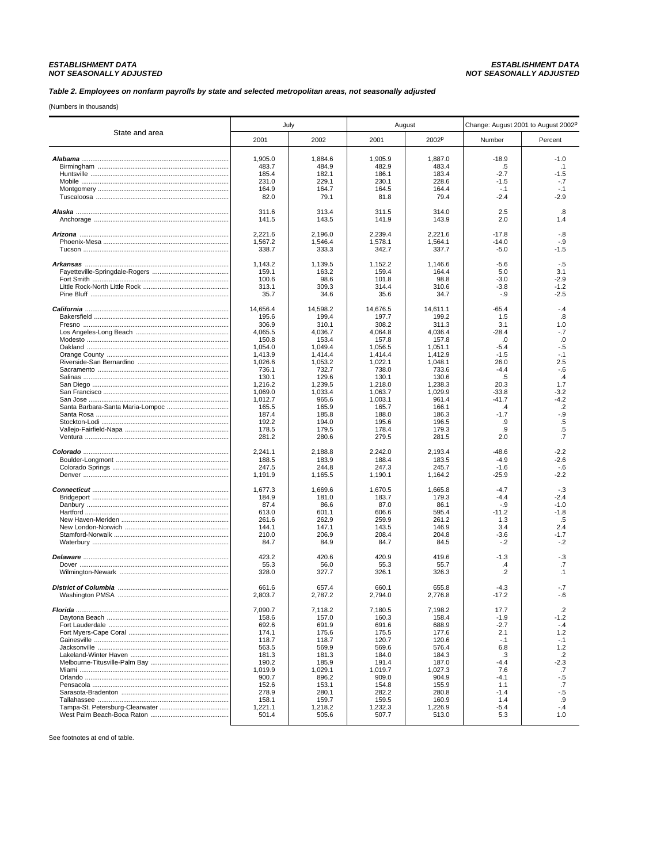*Table 2. Employees on nonfarm payrolls by state and selected metropolitan areas, not seasonally adjusted*

(Numbers in thousands)

|                |                    | July             |                    | August           |                 | Change: August 2001 to August 2002P |
|----------------|--------------------|------------------|--------------------|------------------|-----------------|-------------------------------------|
| State and area | 2001               | 2002             | 2001               | 2002P            | Number          | Percent                             |
|                | 1,905.0            | 1,884.6          | 1,905.9            | 1,887.0          | $-18.9$         | $-1.0$                              |
|                | 483.7              | 484.9            | 482.9              | 483.4            | .5              | $\cdot$ 1                           |
|                | 185.4              | 182.1            | 186.1              | 183.4            | -2.7            | $-1.5$                              |
|                | 231.0              | 229.1            | 230.1              | 228.6            | $-1.5$          | $-.7$                               |
|                | 164.9              | 164.7            | 164.5              | 164.4            | $-.1$           | $-.1$                               |
|                | 82.0               | 79.1             | 81.8               | 79.4             | $-2.4$          | $-2.9$                              |
|                |                    |                  |                    |                  |                 |                                     |
|                | 311.6<br>141.5     | 313.4<br>143.5   | 311.5<br>141.9     | 314.0<br>143.9   | 2.5<br>2.0      | .8<br>1.4                           |
|                | 2,221.6            | 2,196.0          | 2,239.4            | 2,221.6          | $-17.8$         | $-.8$                               |
|                | 1,567.2            | 1,546.4          | 1,578.1            | 1,564.1          | $-14.0$         | $-0.9$                              |
|                | 338.7              | 333.3            | 342.7              | 337.7            | $-5.0$          | $-1.5$                              |
|                |                    |                  |                    |                  |                 |                                     |
|                | 1,143.2            | 1,139.5          | 1,152.2            | 1.146.6          | $-5.6$          | $-.5$                               |
|                | 159.1              | 163.2            | 159.4              | 164.4            | 5.0             | 3.1                                 |
|                | 100.6              | 98.6<br>309.3    | 101.8              | 98.8<br>310.6    | $-3.0$          | $-2.9$<br>$-1.2$                    |
|                | 313.1<br>35.7      | 34.6             | 314.4<br>35.6      | 34.7             | -3.8<br>$-.9$   | $-2.5$                              |
|                | 14,656.4           | 14,598.2         | 14,676.5           | 14,611.1         | $-65.4$         | $-.4$                               |
|                | 195.6              | 199.4            | 197.7              | 199.2            | 1.5             | .8                                  |
|                | 306.9              | 310.1            | 308.2              | 311.3            | 3.1             | 1.0                                 |
|                | 4,065.5            | 4,036.7          | 4,064.8            | 4,036.4          | $-28.4$         | -.7                                 |
|                | 150.8              | 153.4            | 157.8              | 157.8            | .0              | .0                                  |
|                | 1,054.0            | 1,049.4          | 1,056.5            | 1,051.1          | $-5.4$          | $-.5$                               |
|                | 1,413.9            | 1,414.4          | 1,414.4            | 1,412.9          | $-1.5$          | $-.1$                               |
|                | 1,026.6            | 1,053.2          | 1,022.1            | 1.048.1          | 26.0            | 2.5                                 |
|                | 736.1              | 732.7            | 738.0              | 733.6            | $-4.4$          | $-6$                                |
|                | 130.1              | 129.6            | 130.1              | 130.6            | .5              | $\cdot$ 4                           |
|                | 1,216.2            | 1,239.5          | 1,218.0            | 1.238.3          | 20.3<br>$-33.8$ | 1.7<br>$-3.2$                       |
|                | 1,069.0<br>1,012.7 | 1,033.4<br>965.6 | 1,063.7<br>1.003.1 | 1,029.9<br>961.4 | $-41.7$         | $-4.2$                              |
|                | 165.5              | 165.9            | 165.7              | 166.1            | $\cdot$ 4       | $\cdot$                             |
|                | 187.4              | 185.8            | 188.0              | 186.3            | -1.7            | $-9$                                |
|                | 192.2              | 194.0            | 195.6              | 196.5            | .9              | .5                                  |
|                | 178.5              | 179.5            | 178.4              | 179.3            | .9              | .5                                  |
|                | 281.2              | 280.6            | 279.5              | 281.5            | 2.0             | $\overline{.7}$                     |
|                | 2,241.1            | 2,188.8          | 2,242.0            | 2,193.4          | $-48.6$         | $-2.2$                              |
|                | 188.5              | 183.9            | 188.4              | 183.5            | $-4.9$          | $-2.6$                              |
|                | 247.5              | 244.8            | 247.3              | 245.7            | $-1.6$          | -.6                                 |
|                | 1,191.9            | 1,165.5          | 1,190.1            | 1,164.2          | -25.9           | $-2.2$                              |
|                | 1,677.3            | 1,669.6          | 1,670.5            | 1,665.8          | -4.7            | $-.3$                               |
|                | 184.9              | 181.0            | 183.7              | 179.3            | $-4.4$          | $-2.4$                              |
|                | 87.4               | 86.6             | 87.0               | 86.1             | -.9             | $-1.0$                              |
|                | 613.0              | 601.1            | 606.6              | 595.4            | $-11.2$         | $-1.8$                              |
|                | 261.6<br>144.1     | 262.9<br>147.1   | 259.9<br>143.5     | 261.2<br>146.9   | 1.3<br>3.4      | .5<br>2.4                           |
|                | 210.0              | 206.9            | 208.4              | 204.8            | $-3.6$          | $-1.7$                              |
|                | 84.7               | 84.9             | 84.7               | 84.5             | $-2$            | $-.2$                               |
|                | 423.2              | 420.6            | 420.9              | 419.6            | $-1.3$          | -.3                                 |
|                | 55.3               | 56.0             | 55.3               | 55.7             | $\cdot$         | $\cdot$                             |
|                | 328.0              | 327.7            | 326.1              | 326.3            | .2              | .1                                  |
|                | 661.6              | 657.4            | 660.1              | 655.8            | -4.3            | -.7                                 |
|                | 2,803.7            | 2,787.2          | 2,794.0            | 2,776.8          | $-17.2$         | $-6$                                |
|                | 7,090.7            | 7,118.2          | 7,180.5            | 7,198.2          | 17.7            | $\cdot$                             |
|                | 158.6              | 157.0            | 160.3              | 158.4            | $-1.9$          | $-1.2$                              |
|                | 692.6              | 691.9            | 691.6              | 688.9            | $-2.7$          | $-.4$                               |
|                | 174.1              | 175.6            | 175.5              | 177.6            | 2.1             | 1.2                                 |
|                | 118.7              | 118.7            | 120.7              | 120.6            | $-.1$           | $-.1$                               |
|                | 563.5              | 569.9            | 569.6              | 576.4            | 6.8             | 1.2                                 |
|                | 181.3              | 181.3            | 184.0              | 184.3            | .3              | $.2\phantom{0}$                     |
|                | 190.2<br>1,019.9   | 185.9<br>1,029.1 | 191.4<br>1,019.7   | 187.0<br>1,027.3 | $-4.4$<br>7.6   | $-2.3$<br>.7                        |
|                | 900.7              | 896.2            | 909.0              | 904.9            | -4.1            | $-.5$                               |
|                | 152.6              | 153.1            | 154.8              | 155.9            | 1.1             | .7                                  |
|                | 278.9              | 280.1            | 282.2              | 280.8            | $-1.4$          | $-.5$                               |
|                | 158.1              | 159.7            | 159.5              | 160.9            | 1.4             | .9                                  |
|                | 1,221.1            | 1,218.2          | 1,232.3            | 1,226.9          | -5.4            | $-.4$                               |
|                | 501.4              | 505.6            | 507.7              | 513.0            | 5.3             | 1.0                                 |
|                |                    |                  |                    |                  |                 |                                     |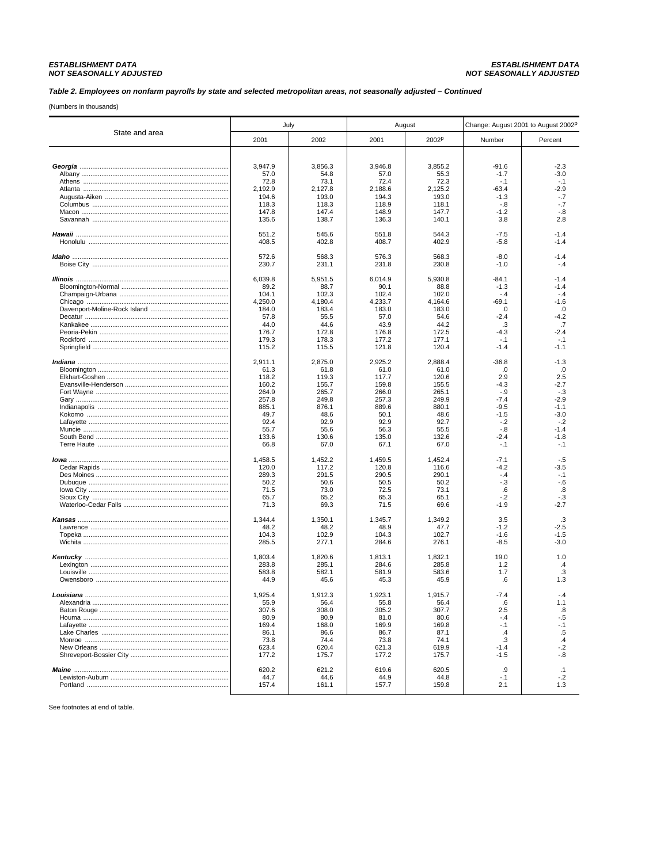# ESTABLISHMENT DATA<br>NOT SEASONALLY ADJUSTED

Table 2. Employees on nonfarm payrolls by state and selected metropolitan areas, not seasonally adjusted - Continued

(Numbers in thousands)

|                                            | July    |         |         | August  |           | Change: August 2001 to August 2002P |
|--------------------------------------------|---------|---------|---------|---------|-----------|-------------------------------------|
| State and area                             | 2001    | 2002    | 2001    | 2002P   | Number    | Percent                             |
|                                            |         |         |         |         |           |                                     |
|                                            | 3,947.9 | 3,856.3 | 3,946.8 | 3,855.2 | $-91.6$   | $-2.3$                              |
|                                            | 57.0    | 54.8    | 57.0    | 55.3    | $-1.7$    | $-3.0$                              |
|                                            | 72.8    | 73.1    | 72.4    | 72.3    | $-.1$     | $-.1$                               |
|                                            | 2,192.9 | 2,127.8 | 2,188.6 | 2,125.2 | $-63.4$   | $-2.9$                              |
|                                            | 194.6   | 193.0   | 194.3   | 193.0   | $-1.3$    | $-.7$                               |
|                                            | 118.3   | 118.3   | 118.9   | 118.1   | $-.8$     | $-.7$                               |
|                                            | 147.8   | 147.4   | 148.9   | 147.7   | $-1.2$    | -.8                                 |
|                                            | 135.6   | 138.7   | 136.3   | 140.1   | 3.8       | 2.8                                 |
|                                            | 551.2   | 545.6   | 551.8   | 544.3   | $-7.5$    | $-1.4$                              |
|                                            | 408.5   | 402.8   | 408.7   | 402.9   | $-5.8$    | $-1.4$                              |
|                                            | 572.6   | 568.3   | 576.3   | 568.3   | $-8.0$    | $-1.4$                              |
|                                            | 230.7   | 231.1   | 231.8   | 230.8   | $-1.0$    | - 4                                 |
| <u>Illinois ……………………………………………………………………</u> | 6,039.8 | 5,951.5 | 6,014.9 | 5,930.8 | $-84.1$   | $-1.4$                              |
|                                            | 89.2    | 88.7    | 90.1    | 88.8    | $-1.3$    | $-1.4$                              |
|                                            | 104.1   | 102.3   | 102.4   | 102.0   | $-.4$     | $-.4$                               |
|                                            | 4,250.0 | 4,180.4 | 4,233.7 | 4,164.6 | -69.1     | $-1.6$                              |
|                                            | 184.0   | 183.4   | 183.0   | 183.0   | .0        | .0                                  |
|                                            | 57.8    | 55.5    | 57.0    | 54.6    | -2.4      | $-4.2$                              |
|                                            | 44.0    | 44.6    | 43.9    | 44.2    | .3        | .7                                  |
|                                            | 176.7   | 172.8   | 176.8   | 172.5   | $-4.3$    | $-2.4$                              |
|                                            | 179.3   | 178.3   | 177.2   | 177.1   | $-.1$     | $-.1$                               |
|                                            | 115.2   | 115.5   | 121.8   | 120.4   | $-1.4$    | $-1.1$                              |
|                                            | 2.911.1 | 2.875.0 | 2.925.2 | 2,888.4 | $-36.8$   | $-1.3$                              |
|                                            | 61.3    | 61.8    | 61.0    | 61.0    | .0        | .0                                  |
|                                            | 118.2   | 119.3   | 117.7   | 120.6   | 2.9       | 2.5                                 |
|                                            | 160.2   | 155.7   | 159.8   | 155.5   | $-4.3$    | $-2.7$                              |
|                                            | 264.9   | 265.7   | 266.0   | 265.1   | $-.9$     | $-.3$                               |
|                                            | 257.8   | 249.8   | 257.3   | 249.9   | $-7.4$    | $-2.9$                              |
|                                            | 885.1   | 876.1   | 889.6   | 880.1   | $-9.5$    | $-1.1$                              |
|                                            | 49.7    | 48.6    | 50.1    | 48.6    | $-1.5$    | $-3.0$                              |
|                                            | 92.4    | 92.9    | 92.9    | 92.7    | $-2$      | $-.2$                               |
|                                            | 55.7    | 55.6    | 56.3    | 55.5    | $-8$      | $-1.4$                              |
|                                            | 133.6   | 130.6   | 135.0   | 132.6   | $-2.4$    | $-1.8$                              |
|                                            | 66.8    | 67.0    | 67.1    | 67.0    | $-.1$     | $-.1$                               |
|                                            | 1,458.5 | 1,452.2 | 1,459.5 | 1,452.4 | $-7.1$    | $-5$                                |
|                                            | 120.0   | 117.2   | 120.8   | 116.6   | $-4.2$    | $-3.5$                              |
|                                            | 289.3   | 291.5   | 290.5   | 290.1   | $-.4$     | $-.1$                               |
|                                            | 50.2    | 50.6    | 50.5    | 50.2    | $-.3$     | $-6$                                |
|                                            | 71.5    | 73.0    | 72.5    | 73.1    | .6        | .8                                  |
|                                            | 65.7    | 65.2    | 65.3    | 65.1    | $-.2$     | $-.3$                               |
|                                            | 71.3    | 69.3    | 71.5    | 69.6    | $-1.9$    | $-2.7$                              |
|                                            | 1,344.4 | 1,350.1 | 1,345.7 | 1,349.2 | 3.5       | .3                                  |
|                                            | 48.2    | 48.2    | 48.9    | 47.7    | $-1.2$    | $-2.5$                              |
|                                            | 104.3   | 102.9   | 104.3   | 102.7   | $-1.6$    | $-1.5$                              |
|                                            | 285.5   | 277.1   | 284.6   | 276.1   | $-8.5$    | $-3.0$                              |
|                                            | 1,803.4 | 1,820.6 | 1,813.1 | 1,832.1 | 19.0      | 1.0                                 |
|                                            | 283.8   | 285.1   | 284.6   | 285.8   | 1.2       | $\cdot$ 4                           |
|                                            | 583.8   | 582.1   | 581.9   | 583.6   | 1.7       | .3                                  |
|                                            | 44.9    | 45.6    | 45.3    | 45.9    | .6        | 1.3                                 |
|                                            | 1,925.4 | 1,912.3 | 1,923.1 | 1,915.7 | $-7.4$    | -.4                                 |
|                                            | 55.9    | 56.4    | 55.8    | 56.4    | .6        |                                     |
|                                            | 307.6   | 308.0   | 305.2   | 307.7   | 2.5       | .8                                  |
|                                            | 80.9    | 80.9    | 81.0    | 80.6    | $-.4$     | $-5$                                |
|                                            | 169.4   | 168.0   | 169.9   | 169.8   | $-.1$     | $-.1$                               |
|                                            | 86.1    | 86.6    | 86.7    | 87.1    | $\cdot$ 4 | .5                                  |
|                                            | 73.8    | 74.4    | 73.8    | 74.1    | .3        | $\cdot$                             |
|                                            | 623.4   | 620.4   | 621.3   | 619.9   | $-1.4$    | $-2$                                |
|                                            | 177.2   | 175.7   | 177.2   | 175.7   | $-1.5$    | $-8$                                |
|                                            | 620.2   | 621.2   | 619.6   | 620.5   | .9        | $\cdot$ 1                           |
|                                            | 44.7    | 44.6    | 44.9    | 44.8    | $-.1$     | $-2$                                |
|                                            | 157.4   | 161.1   | 157.7   | 159.8   | 2.1       | 1.3                                 |
|                                            |         |         |         |         |           |                                     |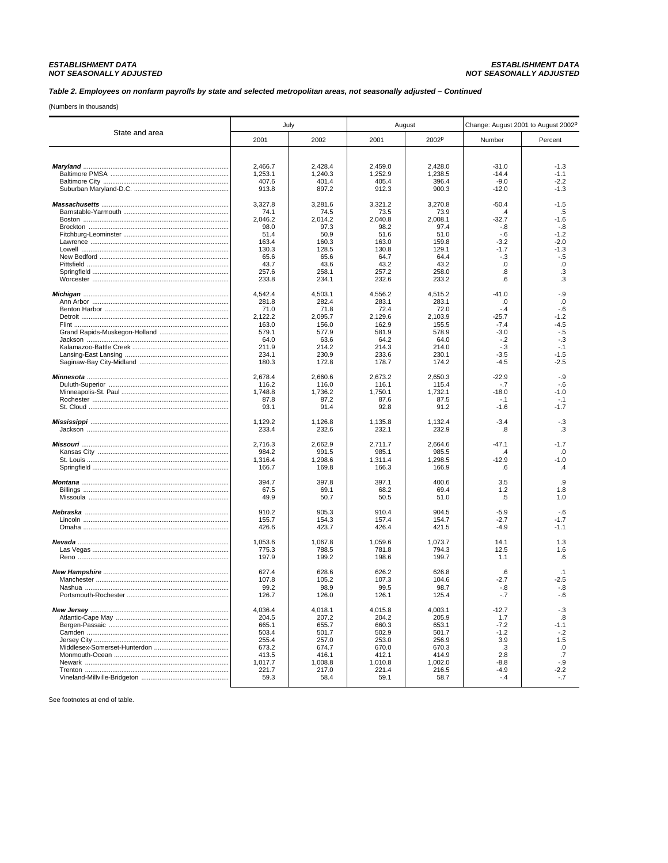*Table 2. Employees on nonfarm payrolls by state and selected metropolitan areas, not seasonally adjusted – Continued*

(Numbers in thousands)

|                | July           |                |                | August         |                  | Change: August 2001 to August 2002P |
|----------------|----------------|----------------|----------------|----------------|------------------|-------------------------------------|
| State and area | 2001           | 2002           | 2001           | 2002P          | Number           | Percent                             |
|                |                |                |                |                |                  |                                     |
|                | 2.466.7        | 2.428.4        | 2.459.0        | 2.428.0        | $-31.0$          | $-1.3$                              |
|                | 1.253.1        | 1.240.3        | 1,252.9        | 1,238.5        | $-14.4$          | $-1.1$                              |
|                | 407.6          | 401.4          | 405.4          | 396.4          | $-9.0$           | $-2.2$                              |
|                | 913.8          | 897.2          | 912.3          | 900.3          | $-12.0$          | $-1.3$                              |
|                | 3.327.8        | 3.281.6        | 3.321.2        | 3.270.8        | $-50.4$          | $-1.5$                              |
|                | 74.1           | 74.5           | 73.5           | 73.9           | $\cdot$          | .5                                  |
|                | 2,046.2        | 2,014.2        | 2,040.8        | 2,008.1        | $-32.7$          | $-1.6$                              |
|                | 98.0           | 97.3           | 98.2           | 97.4           | $-8$             | $-0.8$                              |
|                | 51.4           | 50.9           | 51.6           | 51.0           | $-6$             | $-1.2$<br>$-2.0$                    |
| Lowell         | 163.4<br>130.3 | 160.3<br>128.5 | 163.0<br>130.8 | 159.8<br>129.1 | $-3.2$<br>$-1.7$ | $-1.3$                              |
|                | 65.6           | 65.6           | 64.7           | 64.4           | -.3              | -.5                                 |
|                | 43.7           | 43.6           | 43.2           | 43.2           | .0               | $.0\,$                              |
|                | 257.6          | 258.1          | 257.2          | 258.0          | .8               | .3                                  |
|                | 233.8          | 234.1          | 232.6          | 233.2          | .6               | .3                                  |
|                | 4,542.4        | 4,503.1        | 4,556.2        | 4,515.2        | $-41.0$          | $-9$                                |
|                | 281.8          | 282.4          | 283.1          | 283.1          | .0               | .0                                  |
|                | 71.0           | 71.8           | 72.4           | 72.0           | $-4$             | $-6$                                |
|                | 2,122.2        | 2,095.7        | 2,129.6        | 2,103.9        | $-25.7$          | $-1.2$                              |
|                | 163.0          | 156.0          | 162.9          | 155.5          | $-7.4$           | $-4.5$                              |
|                | 579.1          | 577.9          | 581.9          | 578.9          | $-3.0$           | $-.5$                               |
|                | 64.0           | 63.6           | 64.2           | 64.0           | $-2$             | $-3$                                |
|                | 211.9          | 214.2          | 214.3          | 214.0          | $-3$             | $-1$                                |
|                | 234.1          | 230.9          | 233.6          | 230.1          | $-3.5$           | -1.5                                |
|                | 180.3          | 172.8          | 178.7          | 174.2          | $-4.5$           | $-2.5$                              |
|                | 2.678.4        | 2.660.6        | 2.673.2        | 2.650.3        | $-22.9$          | -.9                                 |
|                | 116.2          | 116.0          | 116.1          | 115.4          | $-7$             | $-6$                                |
|                | 1,748.8        | 1,736.2        | 1,750.1        | 1,732.1        | $-18.0$          | $-1.0$                              |
|                | 87.8           | 87.2           | 87.6           | 87.5           | $-.1$            | $-1$                                |
|                | 93.1           | 91.4           | 92.8           | 91.2           | $-1.6$           | -1.7                                |
|                | 1,129.2        | 1,126.8        | 1,135.8        | 1,132.4        | $-3.4$           | -.3                                 |
|                | 233.4          | 232.6          | 232.1          | 232.9          | 8.               | .3                                  |
|                | 2,716.3        | 2,662.9        | 2,711.7        | 2,664.6        | $-47.1$          | $-1.7$                              |
|                | 984.2          | 991.5          | 985.1          | 985.5          | 4                | $\Omega$                            |
|                | 1,316.4        | 1,298.6        | 1,311.4        | 1,298.5        | $-12.9$          | $-1.0$                              |
|                | 166.7          | 169.8          | 166.3          | 166.9          | .6               | $\cdot$                             |
|                | 394.7          | 397.8          | 397.1          | 400.6          | 3.5              | <b>q</b>                            |
|                | 67.5           | 69.1           | 68.2           | 69.4           | 1.2              | 1.8                                 |
|                | 49.9           | 50.7           | 50.5           | 51.0           | .5               | 1.0                                 |
|                | 910.2          | 905.3          | 910.4          | 904.5          | $-5.9$           | $-0.6$                              |
|                | 155.7          | 154.3          | 157.4          | 154.7          | $-2.7$           | $-1.7$                              |
|                | 426.6          | 423.7          | 426.4          | 421.5          | $-4.9$           | $-1.1$                              |
|                | 1,053.6        | 1,067.8        | 1.059.6        | 1,073.7        | 14.1             | 1.3                                 |
|                | 775.3          | 788.5          | 781.8          | 794.3          | 12.5             | 1.6                                 |
|                | 197.9          | 199.2          | 198.6          | 199.7          | 1.1              | .6                                  |
|                | 627.4          | 628.6          | 626.2          | 626.8          | .6               | $\cdot$ 1                           |
|                | 107.8          | 105.2          | 107.3          | 104.6          | $-2.7$           | $-2.5$                              |
|                | 99.2           | 98.9           | 99.5           | 98.7           | -.8              | -.8                                 |
|                | 126.7          | 126.0          | 126.1          | 125.4          | $-.7$            | - 6                                 |
|                | 4,036.4        | 4,018.1        | 4,015.8        | 4,003.1        | $-12.7$          | $-3$                                |
|                | 204.5          | 207.2          | 204.2          | 205.9          | 1.7              | .8                                  |
|                | 665.1          | 655.7          | 660.3          | 653.1          | $-7.2$           | $-1.1$                              |
|                | 503.4          | 501.7          | 502.9          | 501.7          | $-1.2$           | $-.2$                               |
|                | 255.4<br>673.2 | 257.0<br>674.7 | 253.0<br>670.0 | 256.9<br>670.3 | 3.9<br>.3        | 1.5<br>.0                           |
|                | 413.5          | 416.1          | 412.1          | 414.9          | 2.8              | $\cdot$ 7                           |
|                | 1,017.7        | 1,008.8        | 1,010.8        | 1,002.0        | $-8.8$           | -.9                                 |
|                | 221.7          | 217.0          | 221.4          | 216.5          | $-4.9$           | $-2.2$                              |
|                | 59.3           | 58.4           | 59.1           | 58.7           | $-.4$            | $-7$                                |
|                |                |                |                |                |                  |                                     |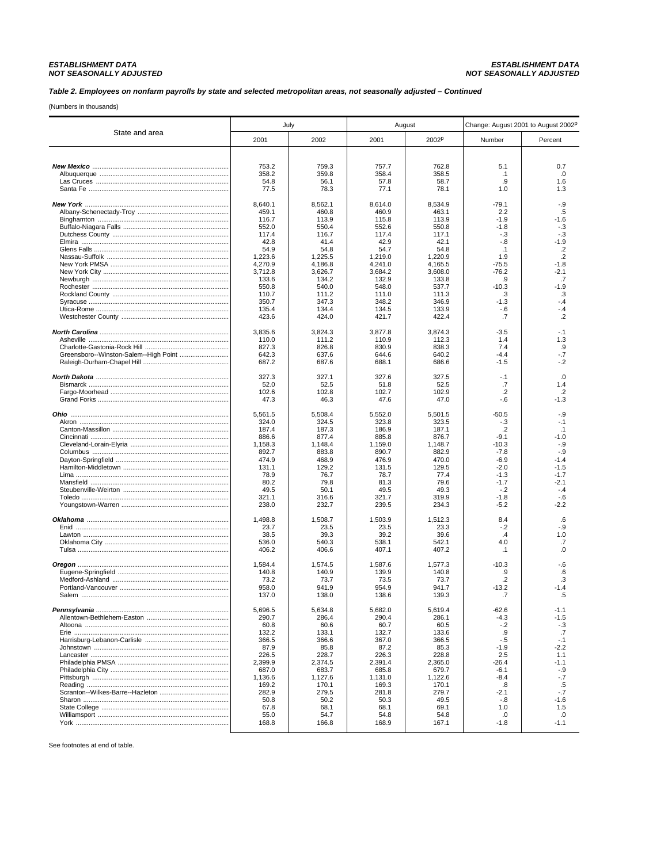*Table 2. Employees on nonfarm payrolls by state and selected metropolitan areas, not seasonally adjusted – Continued*

(Numbers in thousands)

|                                       | July             |                  |                  | August           | Change: August 2001 to August 2002P |                 |
|---------------------------------------|------------------|------------------|------------------|------------------|-------------------------------------|-----------------|
| State and area                        | 2001             | 2002             | 2001             | 2002P            | Number                              | Percent         |
|                                       |                  |                  |                  |                  |                                     |                 |
|                                       | 753.2            | 759.3            | 757.7            | 762.8            | 5.1                                 | 0.7             |
|                                       | 358.2            | 359.8            | 358.4            | 358.5            | $\cdot$ 1                           | .0              |
|                                       | 54.8             | 56.1             | 57.8             | 58.7             | .9                                  | 1.6             |
|                                       | 77.5             | 78.3             | 77.1             | 78.1             | 1.0                                 | 1.3             |
|                                       | 8.640.1          | 8,562.1          | 8.614.0          | 8.534.9          | $-79.1$                             | $-9$            |
|                                       | 459.1            | 460.8            | 460.9            | 463.1            | 2.2                                 | .5              |
|                                       | 116.7            | 113.9            | 115.8            | 113.9            | $-1.9$                              | $-1.6$          |
|                                       | 552.0            | 550.4            | 552.6            | 550.8            | $-1.8$                              | $-.3$           |
|                                       | 117.4            | 116.7            | 117.4            | 117.1            | $-.3$                               | $-.3$           |
|                                       | 42.8             | 41.4             | 42.9             | 42.1             | $-0.8$                              | $-1.9$          |
|                                       | 54.9             | 54.8             | 54.7             | 54.8             | .1                                  | $\cdot$ .2      |
|                                       | 1,223.6          | 1,225.5          | 1,219.0          | 1.220.9          | 1.9                                 | $\cdot$ .2      |
|                                       | 4,270.9          | 4,186.8          | 4.241.0          | 4,165.5          | $-75.5$                             | $-1.8$          |
|                                       | 3,712.8          | 3,626.7          | 3,684.2          | 3,608.0          | $-76.2$                             | $-2.1$          |
|                                       | 133.6<br>550.8   | 134.2<br>540.0   | 132.9<br>548.0   | 133.8<br>537.7   | .9<br>$-10.3$                       | .7<br>$-1.9$    |
|                                       | 110.7            | 111.2            | 111.0            | 111.3            | .3                                  | .3              |
|                                       | 350.7            | 347.3            | 348.2            | 346.9            | $-1.3$                              | $-.4$           |
|                                       | 135.4            | 134.4            | 134.5            | 133.9            | $-6$                                | $-.4$           |
|                                       | 423.6            | 424.0            | 421.7            | 422.4            | .7                                  | $\cdot$         |
|                                       |                  |                  |                  |                  |                                     |                 |
|                                       | 3,835.6          | 3,824.3          | 3,877.8          | 3,874.3          | $-3.5$                              | $-.1$           |
|                                       | 110.0            | 111.2            | 110.9            | 112.3            | 1.4                                 | 1.3             |
|                                       | 827.3            | 826.8            | 830.9            | 838.3            | 7.4                                 | .9              |
| Greensboro--Winston-Salem--High Point | 642.3            | 637.6            | 644.6            | 640.2            | $-4.4$                              | -.7             |
|                                       | 687.2            | 687.6            | 688.1            | 686.6            | $-1.5$                              | $-.2$           |
|                                       | 327.3            | 327.1            | 327.6            | 327.5            | -.1                                 | .0              |
|                                       | 52.0             | 52.5             | 51.8             | 52.5             | .7                                  | 1.4             |
|                                       | 102.6            | 102.8            | 102.7            | 102.9            | .2                                  | $\cdot$         |
|                                       | 47.3             | 46.3             | 47.6             | 47.0             | $-6$                                | $-1.3$          |
|                                       | 5,561.5          | 5,508.4          | 5,552.0          | 5,501.5          | $-50.5$                             | -.9             |
|                                       | 324.0            | 324.5            | 323.8            | 323.5            | $-.3$                               | $-.1$           |
|                                       | 187.4            | 187.3            | 186.9            | 187.1            | $\cdot$ .2                          | $\cdot$ 1       |
|                                       | 886.6<br>1,158.3 | 877.4<br>1,148.4 | 885.8<br>1,159.0 | 876.7<br>1.148.7 | $-9.1$<br>$-10.3$                   | $-1.0$<br>$-9$  |
|                                       | 892.7            | 883.8            | 890.7            | 882.9            | $-7.8$                              | $-.9$           |
|                                       | 474.9            | 468.9            | 476.9            | 470.0            | $-6.9$                              | $-1.4$          |
|                                       | 131.1            | 129.2            | 131.5            | 129.5            | $-2.0$                              | $-1.5$          |
|                                       | 78.9             | 76.7             | 78.7             | 77.4             | $-1.3$                              | $-1.7$          |
|                                       | 80.2             | 79.8             | 81.3             | 79.6             | $-1.7$                              | $-2.1$          |
|                                       | 49.5             | 50.1             | 49.5             | 49.3             | $-.2$                               | $-.4$           |
|                                       | 321.1            | 316.6            | 321.7            | 319.9            | $-1.8$                              | $-6$            |
|                                       | 238.0            | 232.7            | 239.5            | 234.3            | $-5.2$                              | $-2.2$          |
|                                       | 1,498.8          | 1,508.7          | 1,503.9          | 1,512.3          | 8.4                                 | .6              |
|                                       | 23.7             | 23.5             | 23.5             | 23.3             | $-2$                                | $-9$            |
|                                       | 38.5             | 39.3             | 39.2             | 39.6             | $\cdot$ 4                           | 1.0             |
|                                       | 536.0<br>406.2   | 540.3<br>406.6   | 538.1<br>407.1   | 542.1<br>407.2   | 4.0                                 | .7<br>.0        |
|                                       |                  |                  |                  |                  | $\cdot$ 1                           |                 |
|                                       | 1,584.4          | 1,574.5          | 1,587.6          | 1,577.3          | $-10.3$                             | -.6             |
|                                       | 140.8            | 140.9            | 139.9            | 140.8            | .9                                  | .6              |
|                                       | 73.2             | 73.7             | 73.5             | 73.7             | $\cdot$                             | .3              |
|                                       | 958.0<br>137.0   | 941.9<br>138.0   | 954.9<br>138.6   | 941.7<br>139.3   | $-13.2$<br>.7                       | $-1.4$<br>.5    |
|                                       |                  |                  |                  |                  |                                     |                 |
|                                       | 5,696.5          | 5,634.8          | 5,682.0          | 5,619.4          | $-62.6$                             | $-1.1$          |
|                                       | 290.7            | 286.4            | 290.4            | 286.1            | $-4.3$                              | $-1.5$          |
|                                       | 60.8             | 60.6             | 60.7             | 60.5             | $-.2$                               | $-.3$           |
|                                       | 132.2<br>366.5   | 133.1<br>366.6   | 132.7<br>367.0   | 133.6<br>366.5   | .9<br>$-.5$                         | .7              |
|                                       | 87.9             | 85.8             | 87.2             | 85.3             | $-1.9$                              | $-.1$<br>$-2.2$ |
|                                       | 226.5            | 228.7            | 226.3            | 228.8            | 2.5                                 | 1.1             |
|                                       | 2,399.9          | 2,374.5          | 2,391.4          | 2,365.0          | $-26.4$                             | $-1.1$          |
|                                       | 687.0            | 683.7            | 685.8            | 679.7            | $-6.1$                              | -.9             |
|                                       | 1,136.6          | 1.127.6          | 1,131.0          | 1,122.6          | $-8.4$                              | $-.7$           |
|                                       | 169.2            | 170.1            | 169.3            | 170.1            | .8                                  | .5              |
|                                       | 282.9            | 279.5            | 281.8            | 279.7            | $-2.1$                              | $-.7$           |
|                                       | 50.8             | 50.2             | 50.3             | 49.5             | $-.8$                               | $-1.6$          |
|                                       | 67.8             | 68.1             | 68.1             | 69.1             | 1.0                                 | 1.5             |
|                                       | 55.0             | 54.7             | 54.8             | 54.8             | .0                                  | .0              |
|                                       | 168.8            | 166.8            | 168.9            | 167.1            | $-1.8$                              | $-1.1$          |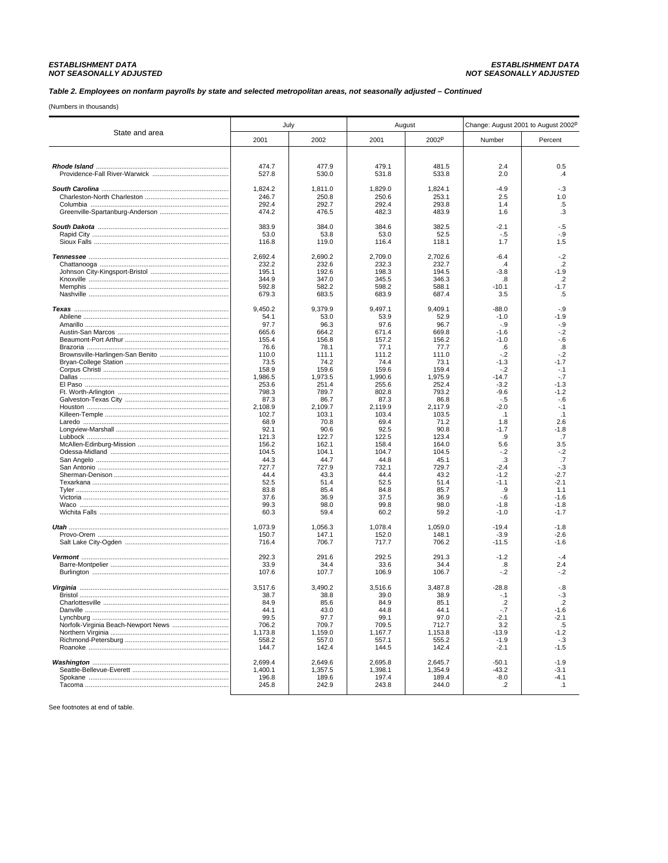### *Table 2. Employees on nonfarm payrolls by state and selected metropolitan areas, not seasonally adjusted – Continued*

(Numbers in thousands)

|                                     | July             |                  |                  | August           |                   | Change: August 2001 to August 2002P |
|-------------------------------------|------------------|------------------|------------------|------------------|-------------------|-------------------------------------|
| State and area                      | 2001             | 2002             | 2001             | 2002P            | Number            | Percent                             |
|                                     |                  |                  |                  |                  |                   |                                     |
|                                     | 474.7            | 477.9            | 479.1            | 481.5            | 2.4               | 0.5                                 |
|                                     | 527.8            | 530.0            | 531.8            | 533.8            | 2.0               | .4                                  |
|                                     | 1,824.2          | 1,811.0          | 1,829.0          | 1,824.1          | $-4.9$            | -.3                                 |
|                                     | 246.7            | 250.8            | 250.6            | 253.1            | 2.5               | 1.0                                 |
|                                     | 292.4<br>474.2   | 292.7<br>476.5   | 292.4<br>482.3   | 293.8<br>483.9   | 1.4<br>1.6        | .5<br>.3                            |
|                                     |                  |                  |                  |                  |                   |                                     |
|                                     | 383.9<br>53.0    | 384.0<br>53.8    | 384.6<br>53.0    | 382.5<br>52.5    | $-2.1$<br>-.5     | $-.5$<br>$-.9$                      |
|                                     | 116.8            | 119.0            | 116.4            | 118.1            | 1.7               | 1.5                                 |
|                                     | 2,692.4          | 2,690.2          | 2,709.0          | 2.702.6          | $-6.4$            | $-2$                                |
|                                     | 232.2            | 232.6            | 232.3            | 232.7            | .4                | $\cdot$ .2                          |
|                                     | 195.1            | 192.6            | 198.3            | 194.5            | $-3.8$            | $-1.9$                              |
|                                     | 344.9            | 347.0            | 345.5            | 346.3            | 8.                | $\cdot$                             |
|                                     | 592.8            | 582.2            | 598.2            | 588.1            | $-10.1$           | $-1.7$                              |
|                                     | 679.3            | 683.5            | 683.9            | 687.4            | 3.5               | .5                                  |
|                                     | 9,450.2          | 9,379.9          | 9,497.1          | 9,409.1          | $-88.0$           | $-.9$                               |
|                                     | 54.1             | 53.0             | 53.9             | 52.9             | $-1.0$            | $-1.9$                              |
|                                     | 97.7<br>665.6    | 96.3<br>664.2    | 97.6<br>671.4    | 96.7<br>669.8    | $-.9$<br>$-1.6$   | $-.9$<br>$-2$                       |
|                                     | 155.4            | 156.8            | 157.2            | 156.2            | $-1.0$            | $-6$                                |
|                                     | 76.6             | 78.1             | 77.1             | 77.7             | .6                | .8                                  |
|                                     | 110.0            | 111.1            | 111.2            | 111.0            | $-2$              | $-.2$                               |
|                                     | 73.5             | 74.2             | 74.4             | 73.1             | $-1.3$            | $-1.7$                              |
|                                     | 158.9<br>1,986.5 | 159.6<br>1,973.5 | 159.6<br>1,990.6 | 159.4<br>1,975.9 | $-2$<br>$-14.7$   | $-.1$<br>$-.7$                      |
|                                     | 253.6            | 251.4            | 255.6            | 252.4            | $-3.2$            | $-1.3$                              |
|                                     | 798.3            | 789.7            | 802.8            | 793.2            | $-9.6$            | $-1.2$                              |
|                                     | 87.3             | 86.7             | 87.3             | 86.8             | $-.5$             | $-6$                                |
|                                     | 2.108.9          | 2,109.7          | 2.119.9          | 2,117.9          | $-2.0$            | $-.1$                               |
|                                     | 102.7<br>68.9    | 103.1<br>70.8    | 103.4<br>69.4    | 103.5<br>71.2    | .1<br>1.8         | .1<br>2.6                           |
|                                     | 92.1             | 90.6             | 92.5             | 90.8             | $-1.7$            | $-1.8$                              |
|                                     | 121.3            | 122.7            | 122.5            | 123.4            | .9                | .7                                  |
|                                     | 156.2            | 162.1            | 158.4            | 164.0            | 5.6               | 3.5                                 |
|                                     | 104.5            | 104.1            | 104.7            | 104.5            | $-2$              | -.2                                 |
|                                     | 44.3<br>727.7    | 44.7<br>727.9    | 44.8<br>732.1    | 45.1<br>729.7    | .3<br>$-2.4$      | .7<br>$-.3$                         |
|                                     | 44.4             | 43.3             | 44.4             | 43.2             | $-1.2$            | $-2.7$                              |
|                                     | 52.5             | 51.4             | 52.5             | 51.4             | $-1.1$            | $-2.1$                              |
|                                     | 83.8             | 85.4             | 84.8             | 85.7             | .9                | 1.1                                 |
|                                     | 37.6             | 36.9             | 37.5             | 36.9             | $-6$              | $-1.6$                              |
|                                     | 99.3<br>60.3     | 98.0<br>59.4     | 99.8<br>60.2     | 98.0<br>59.2     | $-1.8$<br>$-1.0$  | $-1.8$<br>$-1.7$                    |
|                                     |                  |                  |                  |                  |                   |                                     |
|                                     | 1,073.9<br>150.7 | 1,056.3<br>147.1 | 1,078.4<br>152.0 | 1,059.0<br>148.1 | $-19.4$<br>$-3.9$ | $-1.8$<br>$-2.6$                    |
|                                     | 716.4            | 706.7            | 717.7            | 706.2            | $-11.5$           | $-1.6$                              |
|                                     | 292.3            | 291.6            | 292.5            | 291.3            | $-1.2$            | $-.4$                               |
|                                     | 33.9             | 34.4             | 33.6             | 34.4             | .8                | 2.4                                 |
|                                     | 107.6            | 107.7            | 106.9            | 106.7            | $-2$              | $-.2$                               |
|                                     | 3,517.6          | 3,490.2          | 3,516.6          | 3,487.8          | $-28.8$           | -.8                                 |
|                                     | 38.7             | 38.8             | 39.0             | 38.9             | $-.1$             | -.3                                 |
|                                     | 84.9             | 85.6             | 84.9             | 85.1             | $\overline{c}$    | 2                                   |
|                                     | 44.1<br>99.5     | 43.0<br>97.7     | 44.8<br>99.1     | 44.1<br>97.0     | $-.7$<br>$-2.1$   | $-1.6$<br>$-2.1$                    |
| Norfolk-Virginia Beach-Newport News | 706.2            | 709.7            | 709.5            | 712.7            | 3.2               | .5                                  |
|                                     | 1.173.8          | 1,159.0          | 1,167.7          | 1.153.8          | $-13.9$           | $-1.2$                              |
|                                     | 558.2            | 557.0            | 557.1            | 555.2            | $-1.9$            | $-.3$                               |
|                                     | 144.7            | 142.4            | 144.5            | 142.4            | $-2.1$            | $-1.5$                              |
|                                     | 2,699.4          | 2,649.6          | 2,695.8          | 2,645.7          | $-50.1$           | $-1.9$                              |
|                                     | 1,400.1          | 1,357.5          | 1,398.1          | 1,354.9          | $-43.2$           | $-3.1$                              |
|                                     | 196.8            | 189.6            | 197.4            | 189.4            | $-8.0$            | $-4.1$                              |
|                                     | 245.8            | 242.9            | 243.8            | 244.0            | .2                | $\cdot$ 1                           |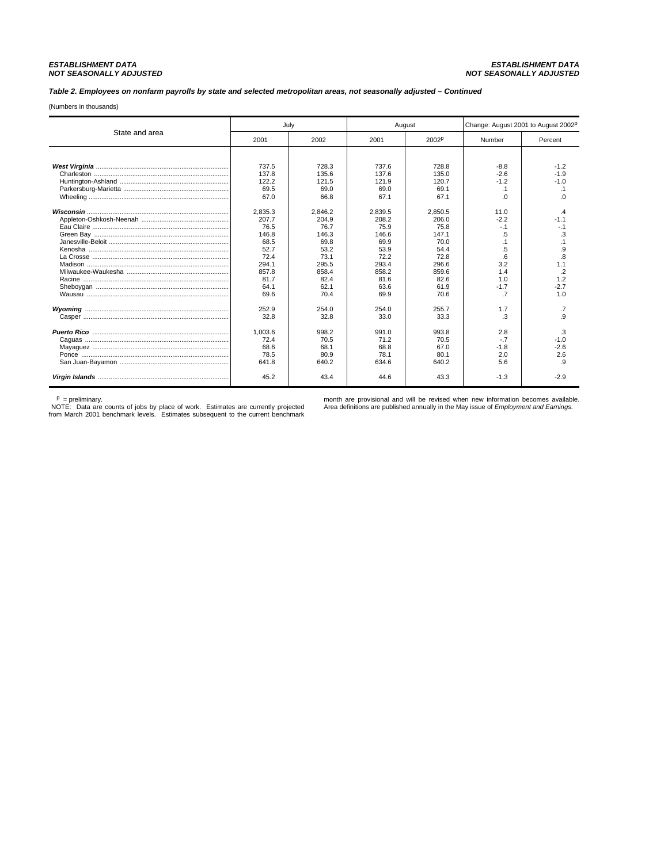*Table 2. Employees on nonfarm payrolls by state and selected metropolitan areas, not seasonally adjusted – Continued*

(Numbers in thousands)

| State and area | July    |         |         | August  | Change: August 2001 to August 2002P |                |  |
|----------------|---------|---------|---------|---------|-------------------------------------|----------------|--|
|                | 2001    | 2002    | 2001    | 2002P   | Number                              | Percent        |  |
|                |         |         |         |         |                                     |                |  |
|                | 737.5   | 728.3   | 737.6   | 728.8   | $-8.8$                              | $-1.2$         |  |
|                | 137.8   | 135.6   | 137.6   | 135.0   | $-2.6$                              | $-1.9$         |  |
|                | 122.2   | 121.5   | 121.9   | 120.7   | $-1.2$                              | $-1.0$         |  |
|                | 69.5    | 69.0    | 69.0    | 69.1    | $\cdot$ 1                           | .1             |  |
|                | 67.0    | 66.8    | 67.1    | 67.1    | $\Omega$                            | .0             |  |
|                | 2,835.3 | 2,846.2 | 2.839.5 | 2,850.5 | 11.0                                | .4             |  |
|                | 207.7   | 204.9   | 208.2   | 206.0   | $-2.2$                              | $-1.1$         |  |
|                | 76.5    | 76.7    | 75.9    | 75.8    | $-1$                                | $-1$           |  |
|                | 146.8   | 146.3   | 146.6   | 147.1   |                                     | 3              |  |
|                | 68.5    | 69.8    | 69.9    | 70.0    |                                     |                |  |
|                | 52.7    | 53.2    | 53.9    | 54.4    |                                     | .9             |  |
|                | 72.4    | 73.1    | 72.2    | 72.8    | 6                                   | $\overline{8}$ |  |
|                | 294.1   | 295.5   | 293.4   | 296.6   | 3.2                                 | 1.1            |  |
|                | 857.8   | 858.4   | 858.2   | 859.6   | 1.4                                 | $\cdot$        |  |
|                | 81.7    | 82.4    | 81.6    | 82.6    | 1.0                                 | 1.2            |  |
|                | 64.1    | 62.1    | 63.6    | 61.9    | $-1.7$                              | $-2.7$         |  |
|                | 69.6    | 70.4    | 69.9    | 70.6    | $\overline{.7}$                     | 1.0            |  |
|                | 252.9   | 254.0   | 254.0   | 255.7   | 1.7                                 | .7             |  |
|                | 32.8    | 32.8    | 33.0    | 33.3    | .3                                  | .9             |  |
|                | 1.003.6 | 998.2   | 991.0   | 993.8   | 2.8                                 | .3             |  |
|                | 72.4    | 70.5    | 71.2    | 70.5    | $-7$                                | $-1.0$         |  |
|                | 68.6    | 68.1    | 68.8    | 67.0    | $-1.8$                              | $-2.6$         |  |
|                | 78.5    | 80.9    | 78.1    | 80.1    | 2.0                                 | 2.6            |  |
|                | 641.8   | 640.2   | 634.6   | 640.2   | 5.6                                 | .9             |  |
|                | 45.2    | 43.4    | 44.6    | 43.3    | $-1.3$                              | $-2.9$         |  |

P = preliminary.<br>NOTE: Data are counts of jobs by place of work. Estimates are currently projected<br>from March 2001 benchmark levels. Estimates subsequent to the current benchmark

month are provisional and will be revised when new information becomes available. Area definitions are published annually in the May issue of *Employment and Earnings.*